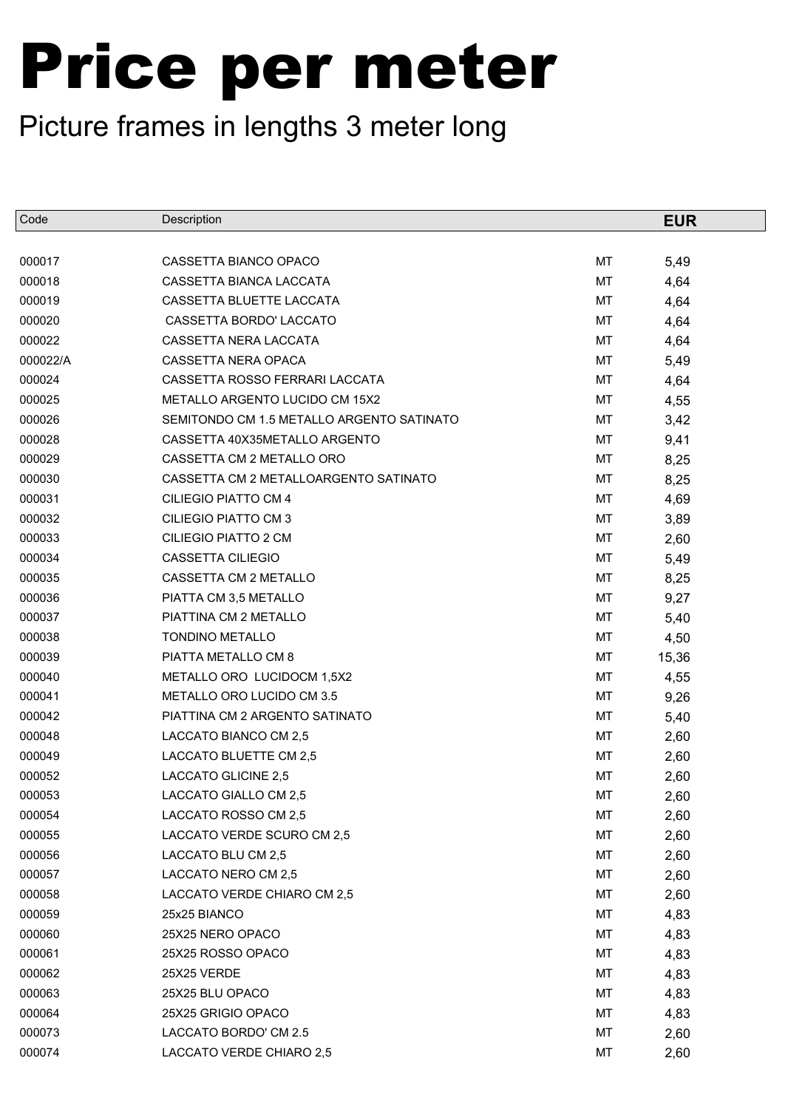| Code     | Description                               |    | <b>EUR</b> |
|----------|-------------------------------------------|----|------------|
|          |                                           |    |            |
| 000017   | CASSETTA BIANCO OPACO                     | MT | 5,49       |
| 000018   | CASSETTA BIANCA LACCATA                   | MT | 4,64       |
| 000019   | CASSETTA BLUETTE LACCATA                  | MT | 4,64       |
| 000020   | CASSETTA BORDO' LACCATO                   | MT | 4,64       |
| 000022   | CASSETTA NERA LACCATA                     | MT | 4,64       |
| 000022/A | CASSETTA NERA OPACA                       | MT | 5,49       |
| 000024   | CASSETTA ROSSO FERRARI LACCATA            | MT | 4,64       |
| 000025   | METALLO ARGENTO LUCIDO CM 15X2            | MT | 4,55       |
| 000026   | SEMITONDO CM 1.5 METALLO ARGENTO SATINATO | MT | 3,42       |
| 000028   | CASSETTA 40X35METALLO ARGENTO             | MT | 9,41       |
| 000029   | CASSETTA CM 2 METALLO ORO                 | MT | 8,25       |
| 000030   | CASSETTA CM 2 METALLOARGENTO SATINATO     | MT | 8,25       |
| 000031   | CILIEGIO PIATTO CM 4                      | MT | 4,69       |
| 000032   | CILIEGIO PIATTO CM 3                      | MT | 3,89       |
| 000033   | <b>CILIEGIO PIATTO 2 CM</b>               | MT | 2,60       |
| 000034   | <b>CASSETTA CILIEGIO</b>                  | MT | 5,49       |
| 000035   | CASSETTA CM 2 METALLO                     | MT | 8,25       |
| 000036   | PIATTA CM 3,5 METALLO                     | MT | 9,27       |
| 000037   | PIATTINA CM 2 METALLO                     | MT | 5,40       |
| 000038   | <b>TONDINO METALLO</b>                    | MT | 4,50       |
| 000039   | PIATTA METALLO CM 8                       | MT | 15,36      |
| 000040   | METALLO ORO LUCIDOCM 1,5X2                | MT | 4,55       |
| 000041   | METALLO ORO LUCIDO CM 3.5                 | MT | 9,26       |
| 000042   | PIATTINA CM 2 ARGENTO SATINATO            | MT | 5,40       |
| 000048   | LACCATO BIANCO CM 2,5                     | MT | 2,60       |
| 000049   | LACCATO BLUETTE CM 2,5                    | MT | 2,60       |
| 000052   | LACCATO GLICINE 2,5                       | MT | 2,60       |
| 000053   | LACCATO GIALLO CM 2,5                     | MT | 2,60       |
| 000054   | LACCATO ROSSO CM 2,5                      | МT | 2,60       |
| 000055   | LACCATO VERDE SCURO CM 2,5                | MT | 2,60       |
| 000056   | LACCATO BLU CM 2,5                        | МT | 2,60       |
| 000057   | LACCATO NERO CM 2,5                       | MT | 2,60       |
| 000058   | LACCATO VERDE CHIARO CM 2,5               | МT | 2,60       |
| 000059   | 25x25 BIANCO                              | MT | 4,83       |
| 000060   | 25X25 NERO OPACO                          | МT | 4,83       |
| 000061   | 25X25 ROSSO OPACO                         | MT | 4,83       |
| 000062   | 25X25 VERDE                               | МT | 4,83       |
| 000063   | 25X25 BLU OPACO                           | MT | 4,83       |
| 000064   | 25X25 GRIGIO OPACO                        | МT | 4,83       |
| 000073   | LACCATO BORDO' CM 2.5                     | MT | 2,60       |
| 000074   | LACCATO VERDE CHIARO 2,5                  | МT | 2,60       |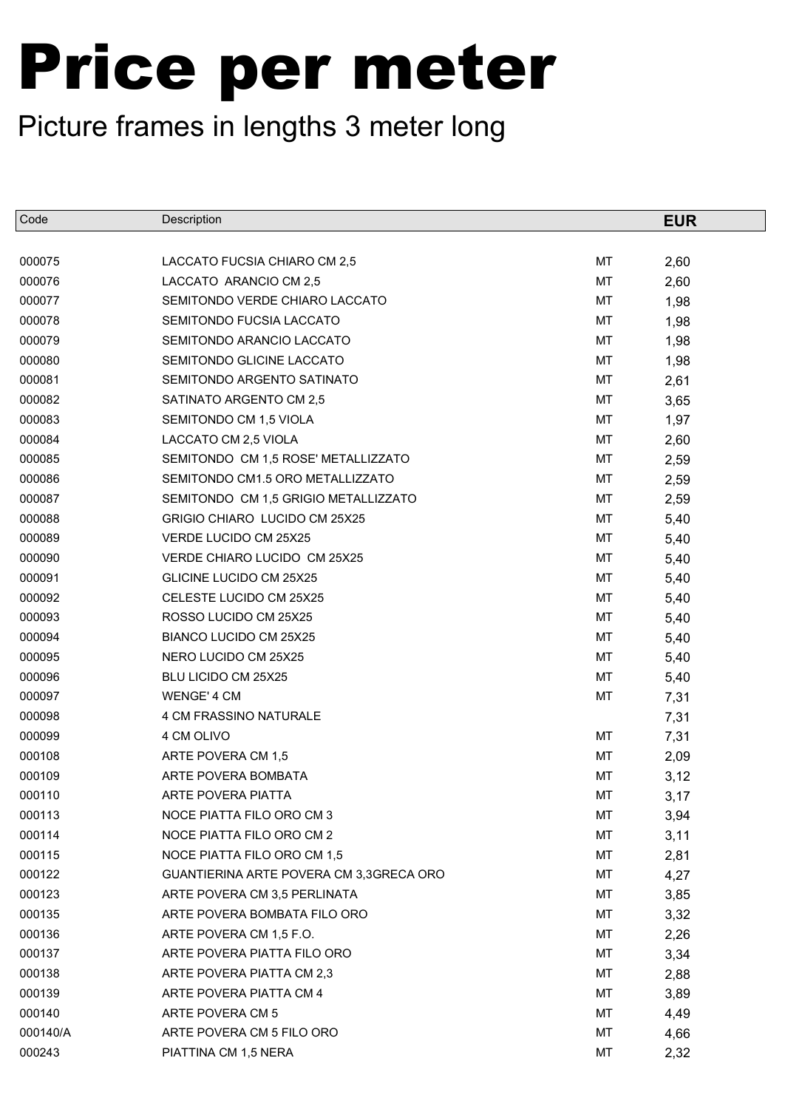| Code     | Description                             |           | <b>EUR</b> |
|----------|-----------------------------------------|-----------|------------|
|          |                                         |           |            |
| 000075   | LACCATO FUCSIA CHIARO CM 2,5            | MT        | 2,60       |
| 000076   | LACCATO ARANCIO CM 2,5                  | MT        | 2,60       |
| 000077   | SEMITONDO VERDE CHIARO LACCATO          | MT        | 1,98       |
| 000078   | SEMITONDO FUCSIA LACCATO                | MT        | 1,98       |
| 000079   | SEMITONDO ARANCIO LACCATO               | MT        | 1,98       |
| 000080   | SEMITONDO GLICINE LACCATO               | MT        | 1,98       |
| 000081   | SEMITONDO ARGENTO SATINATO              | MT        | 2,61       |
| 000082   | SATINATO ARGENTO CM 2,5                 | MT        | 3,65       |
| 000083   | SEMITONDO CM 1,5 VIOLA                  | MT        | 1,97       |
| 000084   | LACCATO CM 2,5 VIOLA                    | MT        | 2,60       |
| 000085   | SEMITONDO CM 1,5 ROSE' METALLIZZATO     | MT        | 2,59       |
| 000086   | SEMITONDO CM1.5 ORO METALLIZZATO        | MT        | 2,59       |
| 000087   | SEMITONDO CM 1,5 GRIGIO METALLIZZATO    | MT        | 2,59       |
| 000088   | GRIGIO CHIARO LUCIDO CM 25X25           | MT        | 5,40       |
| 000089   | VERDE LUCIDO CM 25X25                   | <b>MT</b> | 5,40       |
| 000090   | VERDE CHIARO LUCIDO CM 25X25            | MT        | 5,40       |
| 000091   | GLICINE LUCIDO CM 25X25                 | MT        | 5,40       |
| 000092   | CELESTE LUCIDO CM 25X25                 | MT        | 5,40       |
| 000093   | ROSSO LUCIDO CM 25X25                   | MT        | 5,40       |
| 000094   | BIANCO LUCIDO CM 25X25                  | MT        | 5,40       |
| 000095   | NERO LUCIDO CM 25X25                    | MT        | 5,40       |
| 000096   | BLU LICIDO CM 25X25                     | MT        | 5,40       |
| 000097   | WENGE' 4 CM                             | MT        | 7,31       |
| 000098   | 4 CM FRASSINO NATURALE                  |           | 7,31       |
| 000099   | 4 CM OLIVO                              | <b>MT</b> | 7,31       |
| 000108   | ARTE POVERA CM 1,5                      | MT        | 2,09       |
| 000109   | ARTE POVERA BOMBATA                     | MT        | 3,12       |
| 000110   | ARTE POVERA PIATTA                      | MT        | 3,17       |
| 000113   | NOCE PIATTA FILO ORO CM 3               | МT        | 3,94       |
| 000114   | NOCE PIATTA FILO ORO CM 2               | MT        | 3,11       |
| 000115   | NOCE PIATTA FILO ORO CM 1,5             | МT        | 2,81       |
| 000122   | GUANTIERINA ARTE POVERA CM 3,3GRECA ORO | МT        | 4,27       |
| 000123   | ARTE POVERA CM 3,5 PERLINATA            | МT        | 3,85       |
| 000135   | ARTE POVERA BOMBATA FILO ORO            | МT        | 3,32       |
| 000136   | ARTE POVERA CM 1,5 F.O.                 | МT        | 2,26       |
| 000137   | ARTE POVERA PIATTA FILO ORO             | МT        | 3,34       |
| 000138   | ARTE POVERA PIATTA CM 2,3               | МT        | 2,88       |
| 000139   | ARTE POVERA PIATTA CM 4                 | МT        | 3,89       |
| 000140   | ARTE POVERA CM 5                        | МT        | 4,49       |
| 000140/A | ARTE POVERA CM 5 FILO ORO               | MT        | 4,66       |
| 000243   | PIATTINA CM 1,5 NERA                    | МT        | 2,32       |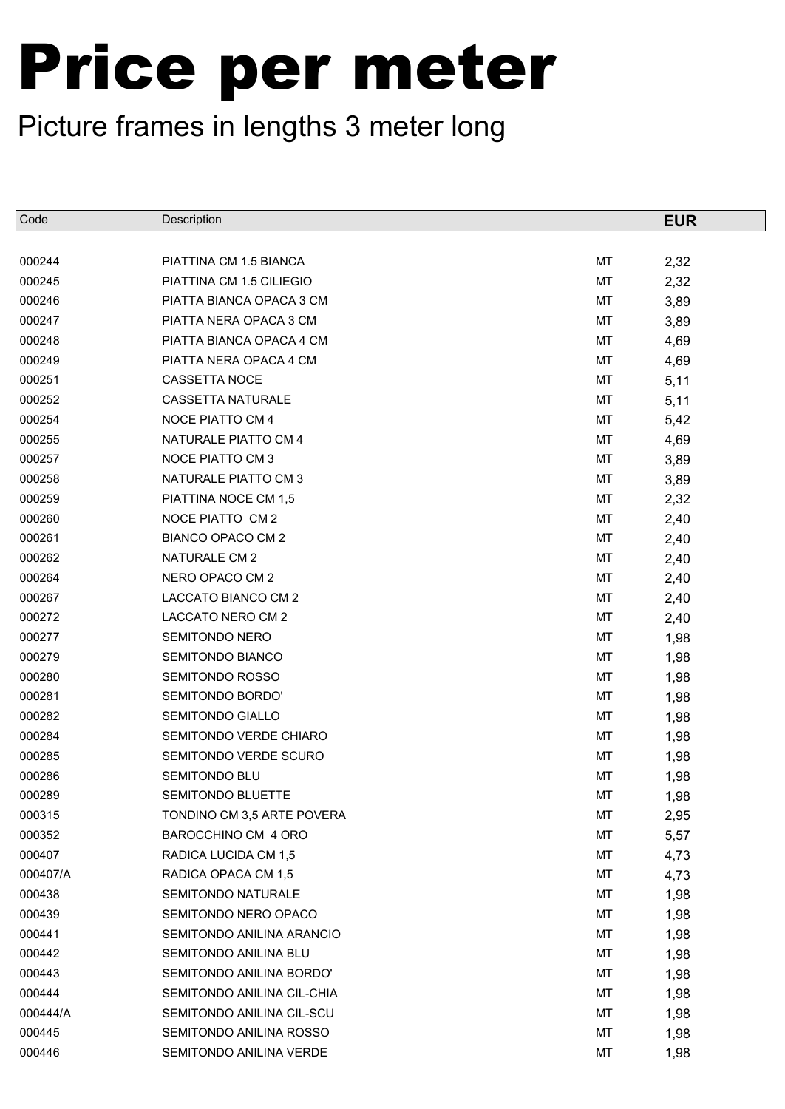| Code     | Description                |    | <b>EUR</b> |
|----------|----------------------------|----|------------|
|          |                            |    |            |
| 000244   | PIATTINA CM 1.5 BIANCA     | MT | 2,32       |
| 000245   | PIATTINA CM 1.5 CILIEGIO   | MT | 2,32       |
| 000246   | PIATTA BIANCA OPACA 3 CM   | МT | 3,89       |
| 000247   | PIATTA NERA OPACA 3 CM     | MT | 3,89       |
| 000248   | PIATTA BIANCA OPACA 4 CM   | МT | 4,69       |
| 000249   | PIATTA NERA OPACA 4 CM     | MT | 4,69       |
| 000251   | CASSETTA NOCE              | МT | 5,11       |
| 000252   | <b>CASSETTA NATURALE</b>   | MT | 5,11       |
| 000254   | NOCE PIATTO CM 4           | МT | 5,42       |
| 000255   | NATURALE PIATTO CM 4       | MT | 4,69       |
| 000257   | NOCE PIATTO CM 3           | МT | 3,89       |
| 000258   | NATURALE PIATTO CM 3       | MT | 3,89       |
| 000259   | PIATTINA NOCE CM 1,5       | МT | 2,32       |
| 000260   | NOCE PIATTO CM 2           | MT | 2,40       |
| 000261   | BIANCO OPACO CM 2          | MT | 2,40       |
| 000262   | NATURALE CM 2              | MT | 2,40       |
| 000264   | NERO OPACO CM 2            | MT | 2,40       |
| 000267   | LACCATO BIANCO CM 2        | MT | 2,40       |
| 000272   | LACCATO NERO CM 2          | MT | 2,40       |
| 000277   | SEMITONDO NERO             | MT | 1,98       |
| 000279   | SEMITONDO BIANCO           | MT | 1,98       |
| 000280   | <b>SEMITONDO ROSSO</b>     | MT | 1,98       |
| 000281   | SEMITONDO BORDO'           | MT | 1,98       |
| 000282   | <b>SEMITONDO GIALLO</b>    | MT | 1,98       |
| 000284   | SEMITONDO VERDE CHIARO     | MT | 1,98       |
| 000285   | SEMITONDO VERDE SCURO      | MT | 1,98       |
| 000286   | SEMITONDO BLU              | MT | 1,98       |
| 000289   | SEMITONDO BLUETTE          | МT | 1,98       |
| 000315   | TONDINO CM 3,5 ARTE POVERA | МT | 2,95       |
| 000352   | BAROCCHINO CM 4 ORO        | МT | 5,57       |
| 000407   | RADICA LUCIDA CM 1,5       | МT | 4,73       |
| 000407/A | RADICA OPACA CM 1,5        | МT | 4,73       |
| 000438   | SEMITONDO NATURALE         | МT | 1,98       |
| 000439   | SEMITONDO NERO OPACO       | МT | 1,98       |
| 000441   | SEMITONDO ANILINA ARANCIO  | МT | 1,98       |
| 000442   | SEMITONDO ANILINA BLU      | МT | 1,98       |
| 000443   | SEMITONDO ANILINA BORDO'   | МT | 1,98       |
| 000444   | SEMITONDO ANILINA CIL-CHIA | МT | 1,98       |
| 000444/A | SEMITONDO ANILINA CIL-SCU  | МT | 1,98       |
| 000445   | SEMITONDO ANILINA ROSSO    | МT | 1,98       |
| 000446   | SEMITONDO ANILINA VERDE    | МT | 1,98       |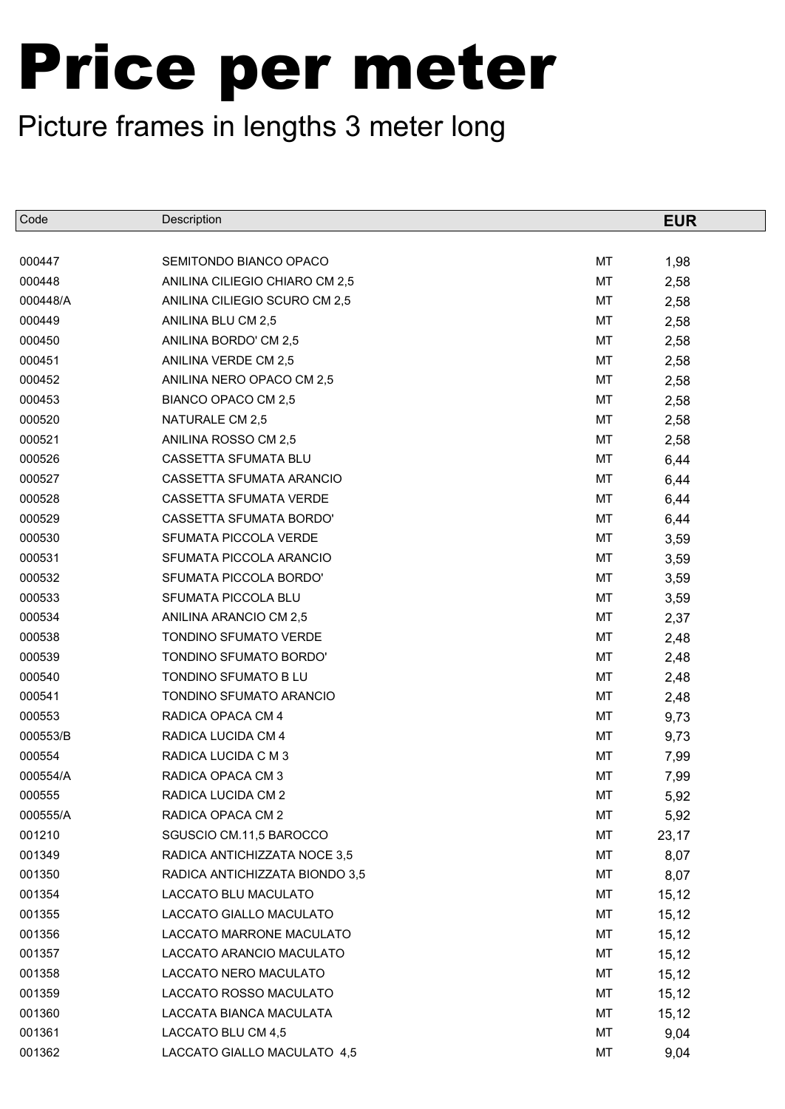| Code     | Description                    |           | <b>EUR</b> |
|----------|--------------------------------|-----------|------------|
|          |                                |           |            |
| 000447   | SEMITONDO BIANCO OPACO         | MT        | 1,98       |
| 000448   | ANILINA CILIEGIO CHIARO CM 2,5 | MT        | 2,58       |
| 000448/A | ANILINA CILIEGIO SCURO CM 2,5  | MT        | 2,58       |
| 000449   | ANILINA BLU CM 2,5             | MT        | 2,58       |
| 000450   | ANILINA BORDO' CM 2,5          | MT        | 2,58       |
| 000451   | ANILINA VERDE CM 2,5           | MT        | 2,58       |
| 000452   | ANILINA NERO OPACO CM 2,5      | MT        | 2,58       |
| 000453   | BIANCO OPACO CM 2,5            | MT        | 2,58       |
| 000520   | NATURALE CM 2,5                | MT        | 2,58       |
| 000521   | ANILINA ROSSO CM 2,5           | MT        | 2,58       |
| 000526   | CASSETTA SFUMATA BLU           | MT        | 6,44       |
| 000527   | CASSETTA SFUMATA ARANCIO       | MT        | 6,44       |
| 000528   | CASSETTA SFUMATA VERDE         | MT        | 6,44       |
| 000529   | <b>CASSETTA SFUMATA BORDO'</b> | MT        | 6,44       |
| 000530   | SFUMATA PICCOLA VERDE          | <b>MT</b> | 3,59       |
| 000531   | SFUMATA PICCOLA ARANCIO        | MT        | 3,59       |
| 000532   | SFUMATA PICCOLA BORDO'         | MT        | 3,59       |
| 000533   | SFUMATA PICCOLA BLU            | MT        | 3,59       |
| 000534   | ANILINA ARANCIO CM 2,5         | MT        | 2,37       |
| 000538   | TONDINO SFUMATO VERDE          | MT        | 2,48       |
| 000539   | TONDINO SFUMATO BORDO'         | MT        | 2,48       |
| 000540   | TONDINO SFUMATO B LU           | MT        | 2,48       |
| 000541   | TONDINO SFUMATO ARANCIO        | MT        | 2,48       |
| 000553   | RADICA OPACA CM 4              | MT        | 9,73       |
| 000553/B | RADICA LUCIDA CM 4             | MT        | 9,73       |
| 000554   | RADICA LUCIDA C M 3            | MT        | 7,99       |
| 000554/A | RADICA OPACA CM 3              | MT        | 7,99       |
| 000555   | RADICA LUCIDA CM 2             | MT        | 5,92       |
| 000555/A | RADICA OPACA CM 2              | МT        | 5,92       |
| 001210   | SGUSCIO CM.11,5 BAROCCO        | MT        | 23,17      |
| 001349   | RADICA ANTICHIZZATA NOCE 3,5   | МT        | 8,07       |
| 001350   | RADICA ANTICHIZZATA BIONDO 3,5 | МT        | 8,07       |
| 001354   | LACCATO BLU MACULATO           | МT        | 15,12      |
| 001355   | LACCATO GIALLO MACULATO        | МT        | 15,12      |
| 001356   | LACCATO MARRONE MACULATO       | МT        | 15,12      |
| 001357   | LACCATO ARANCIO MACULATO       | МT        | 15,12      |
| 001358   | LACCATO NERO MACULATO          | МT        | 15,12      |
| 001359   | LACCATO ROSSO MACULATO         | МT        | 15,12      |
| 001360   | LACCATA BIANCA MACULATA        | МT        | 15,12      |
| 001361   | LACCATO BLU CM 4,5             | MT        | 9,04       |
| 001362   | LACCATO GIALLO MACULATO 4,5    | МT        | 9,04       |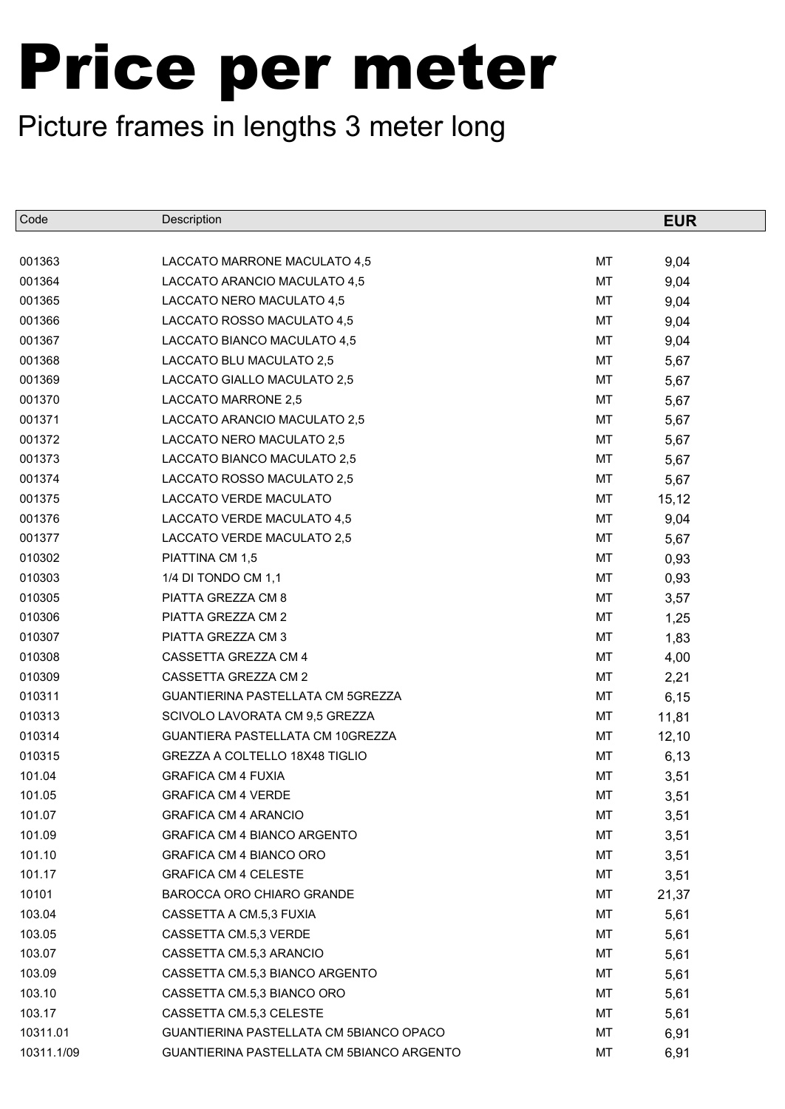| Code       | Description                               |    | <b>EUR</b> |
|------------|-------------------------------------------|----|------------|
|            |                                           |    |            |
| 001363     | LACCATO MARRONE MACULATO 4,5              | MT | 9,04       |
| 001364     | LACCATO ARANCIO MACULATO 4,5              | MT | 9,04       |
| 001365     | LACCATO NERO MACULATO 4,5                 | MT | 9,04       |
| 001366     | LACCATO ROSSO MACULATO 4,5                | MT | 9,04       |
| 001367     | LACCATO BIANCO MACULATO 4,5               | MT | 9,04       |
| 001368     | LACCATO BLU MACULATO 2,5                  | MT | 5,67       |
| 001369     | LACCATO GIALLO MACULATO 2,5               | MT | 5,67       |
| 001370     | LACCATO MARRONE 2,5                       | MT | 5,67       |
| 001371     | LACCATO ARANCIO MACULATO 2,5              | MT | 5,67       |
| 001372     | LACCATO NERO MACULATO 2,5                 | MT | 5,67       |
| 001373     | LACCATO BIANCO MACULATO 2,5               | MT | 5,67       |
| 001374     | LACCATO ROSSO MACULATO 2,5                | MT | 5,67       |
| 001375     | LACCATO VERDE MACULATO                    | MT | 15, 12     |
| 001376     | LACCATO VERDE MACULATO 4,5                | MT | 9,04       |
| 001377     | LACCATO VERDE MACULATO 2,5                | MT | 5,67       |
| 010302     | PIATTINA CM 1,5                           | MT | 0,93       |
| 010303     | 1/4 DI TONDO CM 1,1                       | MT | 0,93       |
| 010305     | PIATTA GREZZA CM 8                        | MT | 3,57       |
| 010306     | PIATTA GREZZA CM 2                        | MT | 1,25       |
| 010307     | PIATTA GREZZA CM 3                        | МT | 1,83       |
| 010308     | CASSETTA GREZZA CM 4                      | MT | 4,00       |
| 010309     | CASSETTA GREZZA CM 2                      | MT | 2,21       |
| 010311     | GUANTIERINA PASTELLATA CM 5GREZZA         | MT | 6,15       |
| 010313     | SCIVOLO LAVORATA CM 9,5 GREZZA            | MT | 11,81      |
| 010314     | GUANTIERA PASTELLATA CM 10GREZZA          | MT | 12,10      |
| 010315     | GREZZA A COLTELLO 18X48 TIGLIO            | MT | 6,13       |
| 101.04     | <b>GRAFICA CM 4 FUXIA</b>                 | MT | 3,51       |
| 101.05     | <b>GRAFICA CM 4 VERDE</b>                 | MT | 3,51       |
| 101.07     | <b>GRAFICA CM 4 ARANCIO</b>               | МT | 3,51       |
| 101.09     | <b>GRAFICA CM 4 BIANCO ARGENTO</b>        | МT | 3,51       |
| 101.10     | <b>GRAFICA CM 4 BIANCO ORO</b>            | МT | 3,51       |
| 101.17     | <b>GRAFICA CM 4 CELESTE</b>               | МT | 3,51       |
| 10101      | <b>BAROCCA ORO CHIARO GRANDE</b>          | МT | 21,37      |
| 103.04     | CASSETTA A CM.5,3 FUXIA                   | МT | 5,61       |
| 103.05     | CASSETTA CM.5,3 VERDE                     | МT | 5,61       |
| 103.07     | CASSETTA CM.5,3 ARANCIO                   | МT | 5,61       |
| 103.09     | CASSETTA CM.5,3 BIANCO ARGENTO            | МT | 5,61       |
| 103.10     | CASSETTA CM.5,3 BIANCO ORO                | МT | 5,61       |
| 103.17     | CASSETTA CM.5,3 CELESTE                   | МT | 5,61       |
| 10311.01   | GUANTIERINA PASTELLATA CM 5BIANCO OPACO   | МT | 6,91       |
| 10311.1/09 | GUANTIERINA PASTELLATA CM 5BIANCO ARGENTO | МT | 6,91       |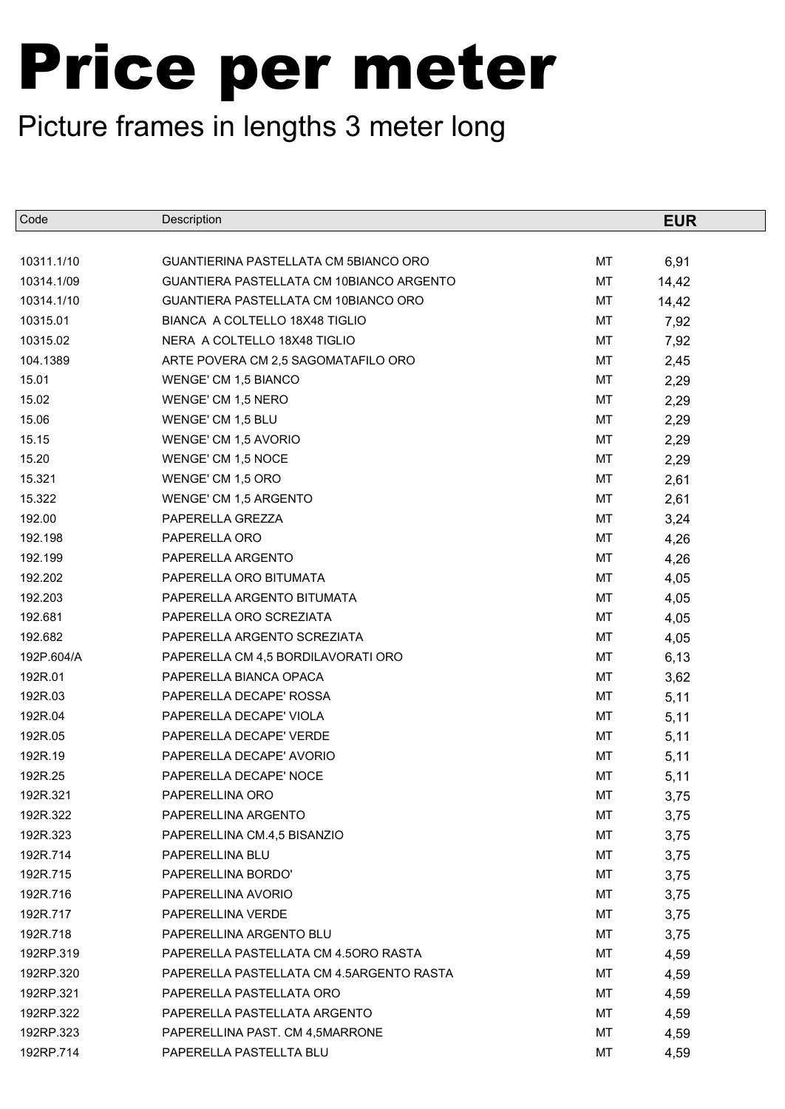| Code       | Description                              |    | <b>EUR</b> |  |
|------------|------------------------------------------|----|------------|--|
|            |                                          |    |            |  |
| 10311.1/10 | GUANTIERINA PASTELLATA CM 5BIANCO ORO    | МT | 6,91       |  |
| 10314.1/09 | GUANTIERA PASTELLATA CM 10BIANCO ARGENTO | МT | 14,42      |  |
| 10314.1/10 | GUANTIERA PASTELLATA CM 10BIANCO ORO     | МT | 14,42      |  |
| 10315.01   | BIANCA A COLTELLO 18X48 TIGLIO           | MT | 7,92       |  |
| 10315.02   | NERA A COLTELLO 18X48 TIGLIO             | МT | 7,92       |  |
| 104.1389   | ARTE POVERA CM 2,5 SAGOMATAFILO ORO      | МT | 2,45       |  |
| 15.01      | WENGE' CM 1,5 BIANCO                     | МT | 2,29       |  |
| 15.02      | WENGE' CM 1,5 NERO                       | MT | 2,29       |  |
| 15.06      | WENGE' CM 1,5 BLU                        | МT | 2,29       |  |
| 15.15      | WENGE' CM 1,5 AVORIO                     | МT | 2,29       |  |
| 15.20      | WENGE' CM 1,5 NOCE                       | МT | 2,29       |  |
| 15.321     | WENGE' CM 1,5 ORO                        | МT | 2,61       |  |
| 15.322     | <b>WENGE' CM 1,5 ARGENTO</b>             | МT | 2,61       |  |
| 192.00     | PAPERELLA GREZZA                         | MT | 3,24       |  |
| 192.198    | PAPERELLA ORO                            | МT | 4,26       |  |
| 192.199    | PAPERELLA ARGENTO                        | MT | 4,26       |  |
| 192.202    | PAPERELLA ORO BITUMATA                   | МT | 4,05       |  |
| 192.203    | PAPERELLA ARGENTO BITUMATA               | МT | 4,05       |  |
| 192.681    | PAPERELLA ORO SCREZIATA                  | МT | 4,05       |  |
| 192.682    | PAPERELLA ARGENTO SCREZIATA              | МT | 4,05       |  |
| 192P.604/A | PAPERELLA CM 4,5 BORDILAVORATI ORO       | МT | 6,13       |  |
| 192R.01    | PAPERELLA BIANCA OPACA                   | МT | 3,62       |  |
| 192R.03    | PAPERELLA DECAPE' ROSSA                  | МT | 5,11       |  |
| 192R.04    | PAPERELLA DECAPE' VIOLA                  | МT | 5,11       |  |
| 192R.05    | PAPERELLA DECAPE' VERDE                  | МT | 5,11       |  |
| 192R.19    | PAPERELLA DECAPE' AVORIO                 | МT | 5,11       |  |
| 192R.25    | PAPERELLA DECAPE' NOCE                   | MT | 5,11       |  |
| 192R.321   | PAPERELLINA ORO                          | MT | 3,75       |  |
| 192R.322   | PAPERELLINA ARGENTO                      | MТ | 3,75       |  |
| 192R.323   | PAPERELLINA CM.4,5 BISANZIO              | МT | 3,75       |  |
| 192R.714   | PAPERELLINA BLU                          | МT | 3,75       |  |
| 192R.715   | PAPERELLINA BORDO'                       | МT | 3,75       |  |
| 192R.716   | PAPERELLINA AVORIO                       | МT | 3,75       |  |
| 192R.717   | PAPERELLINA VERDE                        | МT | 3,75       |  |
| 192R.718   | PAPERELLINA ARGENTO BLU                  | МT | 3,75       |  |
| 192RP.319  | PAPERELLA PASTELLATA CM 4.50RO RASTA     | МT | 4,59       |  |
| 192RP.320  | PAPERELLA PASTELLATA CM 4.5ARGENTO RASTA | МT | 4,59       |  |
| 192RP.321  | PAPERELLA PASTELLATA ORO                 | МT | 4,59       |  |
| 192RP.322  | PAPERELLA PASTELLATA ARGENTO             | МT | 4,59       |  |
| 192RP.323  | PAPERELLINA PAST. CM 4,5MARRONE          | МT | 4,59       |  |
| 192RP.714  | PAPERELLA PASTELLTA BLU                  | МT | 4,59       |  |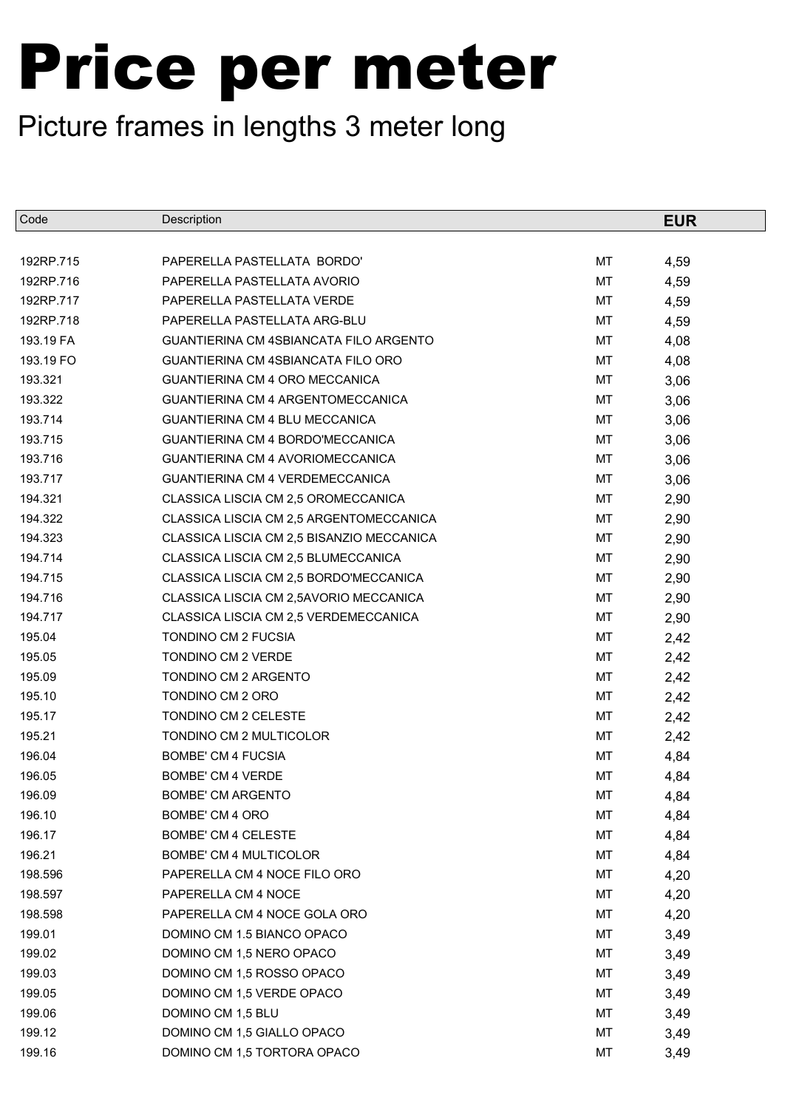| Code      | Description                                   |    | <b>EUR</b> |
|-----------|-----------------------------------------------|----|------------|
|           |                                               |    |            |
| 192RP.715 | PAPERELLA PASTELLATA BORDO'                   | MT | 4,59       |
| 192RP.716 | PAPERELLA PASTELLATA AVORIO                   | MT | 4,59       |
| 192RP.717 | PAPERELLA PASTELLATA VERDE                    | МT | 4,59       |
| 192RP.718 | PAPERELLA PASTELLATA ARG-BLU                  | MT | 4,59       |
| 193.19 FA | <b>GUANTIERINA CM 4SBIANCATA FILO ARGENTO</b> | МT | 4,08       |
| 193.19 FO | <b>GUANTIERINA CM 4SBIANCATA FILO ORO</b>     | MT | 4,08       |
| 193.321   | GUANTIERINA CM 4 ORO MECCANICA                | МT | 3,06       |
| 193.322   | GUANTIERINA CM 4 ARGENTOMECCANICA             | MT | 3,06       |
| 193.714   | GUANTIERINA CM 4 BLU MECCANICA                | МT | 3,06       |
| 193.715   | GUANTIERINA CM 4 BORDO'MECCANICA              | МT | 3,06       |
| 193.716   | GUANTIERINA CM 4 AVORIOMECCANICA              | МT | 3,06       |
| 193.717   | GUANTIERINA CM 4 VERDEMECCANICA               | MT | 3,06       |
| 194.321   | CLASSICA LISCIA CM 2,5 OROMECCANICA           | МT | 2,90       |
| 194.322   | CLASSICA LISCIA CM 2,5 ARGENTOMECCANICA       | MT | 2,90       |
| 194.323   | CLASSICA LISCIA CM 2,5 BISANZIO MECCANICA     | МT | 2,90       |
| 194.714   | CLASSICA LISCIA CM 2,5 BLUMECCANICA           | MT | 2,90       |
| 194.715   | CLASSICA LISCIA CM 2,5 BORDO'MECCANICA        | МT | 2,90       |
| 194.716   | CLASSICA LISCIA CM 2,5AVORIO MECCANICA        | MT | 2,90       |
| 194.717   | CLASSICA LISCIA CM 2,5 VERDEMECCANICA         | МT | 2,90       |
| 195.04    | TONDINO CM 2 FUCSIA                           | MT | 2,42       |
| 195.05    | TONDINO CM 2 VERDE                            | МT | 2,42       |
| 195.09    | TONDINO CM 2 ARGENTO                          | МT | 2,42       |
| 195.10    | TONDINO CM 2 ORO                              | МT | 2,42       |
| 195.17    | TONDINO CM 2 CELESTE                          | MT | 2,42       |
| 195.21    | TONDINO CM 2 MULTICOLOR                       | МT | 2,42       |
| 196.04    | <b>BOMBE' CM 4 FUCSIA</b>                     | МT | 4,84       |
| 196.05    | <b>BOMBE' CM 4 VERDE</b>                      | MT | 4,84       |
| 196.09    | <b>BOMBE' CM ARGENTO</b>                      | MT | 4,84       |
| 196.10    | BOMBE' CM 4 ORO                               | МT | 4,84       |
| 196.17    | <b>BOMBE' CM 4 CELESTE</b>                    | МT | 4,84       |
| 196.21    | <b>BOMBE' CM 4 MULTICOLOR</b>                 | МT | 4,84       |
| 198.596   | PAPERELLA CM 4 NOCE FILO ORO                  | МT | 4,20       |
| 198.597   | PAPERELLA CM 4 NOCE                           | МT | 4,20       |
| 198.598   | PAPERELLA CM 4 NOCE GOLA ORO                  | МT | 4,20       |
| 199.01    | DOMINO CM 1.5 BIANCO OPACO                    | МT | 3,49       |
| 199.02    | DOMINO CM 1,5 NERO OPACO                      | МT | 3,49       |
| 199.03    | DOMINO CM 1,5 ROSSO OPACO                     | МT | 3,49       |
| 199.05    | DOMINO CM 1,5 VERDE OPACO                     | МT | 3,49       |
| 199.06    | DOMINO CM 1,5 BLU                             | МT | 3,49       |
| 199.12    | DOMINO CM 1,5 GIALLO OPACO                    | МT | 3,49       |
| 199.16    | DOMINO CM 1,5 TORTORA OPACO                   | МT | 3,49       |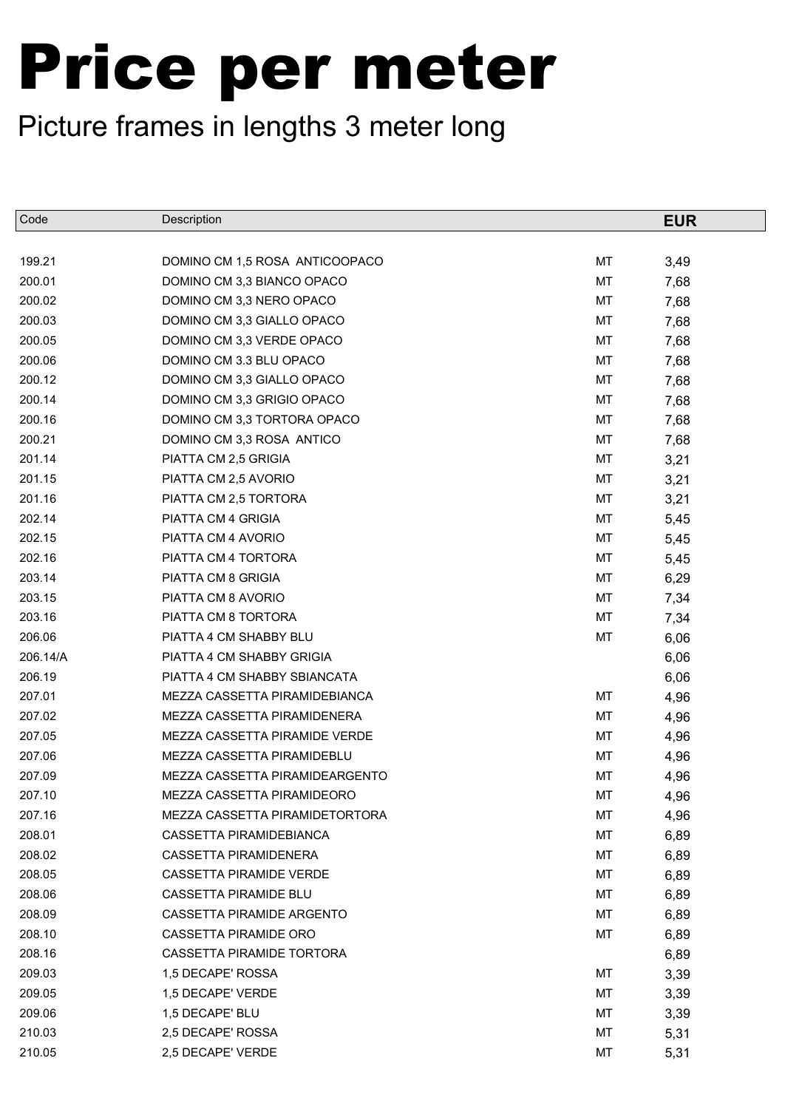| Code     | Description                    |    | <b>EUR</b> |
|----------|--------------------------------|----|------------|
|          |                                |    |            |
| 199.21   | DOMINO CM 1,5 ROSA ANTICOOPACO | MT | 3,49       |
| 200.01   | DOMINO CM 3,3 BIANCO OPACO     | MT | 7,68       |
| 200.02   | DOMINO CM 3,3 NERO OPACO       | MT | 7,68       |
| 200.03   | DOMINO CM 3,3 GIALLO OPACO     | MT | 7,68       |
| 200.05   | DOMINO CM 3,3 VERDE OPACO      | MT | 7,68       |
| 200.06   | DOMINO CM 3.3 BLU OPACO        | MT | 7,68       |
| 200.12   | DOMINO CM 3,3 GIALLO OPACO     | MT | 7,68       |
| 200.14   | DOMINO CM 3,3 GRIGIO OPACO     | MT | 7,68       |
| 200.16   | DOMINO CM 3,3 TORTORA OPACO    | MT | 7,68       |
| 200.21   | DOMINO CM 3,3 ROSA ANTICO      | MT | 7,68       |
| 201.14   | PIATTA CM 2,5 GRIGIA           | MT | 3,21       |
| 201.15   | PIATTA CM 2,5 AVORIO           | MT | 3,21       |
| 201.16   | PIATTA CM 2,5 TORTORA          | MT | 3,21       |
| 202.14   | PIATTA CM 4 GRIGIA             | MT | 5,45       |
| 202.15   | PIATTA CM 4 AVORIO             | MT | 5,45       |
| 202.16   | PIATTA CM 4 TORTORA            | МT | 5,45       |
| 203.14   | PIATTA CM 8 GRIGIA             | MT | 6,29       |
| 203.15   | PIATTA CM 8 AVORIO             | МT | 7,34       |
| 203.16   | PIATTA CM 8 TORTORA            | MT | 7,34       |
| 206.06   | PIATTA 4 CM SHABBY BLU         | MT | 6,06       |
| 206.14/A | PIATTA 4 CM SHABBY GRIGIA      |    | 6,06       |
| 206.19   | PIATTA 4 CM SHABBY SBIANCATA   |    | 6,06       |
| 207.01   | MEZZA CASSETTA PIRAMIDEBIANCA  | MT | 4,96       |
| 207.02   | MEZZA CASSETTA PIRAMIDENERA    | MT | 4,96       |
| 207.05   | MEZZA CASSETTA PIRAMIDE VERDE  | MT | 4,96       |
| 207.06   | MEZZA CASSETTA PIRAMIDEBLU     | MT | 4,96       |
| 207.09   | MEZZA CASSETTA PIRAMIDEARGENTO | MT | 4,96       |
| 207.10   | MEZZA CASSETTA PIRAMIDEORO     | MT | 4,96       |
| 207.16   | MEZZA CASSETTA PIRAMIDETORTORA | МT | 4,96       |
| 208.01   | CASSETTA PIRAMIDEBIANCA        | MT | 6,89       |
| 208.02   | <b>CASSETTA PIRAMIDENERA</b>   | МT | 6,89       |
| 208.05   | CASSETTA PIRAMIDE VERDE        | МT | 6,89       |
| 208.06   | CASSETTA PIRAMIDE BLU          | МT | 6,89       |
| 208.09   | CASSETTA PIRAMIDE ARGENTO      | МT | 6,89       |
| 208.10   | CASSETTA PIRAMIDE ORO          | МT | 6,89       |
| 208.16   | CASSETTA PIRAMIDE TORTORA      |    | 6,89       |
| 209.03   | 1,5 DECAPE' ROSSA              | МT | 3,39       |
| 209.05   | 1,5 DECAPE' VERDE              | МT | 3,39       |
| 209.06   | 1,5 DECAPE' BLU                | МT | 3,39       |
| 210.03   | 2,5 DECAPE' ROSSA              | МT | 5,31       |
| 210.05   | 2,5 DECAPE' VERDE              | МT | 5,31       |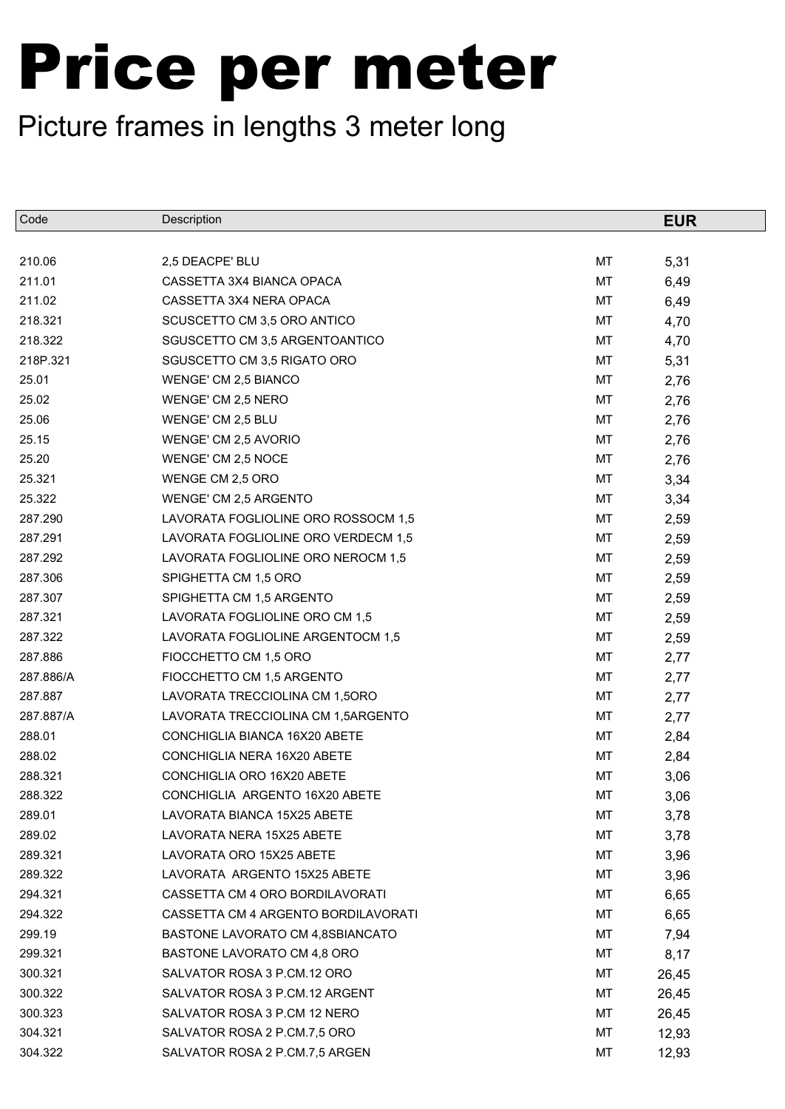| Code      | Description                         |    | <b>EUR</b> |
|-----------|-------------------------------------|----|------------|
|           |                                     |    |            |
| 210.06    | 2,5 DEACPE' BLU                     | МT | 5,31       |
| 211.01    | CASSETTA 3X4 BIANCA OPACA           | MT | 6,49       |
| 211.02    | CASSETTA 3X4 NERA OPACA             | МT | 6,49       |
| 218.321   | SCUSCETTO CM 3,5 ORO ANTICO         | MT | 4,70       |
| 218.322   | SGUSCETTO CM 3,5 ARGENTOANTICO      | МT | 4,70       |
| 218P.321  | SGUSCETTO CM 3,5 RIGATO ORO         | МT | 5,31       |
| 25.01     | WENGE' CM 2,5 BIANCO                | МT | 2,76       |
| 25.02     | WENGE' CM 2,5 NERO                  | MT | 2,76       |
| 25.06     | WENGE' CM 2,5 BLU                   | МT | 2,76       |
| 25.15     | WENGE' CM 2,5 AVORIO                | МT | 2,76       |
| 25.20     | WENGE' CM 2,5 NOCE                  | МT | 2,76       |
| 25.321    | WENGE CM 2,5 ORO                    | MT | 3,34       |
| 25.322    | WENGE' CM 2,5 ARGENTO               | МT | 3,34       |
| 287.290   | LAVORATA FOGLIOLINE ORO ROSSOCM 1,5 | МT | 2,59       |
| 287.291   | LAVORATA FOGLIOLINE ORO VERDECM 1,5 | МT | 2,59       |
| 287.292   | LAVORATA FOGLIOLINE ORO NEROCM 1,5  | МT | 2,59       |
| 287.306   | SPIGHETTA CM 1,5 ORO                | МT | 2,59       |
| 287.307   | SPIGHETTA CM 1,5 ARGENTO            | МT | 2,59       |
| 287.321   | LAVORATA FOGLIOLINE ORO CM 1,5      | МT | 2,59       |
| 287.322   | LAVORATA FOGLIOLINE ARGENTOCM 1,5   | МT | 2,59       |
| 287.886   | FIOCCHETTO CM 1,5 ORO               | МT | 2,77       |
| 287.886/A | FIOCCHETTO CM 1,5 ARGENTO           | МT | 2,77       |
| 287.887   | LAVORATA TRECCIOLINA CM 1,50RO      | МT | 2,77       |
| 287.887/A | LAVORATA TRECCIOLINA CM 1,5ARGENTO  | МT | 2,77       |
| 288.01    | CONCHIGLIA BIANCA 16X20 ABETE       | МT | 2,84       |
| 288.02    | CONCHIGLIA NERA 16X20 ABETE         | МT | 2,84       |
| 288.321   | CONCHIGLIA ORO 16X20 ABETE          | MT | 3,06       |
| 288.322   | CONCHIGLIA ARGENTO 16X20 ABETE      | MT | 3,06       |
| 289.01    | LAVORATA BIANCA 15X25 ABETE         | МT | 3,78       |
| 289.02    | LAVORATA NERA 15X25 ABETE           | МT | 3,78       |
| 289.321   | LAVORATA ORO 15X25 ABETE            | МT | 3,96       |
| 289.322   | LAVORATA ARGENTO 15X25 ABETE        | МT | 3,96       |
| 294.321   | CASSETTA CM 4 ORO BORDILAVORATI     | МT | 6,65       |
| 294.322   | CASSETTA CM 4 ARGENTO BORDILAVORATI | МT | 6,65       |
| 299.19    | BASTONE LAVORATO CM 4,8SBIANCATO    | МT | 7,94       |
| 299.321   | BASTONE LAVORATO CM 4,8 ORO         | МT | 8,17       |
| 300.321   | SALVATOR ROSA 3 P.CM.12 ORO         | МT | 26,45      |
| 300.322   | SALVATOR ROSA 3 P.CM.12 ARGENT      | МT | 26,45      |
| 300.323   | SALVATOR ROSA 3 P.CM 12 NERO        | МT | 26,45      |
| 304.321   | SALVATOR ROSA 2 P.CM.7,5 ORO        | МT | 12,93      |
| 304.322   | SALVATOR ROSA 2 P.CM.7,5 ARGEN      | МT | 12,93      |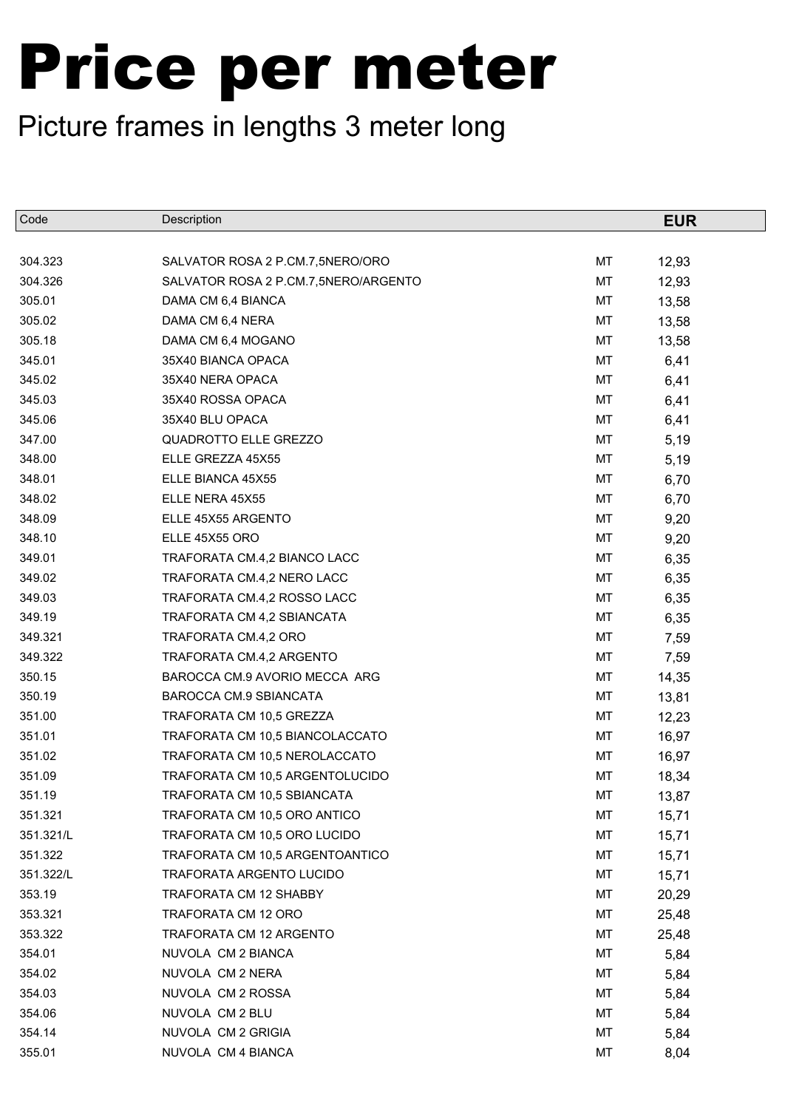| Code      | Description                          |    | <b>EUR</b> |
|-----------|--------------------------------------|----|------------|
|           |                                      |    |            |
| 304.323   | SALVATOR ROSA 2 P.CM.7,5NERO/ORO     | MT | 12,93      |
| 304.326   | SALVATOR ROSA 2 P.CM.7,5NERO/ARGENTO | MT | 12,93      |
| 305.01    | DAMA CM 6,4 BIANCA                   | МT | 13,58      |
| 305.02    | DAMA CM 6,4 NERA                     | MT | 13,58      |
| 305.18    | DAMA CM 6,4 MOGANO                   | МT | 13,58      |
| 345.01    | 35X40 BIANCA OPACA                   | МT | 6,41       |
| 345.02    | 35X40 NERA OPACA                     | МT | 6,41       |
| 345.03    | 35X40 ROSSA OPACA                    | MT | 6,41       |
| 345.06    | 35X40 BLU OPACA                      | МT | 6,41       |
| 347.00    | QUADROTTO ELLE GREZZO                | МT | 5,19       |
| 348.00    | ELLE GREZZA 45X55                    | МT | 5,19       |
| 348.01    | ELLE BIANCA 45X55                    | МT | 6,70       |
| 348.02    | ELLE NERA 45X55                      | МT | 6,70       |
| 348.09    | ELLE 45X55 ARGENTO                   | МT | 9,20       |
| 348.10    | ELLE 45X55 ORO                       | МT | 9,20       |
| 349.01    | TRAFORATA CM.4,2 BIANCO LACC         | МT | 6,35       |
| 349.02    | TRAFORATA CM.4,2 NERO LACC           | МT | 6,35       |
| 349.03    | TRAFORATA CM.4,2 ROSSO LACC          | МT | 6,35       |
| 349.19    | TRAFORATA CM 4,2 SBIANCATA           | МT | 6,35       |
| 349.321   | TRAFORATA CM.4,2 ORO                 | MT | 7,59       |
| 349.322   | TRAFORATA CM.4,2 ARGENTO             | МT | 7,59       |
| 350.15    | BAROCCA CM.9 AVORIO MECCA ARG        | МT | 14,35      |
| 350.19    | BAROCCA CM.9 SBIANCATA               | МT | 13,81      |
| 351.00    | TRAFORATA CM 10,5 GREZZA             | MT | 12,23      |
| 351.01    | TRAFORATA CM 10,5 BIANCOLACCATO      | МT | 16,97      |
| 351.02    | TRAFORATA CM 10,5 NEROLACCATO        | МT | 16,97      |
| 351.09    | TRAFORATA CM 10,5 ARGENTOLUCIDO      | MT | 18,34      |
| 351.19    | TRAFORATA CM 10,5 SBIANCATA          | МT | 13,87      |
| 351.321   | TRAFORATA CM 10,5 ORO ANTICO         | МT | 15,71      |
| 351.321/L | TRAFORATA CM 10,5 ORO LUCIDO         | МT | 15,71      |
| 351.322   | TRAFORATA CM 10,5 ARGENTOANTICO      | МT | 15,71      |
| 351.322/L | TRAFORATA ARGENTO LUCIDO             | МT | 15,71      |
| 353.19    | TRAFORATA CM 12 SHABBY               | МT | 20,29      |
| 353.321   | TRAFORATA CM 12 ORO                  | МT | 25,48      |
| 353.322   | TRAFORATA CM 12 ARGENTO              | МT | 25,48      |
| 354.01    | NUVOLA CM 2 BIANCA                   | МT | 5,84       |
| 354.02    | NUVOLA CM 2 NERA                     | МT | 5,84       |
| 354.03    | NUVOLA CM 2 ROSSA                    | МT | 5,84       |
| 354.06    | NUVOLA CM 2 BLU                      | МT | 5,84       |
| 354.14    | NUVOLA CM 2 GRIGIA                   | МT | 5,84       |
| 355.01    | NUVOLA CM 4 BIANCA                   | МT | 8,04       |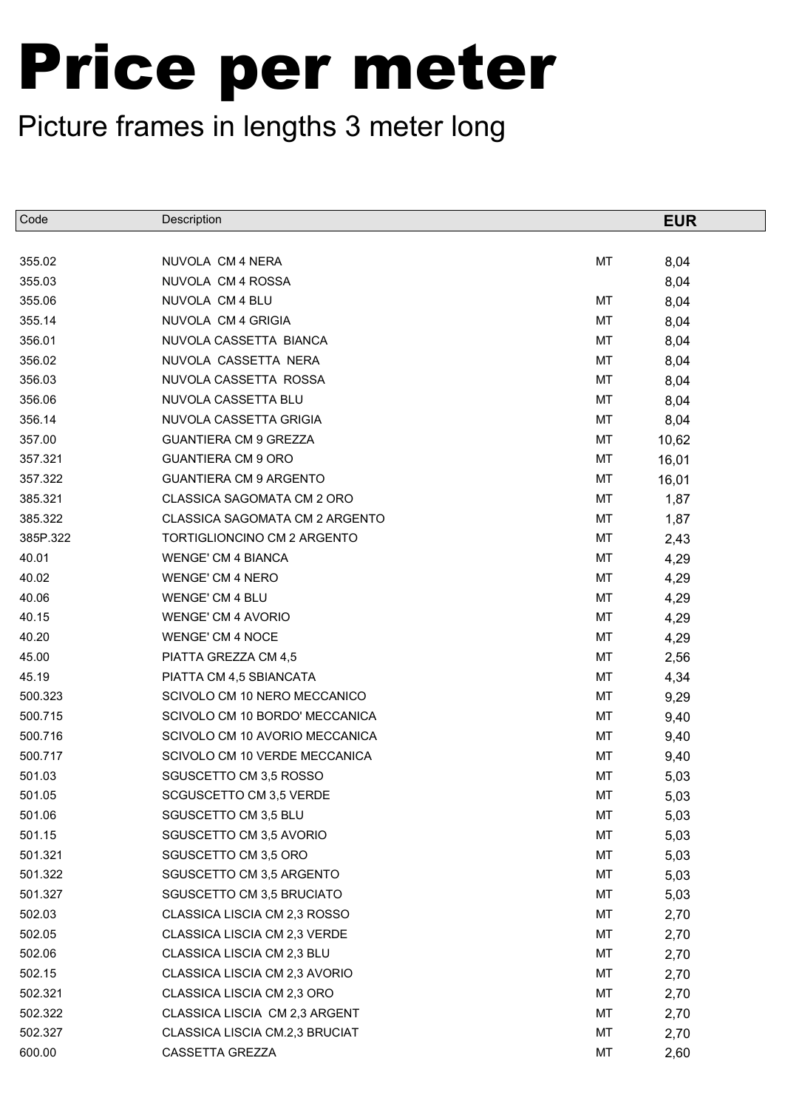| NUVOLA CM 4 NERA<br>MT<br>355.02<br>8,04<br>355.03<br>NUVOLA CM 4 ROSSA<br>8,04<br>355.06<br>NUVOLA CM 4 BLU<br>МT<br>8,04<br>355.14<br>NUVOLA CM 4 GRIGIA<br>МT<br>8,04<br>356.01<br>NUVOLA CASSETTA BIANCA<br>МT<br>8,04<br>356.02<br>NUVOLA CASSETTA NERA<br>МT<br>8,04<br>356.03<br>NUVOLA CASSETTA ROSSA<br>МT<br>8,04<br>356.06<br>NUVOLA CASSETTA BLU<br>МT<br>8,04<br>356.14<br>NUVOLA CASSETTA GRIGIA<br>МT<br>8,04<br>357.00<br><b>GUANTIERA CM 9 GREZZA</b><br>МT<br>10,62<br>357.321<br><b>GUANTIERA CM 9 ORO</b><br>МT<br>16,01<br>357.322<br><b>GUANTIERA CM 9 ARGENTO</b><br>МT<br>16,01<br>385.321<br>CLASSICA SAGOMATA CM 2 ORO<br>МT<br>1,87<br>385.322<br>CLASSICA SAGOMATA CM 2 ARGENTO<br>1,87<br>МT<br>385P.322<br>TORTIGLIONCINO CM 2 ARGENTO<br>МT<br>2,43<br>40.01<br><b>WENGE' CM 4 BIANCA</b><br>МT<br>4,29<br>40.02<br><b>WENGE' CM 4 NERO</b><br>МT<br>4,29<br>40.06<br><b>WENGE' CM 4 BLU</b><br>МT<br>4,29<br>40.15<br><b>WENGE' CM 4 AVORIO</b><br>МT<br>4,29<br><b>WENGE' CM 4 NOCE</b><br>МT<br>4,29<br>45.00<br>PIATTA GREZZA CM 4,5<br>МT<br>2,56<br>45.19<br>PIATTA CM 4,5 SBIANCATA<br>МT<br>4,34<br>500.323<br>SCIVOLO CM 10 NERO MECCANICO<br>МT<br>9,29<br>500.715<br>SCIVOLO CM 10 BORDO' MECCANICA<br>МT<br>9,40<br>500.716<br>SCIVOLO CM 10 AVORIO MECCANICA<br>МT<br>9,40<br>500.717<br>SCIVOLO CM 10 VERDE MECCANICA<br>МT<br>9,40<br>501.03<br>SGUSCETTO CM 3,5 ROSSO<br>MT<br>5,03<br>501.05<br>MT<br>5,03<br>SCGUSCETTO CM 3,5 VERDE<br>SGUSCETTO CM 3,5 BLU<br>501.06<br>МT<br>5,03<br>501.15<br>SGUSCETTO CM 3,5 AVORIO<br>MT<br>5,03<br>501.321<br>SGUSCETTO CM 3,5 ORO<br>МT<br>5,03<br>501.322<br>SGUSCETTO CM 3,5 ARGENTO<br>МT<br>5,03<br>501.327<br>SGUSCETTO CM 3,5 BRUCIATO<br>5,03<br>МT<br>502.03<br>CLASSICA LISCIA CM 2,3 ROSSO<br>МT<br>2,70<br>502.05<br>CLASSICA LISCIA CM 2,3 VERDE<br>МT<br>2,70<br>502.06<br>CLASSICA LISCIA CM 2,3 BLU<br>МT<br>2,70<br>502.15<br>CLASSICA LISCIA CM 2,3 AVORIO<br>МT<br>2,70<br>502.321<br>CLASSICA LISCIA CM 2,3 ORO<br>МT<br>2,70<br>502.322<br>CLASSICA LISCIA CM 2,3 ARGENT<br>МT<br>2,70<br>502.327<br>CLASSICA LISCIA CM.2,3 BRUCIAT<br>МT<br>2,70<br>600.00<br>CASSETTA GREZZA<br>МT<br>2,60 | Code  | Description | <b>EUR</b> |
|------------------------------------------------------------------------------------------------------------------------------------------------------------------------------------------------------------------------------------------------------------------------------------------------------------------------------------------------------------------------------------------------------------------------------------------------------------------------------------------------------------------------------------------------------------------------------------------------------------------------------------------------------------------------------------------------------------------------------------------------------------------------------------------------------------------------------------------------------------------------------------------------------------------------------------------------------------------------------------------------------------------------------------------------------------------------------------------------------------------------------------------------------------------------------------------------------------------------------------------------------------------------------------------------------------------------------------------------------------------------------------------------------------------------------------------------------------------------------------------------------------------------------------------------------------------------------------------------------------------------------------------------------------------------------------------------------------------------------------------------------------------------------------------------------------------------------------------------------------------------------------------------------------------------------------------------------------------------------------------------------------------------------------------------------------------------------------------------------------------------------------------------------------------------------------------------------------|-------|-------------|------------|
|                                                                                                                                                                                                                                                                                                                                                                                                                                                                                                                                                                                                                                                                                                                                                                                                                                                                                                                                                                                                                                                                                                                                                                                                                                                                                                                                                                                                                                                                                                                                                                                                                                                                                                                                                                                                                                                                                                                                                                                                                                                                                                                                                                                                            |       |             |            |
|                                                                                                                                                                                                                                                                                                                                                                                                                                                                                                                                                                                                                                                                                                                                                                                                                                                                                                                                                                                                                                                                                                                                                                                                                                                                                                                                                                                                                                                                                                                                                                                                                                                                                                                                                                                                                                                                                                                                                                                                                                                                                                                                                                                                            |       |             |            |
|                                                                                                                                                                                                                                                                                                                                                                                                                                                                                                                                                                                                                                                                                                                                                                                                                                                                                                                                                                                                                                                                                                                                                                                                                                                                                                                                                                                                                                                                                                                                                                                                                                                                                                                                                                                                                                                                                                                                                                                                                                                                                                                                                                                                            |       |             |            |
|                                                                                                                                                                                                                                                                                                                                                                                                                                                                                                                                                                                                                                                                                                                                                                                                                                                                                                                                                                                                                                                                                                                                                                                                                                                                                                                                                                                                                                                                                                                                                                                                                                                                                                                                                                                                                                                                                                                                                                                                                                                                                                                                                                                                            |       |             |            |
|                                                                                                                                                                                                                                                                                                                                                                                                                                                                                                                                                                                                                                                                                                                                                                                                                                                                                                                                                                                                                                                                                                                                                                                                                                                                                                                                                                                                                                                                                                                                                                                                                                                                                                                                                                                                                                                                                                                                                                                                                                                                                                                                                                                                            |       |             |            |
|                                                                                                                                                                                                                                                                                                                                                                                                                                                                                                                                                                                                                                                                                                                                                                                                                                                                                                                                                                                                                                                                                                                                                                                                                                                                                                                                                                                                                                                                                                                                                                                                                                                                                                                                                                                                                                                                                                                                                                                                                                                                                                                                                                                                            |       |             |            |
|                                                                                                                                                                                                                                                                                                                                                                                                                                                                                                                                                                                                                                                                                                                                                                                                                                                                                                                                                                                                                                                                                                                                                                                                                                                                                                                                                                                                                                                                                                                                                                                                                                                                                                                                                                                                                                                                                                                                                                                                                                                                                                                                                                                                            |       |             |            |
|                                                                                                                                                                                                                                                                                                                                                                                                                                                                                                                                                                                                                                                                                                                                                                                                                                                                                                                                                                                                                                                                                                                                                                                                                                                                                                                                                                                                                                                                                                                                                                                                                                                                                                                                                                                                                                                                                                                                                                                                                                                                                                                                                                                                            |       |             |            |
|                                                                                                                                                                                                                                                                                                                                                                                                                                                                                                                                                                                                                                                                                                                                                                                                                                                                                                                                                                                                                                                                                                                                                                                                                                                                                                                                                                                                                                                                                                                                                                                                                                                                                                                                                                                                                                                                                                                                                                                                                                                                                                                                                                                                            |       |             |            |
|                                                                                                                                                                                                                                                                                                                                                                                                                                                                                                                                                                                                                                                                                                                                                                                                                                                                                                                                                                                                                                                                                                                                                                                                                                                                                                                                                                                                                                                                                                                                                                                                                                                                                                                                                                                                                                                                                                                                                                                                                                                                                                                                                                                                            |       |             |            |
|                                                                                                                                                                                                                                                                                                                                                                                                                                                                                                                                                                                                                                                                                                                                                                                                                                                                                                                                                                                                                                                                                                                                                                                                                                                                                                                                                                                                                                                                                                                                                                                                                                                                                                                                                                                                                                                                                                                                                                                                                                                                                                                                                                                                            |       |             |            |
|                                                                                                                                                                                                                                                                                                                                                                                                                                                                                                                                                                                                                                                                                                                                                                                                                                                                                                                                                                                                                                                                                                                                                                                                                                                                                                                                                                                                                                                                                                                                                                                                                                                                                                                                                                                                                                                                                                                                                                                                                                                                                                                                                                                                            |       |             |            |
|                                                                                                                                                                                                                                                                                                                                                                                                                                                                                                                                                                                                                                                                                                                                                                                                                                                                                                                                                                                                                                                                                                                                                                                                                                                                                                                                                                                                                                                                                                                                                                                                                                                                                                                                                                                                                                                                                                                                                                                                                                                                                                                                                                                                            |       |             |            |
|                                                                                                                                                                                                                                                                                                                                                                                                                                                                                                                                                                                                                                                                                                                                                                                                                                                                                                                                                                                                                                                                                                                                                                                                                                                                                                                                                                                                                                                                                                                                                                                                                                                                                                                                                                                                                                                                                                                                                                                                                                                                                                                                                                                                            |       |             |            |
|                                                                                                                                                                                                                                                                                                                                                                                                                                                                                                                                                                                                                                                                                                                                                                                                                                                                                                                                                                                                                                                                                                                                                                                                                                                                                                                                                                                                                                                                                                                                                                                                                                                                                                                                                                                                                                                                                                                                                                                                                                                                                                                                                                                                            |       |             |            |
|                                                                                                                                                                                                                                                                                                                                                                                                                                                                                                                                                                                                                                                                                                                                                                                                                                                                                                                                                                                                                                                                                                                                                                                                                                                                                                                                                                                                                                                                                                                                                                                                                                                                                                                                                                                                                                                                                                                                                                                                                                                                                                                                                                                                            |       |             |            |
|                                                                                                                                                                                                                                                                                                                                                                                                                                                                                                                                                                                                                                                                                                                                                                                                                                                                                                                                                                                                                                                                                                                                                                                                                                                                                                                                                                                                                                                                                                                                                                                                                                                                                                                                                                                                                                                                                                                                                                                                                                                                                                                                                                                                            |       |             |            |
|                                                                                                                                                                                                                                                                                                                                                                                                                                                                                                                                                                                                                                                                                                                                                                                                                                                                                                                                                                                                                                                                                                                                                                                                                                                                                                                                                                                                                                                                                                                                                                                                                                                                                                                                                                                                                                                                                                                                                                                                                                                                                                                                                                                                            |       |             |            |
|                                                                                                                                                                                                                                                                                                                                                                                                                                                                                                                                                                                                                                                                                                                                                                                                                                                                                                                                                                                                                                                                                                                                                                                                                                                                                                                                                                                                                                                                                                                                                                                                                                                                                                                                                                                                                                                                                                                                                                                                                                                                                                                                                                                                            |       |             |            |
|                                                                                                                                                                                                                                                                                                                                                                                                                                                                                                                                                                                                                                                                                                                                                                                                                                                                                                                                                                                                                                                                                                                                                                                                                                                                                                                                                                                                                                                                                                                                                                                                                                                                                                                                                                                                                                                                                                                                                                                                                                                                                                                                                                                                            |       |             |            |
|                                                                                                                                                                                                                                                                                                                                                                                                                                                                                                                                                                                                                                                                                                                                                                                                                                                                                                                                                                                                                                                                                                                                                                                                                                                                                                                                                                                                                                                                                                                                                                                                                                                                                                                                                                                                                                                                                                                                                                                                                                                                                                                                                                                                            | 40.20 |             |            |
|                                                                                                                                                                                                                                                                                                                                                                                                                                                                                                                                                                                                                                                                                                                                                                                                                                                                                                                                                                                                                                                                                                                                                                                                                                                                                                                                                                                                                                                                                                                                                                                                                                                                                                                                                                                                                                                                                                                                                                                                                                                                                                                                                                                                            |       |             |            |
|                                                                                                                                                                                                                                                                                                                                                                                                                                                                                                                                                                                                                                                                                                                                                                                                                                                                                                                                                                                                                                                                                                                                                                                                                                                                                                                                                                                                                                                                                                                                                                                                                                                                                                                                                                                                                                                                                                                                                                                                                                                                                                                                                                                                            |       |             |            |
|                                                                                                                                                                                                                                                                                                                                                                                                                                                                                                                                                                                                                                                                                                                                                                                                                                                                                                                                                                                                                                                                                                                                                                                                                                                                                                                                                                                                                                                                                                                                                                                                                                                                                                                                                                                                                                                                                                                                                                                                                                                                                                                                                                                                            |       |             |            |
|                                                                                                                                                                                                                                                                                                                                                                                                                                                                                                                                                                                                                                                                                                                                                                                                                                                                                                                                                                                                                                                                                                                                                                                                                                                                                                                                                                                                                                                                                                                                                                                                                                                                                                                                                                                                                                                                                                                                                                                                                                                                                                                                                                                                            |       |             |            |
|                                                                                                                                                                                                                                                                                                                                                                                                                                                                                                                                                                                                                                                                                                                                                                                                                                                                                                                                                                                                                                                                                                                                                                                                                                                                                                                                                                                                                                                                                                                                                                                                                                                                                                                                                                                                                                                                                                                                                                                                                                                                                                                                                                                                            |       |             |            |
|                                                                                                                                                                                                                                                                                                                                                                                                                                                                                                                                                                                                                                                                                                                                                                                                                                                                                                                                                                                                                                                                                                                                                                                                                                                                                                                                                                                                                                                                                                                                                                                                                                                                                                                                                                                                                                                                                                                                                                                                                                                                                                                                                                                                            |       |             |            |
|                                                                                                                                                                                                                                                                                                                                                                                                                                                                                                                                                                                                                                                                                                                                                                                                                                                                                                                                                                                                                                                                                                                                                                                                                                                                                                                                                                                                                                                                                                                                                                                                                                                                                                                                                                                                                                                                                                                                                                                                                                                                                                                                                                                                            |       |             |            |
|                                                                                                                                                                                                                                                                                                                                                                                                                                                                                                                                                                                                                                                                                                                                                                                                                                                                                                                                                                                                                                                                                                                                                                                                                                                                                                                                                                                                                                                                                                                                                                                                                                                                                                                                                                                                                                                                                                                                                                                                                                                                                                                                                                                                            |       |             |            |
|                                                                                                                                                                                                                                                                                                                                                                                                                                                                                                                                                                                                                                                                                                                                                                                                                                                                                                                                                                                                                                                                                                                                                                                                                                                                                                                                                                                                                                                                                                                                                                                                                                                                                                                                                                                                                                                                                                                                                                                                                                                                                                                                                                                                            |       |             |            |
|                                                                                                                                                                                                                                                                                                                                                                                                                                                                                                                                                                                                                                                                                                                                                                                                                                                                                                                                                                                                                                                                                                                                                                                                                                                                                                                                                                                                                                                                                                                                                                                                                                                                                                                                                                                                                                                                                                                                                                                                                                                                                                                                                                                                            |       |             |            |
|                                                                                                                                                                                                                                                                                                                                                                                                                                                                                                                                                                                                                                                                                                                                                                                                                                                                                                                                                                                                                                                                                                                                                                                                                                                                                                                                                                                                                                                                                                                                                                                                                                                                                                                                                                                                                                                                                                                                                                                                                                                                                                                                                                                                            |       |             |            |
|                                                                                                                                                                                                                                                                                                                                                                                                                                                                                                                                                                                                                                                                                                                                                                                                                                                                                                                                                                                                                                                                                                                                                                                                                                                                                                                                                                                                                                                                                                                                                                                                                                                                                                                                                                                                                                                                                                                                                                                                                                                                                                                                                                                                            |       |             |            |
|                                                                                                                                                                                                                                                                                                                                                                                                                                                                                                                                                                                                                                                                                                                                                                                                                                                                                                                                                                                                                                                                                                                                                                                                                                                                                                                                                                                                                                                                                                                                                                                                                                                                                                                                                                                                                                                                                                                                                                                                                                                                                                                                                                                                            |       |             |            |
|                                                                                                                                                                                                                                                                                                                                                                                                                                                                                                                                                                                                                                                                                                                                                                                                                                                                                                                                                                                                                                                                                                                                                                                                                                                                                                                                                                                                                                                                                                                                                                                                                                                                                                                                                                                                                                                                                                                                                                                                                                                                                                                                                                                                            |       |             |            |
|                                                                                                                                                                                                                                                                                                                                                                                                                                                                                                                                                                                                                                                                                                                                                                                                                                                                                                                                                                                                                                                                                                                                                                                                                                                                                                                                                                                                                                                                                                                                                                                                                                                                                                                                                                                                                                                                                                                                                                                                                                                                                                                                                                                                            |       |             |            |
|                                                                                                                                                                                                                                                                                                                                                                                                                                                                                                                                                                                                                                                                                                                                                                                                                                                                                                                                                                                                                                                                                                                                                                                                                                                                                                                                                                                                                                                                                                                                                                                                                                                                                                                                                                                                                                                                                                                                                                                                                                                                                                                                                                                                            |       |             |            |
|                                                                                                                                                                                                                                                                                                                                                                                                                                                                                                                                                                                                                                                                                                                                                                                                                                                                                                                                                                                                                                                                                                                                                                                                                                                                                                                                                                                                                                                                                                                                                                                                                                                                                                                                                                                                                                                                                                                                                                                                                                                                                                                                                                                                            |       |             |            |
|                                                                                                                                                                                                                                                                                                                                                                                                                                                                                                                                                                                                                                                                                                                                                                                                                                                                                                                                                                                                                                                                                                                                                                                                                                                                                                                                                                                                                                                                                                                                                                                                                                                                                                                                                                                                                                                                                                                                                                                                                                                                                                                                                                                                            |       |             |            |
|                                                                                                                                                                                                                                                                                                                                                                                                                                                                                                                                                                                                                                                                                                                                                                                                                                                                                                                                                                                                                                                                                                                                                                                                                                                                                                                                                                                                                                                                                                                                                                                                                                                                                                                                                                                                                                                                                                                                                                                                                                                                                                                                                                                                            |       |             |            |
|                                                                                                                                                                                                                                                                                                                                                                                                                                                                                                                                                                                                                                                                                                                                                                                                                                                                                                                                                                                                                                                                                                                                                                                                                                                                                                                                                                                                                                                                                                                                                                                                                                                                                                                                                                                                                                                                                                                                                                                                                                                                                                                                                                                                            |       |             |            |
|                                                                                                                                                                                                                                                                                                                                                                                                                                                                                                                                                                                                                                                                                                                                                                                                                                                                                                                                                                                                                                                                                                                                                                                                                                                                                                                                                                                                                                                                                                                                                                                                                                                                                                                                                                                                                                                                                                                                                                                                                                                                                                                                                                                                            |       |             |            |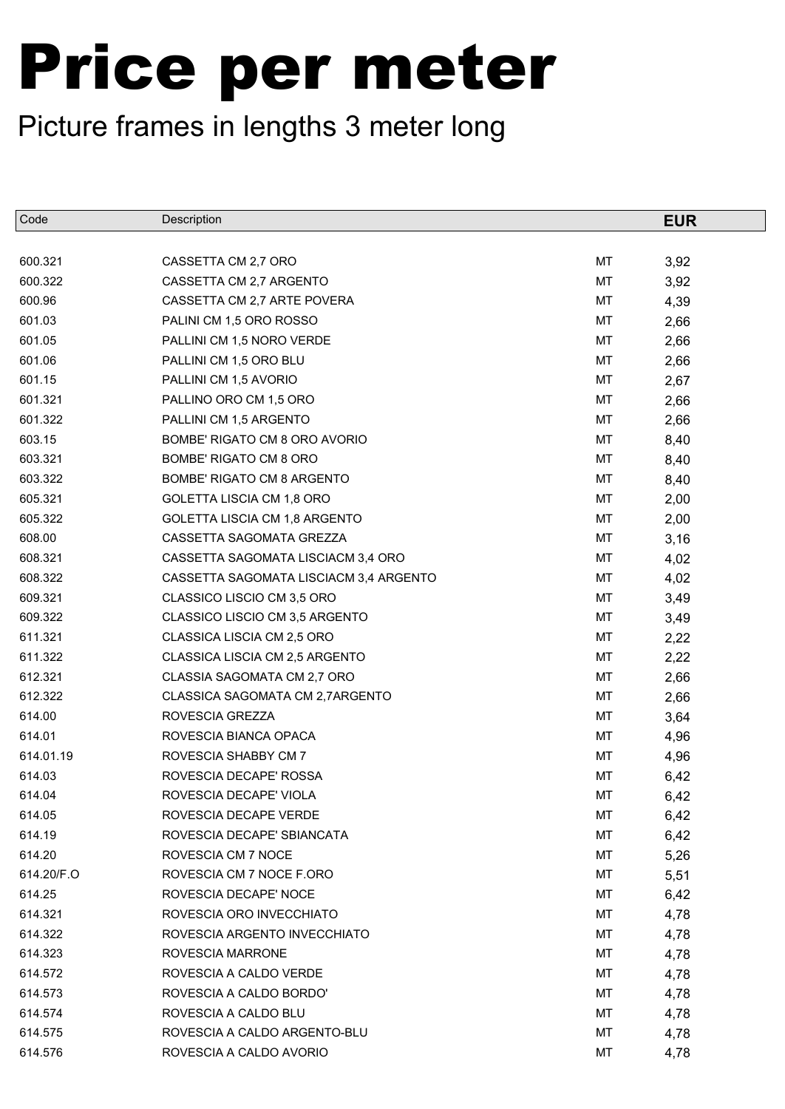| Code       | Description                            |    | <b>EUR</b> |
|------------|----------------------------------------|----|------------|
|            |                                        |    |            |
| 600.321    | CASSETTA CM 2,7 ORO                    | MT | 3,92       |
| 600.322    | CASSETTA CM 2,7 ARGENTO                | MT | 3,92       |
| 600.96     | CASSETTA CM 2,7 ARTE POVERA            | МT | 4,39       |
| 601.03     | PALINI CM 1,5 ORO ROSSO                | MT | 2,66       |
| 601.05     | PALLINI CM 1,5 NORO VERDE              | МT | 2,66       |
| 601.06     | PALLINI CM 1,5 ORO BLU                 | МT | 2,66       |
| 601.15     | PALLINI CM 1,5 AVORIO                  | МT | 2,67       |
| 601.321    | PALLINO ORO CM 1,5 ORO                 | MT | 2,66       |
| 601.322    | PALLINI CM 1,5 ARGENTO                 | МT | 2,66       |
| 603.15     | BOMBE' RIGATO CM 8 ORO AVORIO          | МT | 8,40       |
| 603.321    | BOMBE' RIGATO CM 8 ORO                 | МT | 8,40       |
| 603.322    | BOMBE' RIGATO CM 8 ARGENTO             | МT | 8,40       |
| 605.321    | GOLETTA LISCIA CM 1,8 ORO              | МT | 2,00       |
| 605.322    | GOLETTA LISCIA CM 1,8 ARGENTO          | МT | 2,00       |
| 608.00     | CASSETTA SAGOMATA GREZZA               | МT | 3,16       |
| 608.321    | CASSETTA SAGOMATA LISCIACM 3,4 ORO     | МT | 4,02       |
| 608.322    | CASSETTA SAGOMATA LISCIACM 3,4 ARGENTO | МT | 4,02       |
| 609.321    | CLASSICO LISCIO CM 3,5 ORO             | МT | 3,49       |
| 609.322    | CLASSICO LISCIO CM 3,5 ARGENTO         | МT | 3,49       |
| 611.321    | CLASSICA LISCIA CM 2,5 ORO             | МT | 2,22       |
| 611.322    | CLASSICA LISCIA CM 2,5 ARGENTO         | МT | 2,22       |
| 612.321    | CLASSIA SAGOMATA CM 2,7 ORO            | МT | 2,66       |
| 612.322    | CLASSICA SAGOMATA CM 2,7ARGENTO        | МT | 2,66       |
| 614.00     | ROVESCIA GREZZA                        | МT | 3,64       |
| 614.01     | ROVESCIA BIANCA OPACA                  | МT | 4,96       |
| 614.01.19  | ROVESCIA SHABBY CM 7                   | МT | 4,96       |
| 614.03     | ROVESCIA DECAPE' ROSSA                 | MT | 6,42       |
| 614.04     | ROVESCIA DECAPE' VIOLA                 | МT | 6,42       |
| 614.05     | ROVESCIA DECAPE VERDE                  | MТ | 6,42       |
| 614.19     | ROVESCIA DECAPE' SBIANCATA             | МT | 6,42       |
| 614.20     | ROVESCIA CM 7 NOCE                     | MТ | 5,26       |
| 614.20/F.O | ROVESCIA CM 7 NOCE F.ORO               | МT | 5,51       |
| 614.25     | ROVESCIA DECAPE' NOCE                  | MТ | 6,42       |
| 614.321    | ROVESCIA ORO INVECCHIATO               | МT | 4,78       |
| 614.322    | ROVESCIA ARGENTO INVECCHIATO           | MТ | 4,78       |
| 614.323    | ROVESCIA MARRONE                       | MТ | 4,78       |
| 614.572    | ROVESCIA A CALDO VERDE                 | МT | 4,78       |
| 614.573    | ROVESCIA A CALDO BORDO'                | МT | 4,78       |
| 614.574    | ROVESCIA A CALDO BLU                   | МT | 4,78       |
| 614.575    | ROVESCIA A CALDO ARGENTO-BLU           | МT | 4,78       |
| 614.576    | ROVESCIA A CALDO AVORIO                | МT | 4,78       |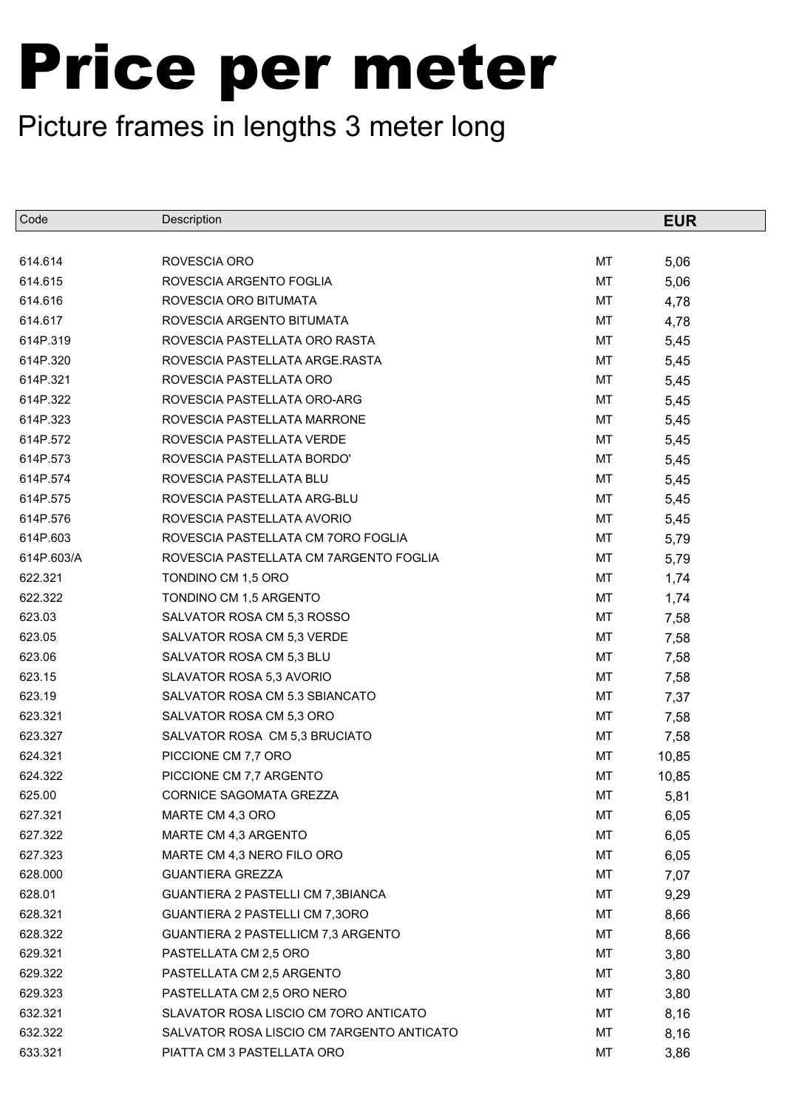| Code       | Description                               |    | <b>EUR</b> |
|------------|-------------------------------------------|----|------------|
|            |                                           |    |            |
| 614.614    | ROVESCIA ORO                              | МT | 5,06       |
| 614.615    | ROVESCIA ARGENTO FOGLIA                   | МT | 5,06       |
| 614.616    | ROVESCIA ORO BITUMATA                     | МT | 4,78       |
| 614.617    | ROVESCIA ARGENTO BITUMATA                 | МT | 4,78       |
| 614P.319   | ROVESCIA PASTELLATA ORO RASTA             | МT | 5,45       |
| 614P.320   | ROVESCIA PASTELLATA ARGE.RASTA            | МT | 5,45       |
| 614P.321   | ROVESCIA PASTELLATA ORO                   | МT | 5,45       |
| 614P.322   | ROVESCIA PASTELLATA ORO-ARG               | MT | 5,45       |
| 614P.323   | ROVESCIA PASTELLATA MARRONE               | МT | 5,45       |
| 614P.572   | ROVESCIA PASTELLATA VERDE                 | МT | 5,45       |
| 614P.573   | ROVESCIA PASTELLATA BORDO'                | МT | 5,45       |
| 614P.574   | ROVESCIA PASTELLATA BLU                   | МT | 5,45       |
| 614P.575   | ROVESCIA PASTELLATA ARG-BLU               | МT | 5,45       |
| 614P.576   | ROVESCIA PASTELLATA AVORIO                | МT | 5,45       |
| 614P.603   | ROVESCIA PASTELLATA CM 7ORO FOGLIA        | МT | 5,79       |
| 614P.603/A | ROVESCIA PASTELLATA CM 7ARGENTO FOGLIA    | МT | 5,79       |
| 622.321    | TONDINO CM 1,5 ORO                        | МT | 1,74       |
| 622.322    | TONDINO CM 1,5 ARGENTO                    | МT | 1,74       |
| 623.03     | SALVATOR ROSA CM 5,3 ROSSO                | МT | 7,58       |
| 623.05     | SALVATOR ROSA CM 5,3 VERDE                | MT | 7,58       |
| 623.06     | SALVATOR ROSA CM 5,3 BLU                  | МT | 7,58       |
| 623.15     | SLAVATOR ROSA 5,3 AVORIO                  | МT | 7,58       |
| 623.19     | SALVATOR ROSA CM 5.3 SBIANCATO            | МT | 7,37       |
| 623.321    | SALVATOR ROSA CM 5,3 ORO                  | МT | 7,58       |
| 623.327    | SALVATOR ROSA CM 5,3 BRUCIATO             | МT | 7,58       |
| 624.321    | PICCIONE CM 7,7 ORO                       | МT | 10,85      |
| 624.322    | PICCIONE CM 7,7 ARGENTO                   | MT | 10,85      |
| 625.00     | CORNICE SAGOMATA GREZZA                   | МT | 5,81       |
| 627.321    | MARTE CM 4,3 ORO                          | МT | 6,05       |
| 627.322    | MARTE CM 4,3 ARGENTO                      | MT | 6,05       |
| 627.323    | MARTE CM 4,3 NERO FILO ORO                | МT | 6,05       |
| 628.000    | <b>GUANTIERA GREZZA</b>                   | МT | 7,07       |
| 628.01     | GUANTIERA 2 PASTELLI CM 7,3BIANCA         | МT | 9,29       |
| 628.321    | GUANTIERA 2 PASTELLI CM 7,3ORO            | МT | 8,66       |
| 628.322    | GUANTIERA 2 PASTELLICM 7,3 ARGENTO        | МT | 8,66       |
| 629.321    | PASTELLATA CM 2,5 ORO                     | МT | 3,80       |
| 629.322    | PASTELLATA CM 2,5 ARGENTO                 | МT | 3,80       |
| 629.323    | PASTELLATA CM 2,5 ORO NERO                | МT | 3,80       |
| 632.321    | SLAVATOR ROSA LISCIO CM 70RO ANTICATO     | МT | 8,16       |
| 632.322    | SALVATOR ROSA LISCIO CM 7ARGENTO ANTICATO | МT | 8,16       |
| 633.321    | PIATTA CM 3 PASTELLATA ORO                | МT | 3,86       |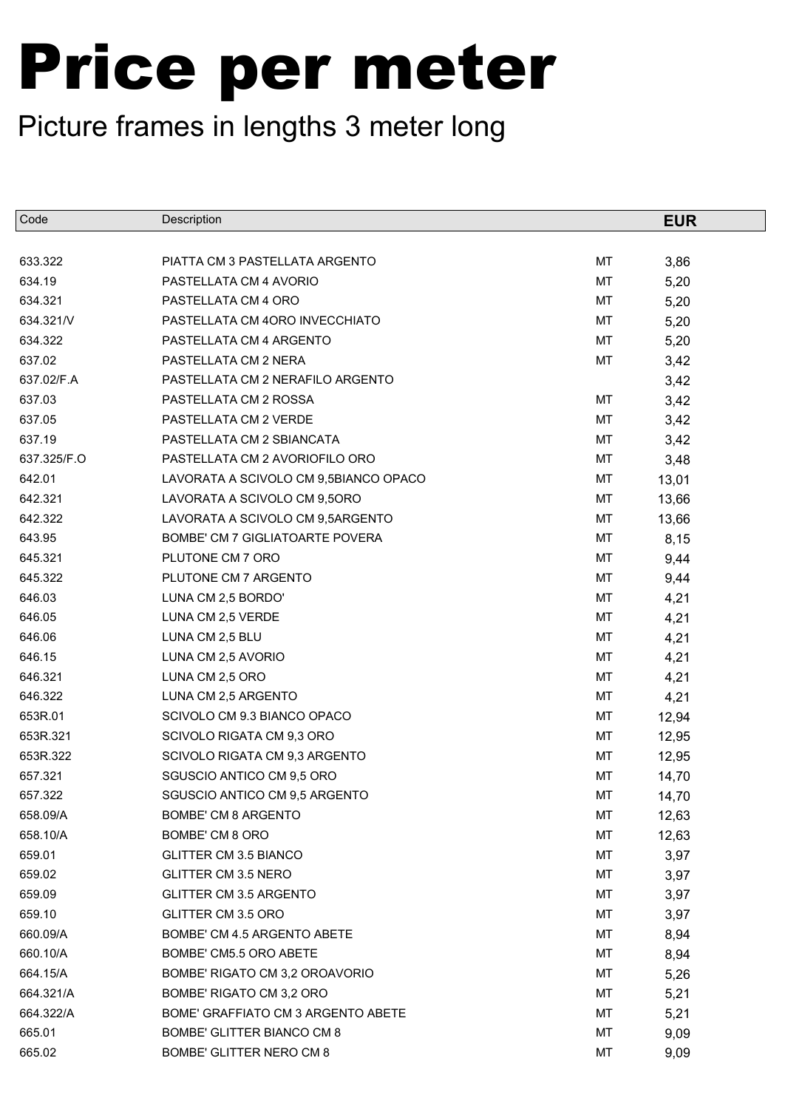| Code        | Description                           |           | <b>EUR</b> |
|-------------|---------------------------------------|-----------|------------|
|             |                                       |           |            |
| 633.322     | PIATTA CM 3 PASTELLATA ARGENTO        | MT        | 3,86       |
| 634.19      | PASTELLATA CM 4 AVORIO                | <b>MT</b> | 5,20       |
| 634.321     | PASTELLATA CM 4 ORO                   | <b>MT</b> | 5,20       |
| 634.321/V   | PASTELLATA CM 4ORO INVECCHIATO        | MT        | 5,20       |
| 634.322     | PASTELLATA CM 4 ARGENTO               | MT        | 5,20       |
| 637.02      | PASTELLATA CM 2 NERA                  | MT        | 3,42       |
| 637.02/F.A  | PASTELLATA CM 2 NERAFILO ARGENTO      |           | 3,42       |
| 637.03      | PASTELLATA CM 2 ROSSA                 | MT        | 3,42       |
| 637.05      | PASTELLATA CM 2 VERDE                 | MT        | 3,42       |
| 637.19      | PASTELLATA CM 2 SBIANCATA             | MT        | 3,42       |
| 637.325/F.O | PASTELLATA CM 2 AVORIOFILO ORO        | MT        | 3,48       |
| 642.01      | LAVORATA A SCIVOLO CM 9,5BIANCO OPACO | MT        | 13,01      |
| 642.321     | LAVORATA A SCIVOLO CM 9,5ORO          | MT        | 13,66      |
| 642.322     | LAVORATA A SCIVOLO CM 9,5ARGENTO      | MT        | 13,66      |
| 643.95      | BOMBE' CM 7 GIGLIATOARTE POVERA       | MT        | 8,15       |
| 645.321     | PLUTONE CM 7 ORO                      | MT        | 9,44       |
| 645.322     | PLUTONE CM 7 ARGENTO                  | MT        | 9,44       |
| 646.03      | LUNA CM 2,5 BORDO'                    | МT        | 4,21       |
| 646.05      | LUNA CM 2,5 VERDE                     | <b>MT</b> | 4,21       |
| 646.06      | LUNA CM 2,5 BLU                       | MT        | 4,21       |
| 646.15      | LUNA CM 2,5 AVORIO                    | MT        | 4,21       |
| 646.321     | LUNA CM 2,5 ORO                       | MT        | 4,21       |
| 646.322     | LUNA CM 2,5 ARGENTO                   | MT        | 4,21       |
| 653R.01     | SCIVOLO CM 9.3 BIANCO OPACO           | МT        | 12,94      |
| 653R.321    | SCIVOLO RIGATA CM 9,3 ORO             | MT        | 12,95      |
| 653R.322    | SCIVOLO RIGATA CM 9,3 ARGENTO         | MT        | 12,95      |
| 657.321     | SGUSCIO ANTICO CM 9,5 ORO             | MT        | 14,70      |
| 657.322     | SGUSCIO ANTICO CM 9,5 ARGENTO         | MT        | 14,70      |
| 658.09/A    | BOMBE' CM 8 ARGENTO                   | МT        | 12,63      |
| 658.10/A    | BOMBE' CM 8 ORO                       | МT        | 12,63      |
| 659.01      | <b>GLITTER CM 3.5 BIANCO</b>          | МT        | 3,97       |
| 659.02      | GLITTER CM 3.5 NERO                   | МT        | 3,97       |
| 659.09      | GLITTER CM 3.5 ARGENTO                | МT        | 3,97       |
| 659.10      | GLITTER CM 3.5 ORO                    | МT        | 3,97       |
| 660.09/A    | BOMBE' CM 4.5 ARGENTO ABETE           | МT        | 8,94       |
| 660.10/A    | BOMBE' CM5.5 ORO ABETE                | МT        | 8,94       |
| 664.15/A    | BOMBE' RIGATO CM 3,2 OROAVORIO        | МT        | 5,26       |
| 664.321/A   | BOMBE' RIGATO CM 3,2 ORO              | МT        | 5,21       |
| 664.322/A   | BOME' GRAFFIATO CM 3 ARGENTO ABETE    | МT        | 5,21       |
| 665.01      | BOMBE' GLITTER BIANCO CM 8            | МT        | 9,09       |
| 665.02      | BOMBE' GLITTER NERO CM 8              | МT        | 9,09       |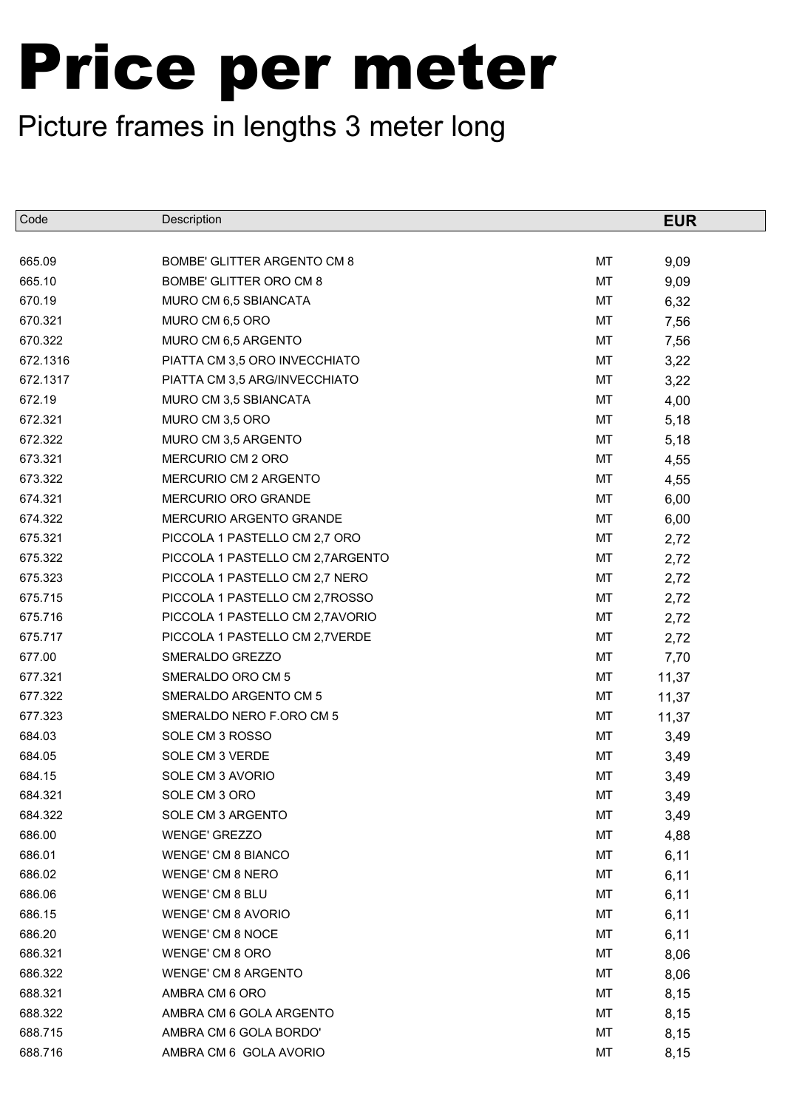| Code     | Description                        |    | <b>EUR</b> |
|----------|------------------------------------|----|------------|
|          |                                    |    |            |
| 665.09   | <b>BOMBE' GLITTER ARGENTO CM 8</b> | MT | 9,09       |
| 665.10   | BOMBE' GLITTER ORO CM 8            | MT | 9,09       |
| 670.19   | MURO CM 6,5 SBIANCATA              | MT | 6,32       |
| 670.321  | MURO CM 6,5 ORO                    | MT | 7,56       |
| 670.322  | MURO CM 6,5 ARGENTO                | MT | 7,56       |
| 672.1316 | PIATTA CM 3,5 ORO INVECCHIATO      | MT | 3,22       |
| 672.1317 | PIATTA CM 3,5 ARG/INVECCHIATO      | MT | 3,22       |
| 672.19   | MURO CM 3,5 SBIANCATA              | MT | 4,00       |
| 672.321  | MURO CM 3,5 ORO                    | MT | 5,18       |
| 672.322  | MURO CM 3,5 ARGENTO                | MT | 5,18       |
| 673.321  | MERCURIO CM 2 ORO                  | MT | 4,55       |
| 673.322  | MERCURIO CM 2 ARGENTO              | MT | 4,55       |
| 674.321  | MERCURIO ORO GRANDE                | MT | 6,00       |
| 674.322  | MERCURIO ARGENTO GRANDE            | MT | 6,00       |
| 675.321  | PICCOLA 1 PASTELLO CM 2,7 ORO      | MT | 2,72       |
| 675.322  | PICCOLA 1 PASTELLO CM 2,7ARGENTO   | MT | 2,72       |
| 675.323  | PICCOLA 1 PASTELLO CM 2,7 NERO     | MT | 2,72       |
| 675.715  | PICCOLA 1 PASTELLO CM 2,7ROSSO     | MT | 2,72       |
| 675.716  | PICCOLA 1 PASTELLO CM 2,7AVORIO    | MT | 2,72       |
| 675.717  | PICCOLA 1 PASTELLO CM 2,7VERDE     | MT | 2,72       |
| 677.00   | SMERALDO GREZZO                    | MT | 7,70       |
| 677.321  | SMERALDO ORO CM 5                  | MT | 11,37      |
| 677.322  | SMERALDO ARGENTO CM 5              | MT | 11,37      |
| 677.323  | SMERALDO NERO F.ORO CM 5           | MT | 11,37      |
| 684.03   | SOLE CM 3 ROSSO                    | MT | 3,49       |
| 684.05   | SOLE CM 3 VERDE                    | MT | 3,49       |
| 684.15   | SOLE CM 3 AVORIO                   | MT | 3,49       |
| 684.321  | SOLE CM 3 ORO                      | MT | 3,49       |
| 684.322  | SOLE CM 3 ARGENTO                  | МT | 3,49       |
| 686.00   | <b>WENGE' GREZZO</b>               | MT | 4,88       |
| 686.01   | <b>WENGE' CM 8 BIANCO</b>          | МT | 6,11       |
| 686.02   | <b>WENGE' CM 8 NERO</b>            | МT | 6,11       |
| 686.06   | WENGE' CM 8 BLU                    | МT | 6,11       |
| 686.15   | <b>WENGE' CM 8 AVORIO</b>          | МT | 6,11       |
| 686.20   | <b>WENGE' CM 8 NOCE</b>            | МT | 6,11       |
| 686.321  | WENGE' CM 8 ORO                    | МT | 8,06       |
| 686.322  | <b>WENGE' CM 8 ARGENTO</b>         | МT | 8,06       |
| 688.321  | AMBRA CM 6 ORO                     | МT | 8,15       |
| 688.322  | AMBRA CM 6 GOLA ARGENTO            | МT | 8,15       |
| 688.715  | AMBRA CM 6 GOLA BORDO'             | МT | 8,15       |
| 688.716  | AMBRA CM 6 GOLA AVORIO             | МT | 8,15       |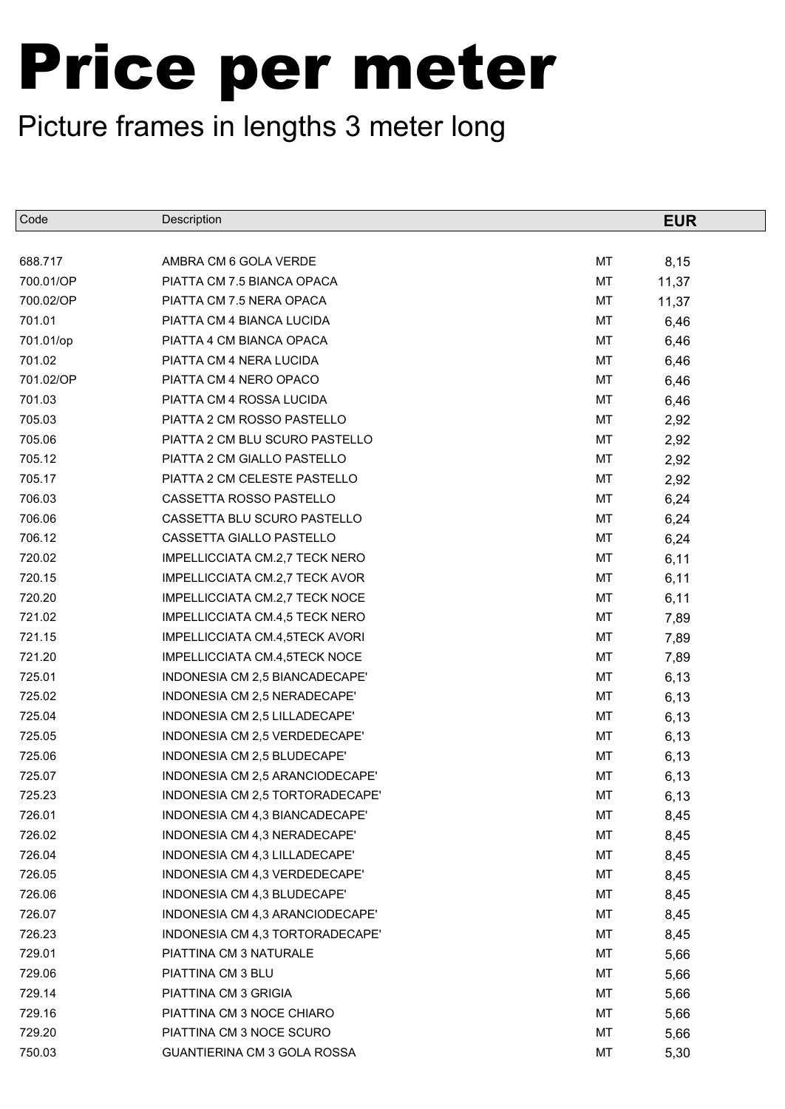| Code      | Description                     |    | <b>EUR</b> |
|-----------|---------------------------------|----|------------|
|           |                                 |    |            |
| 688.717   | AMBRA CM 6 GOLA VERDE           | MT | 8,15       |
| 700.01/OP | PIATTA CM 7.5 BIANCA OPACA      | MT | 11,37      |
| 700.02/OP | PIATTA CM 7.5 NERA OPACA        | МT | 11,37      |
| 701.01    | PIATTA CM 4 BIANCA LUCIDA       | MT | 6,46       |
| 701.01/op | PIATTA 4 CM BIANCA OPACA        | МT | 6,46       |
| 701.02    | PIATTA CM 4 NERA LUCIDA         | MT | 6,46       |
| 701.02/OP | PIATTA CM 4 NERO OPACO          | МT | 6,46       |
| 701.03    | PIATTA CM 4 ROSSA LUCIDA        | MT | 6,46       |
| 705.03    | PIATTA 2 CM ROSSO PASTELLO      | МT | 2,92       |
| 705.06    | PIATTA 2 CM BLU SCURO PASTELLO  | МT | 2,92       |
| 705.12    | PIATTA 2 CM GIALLO PASTELLO     | МT | 2,92       |
| 705.17    | PIATTA 2 CM CELESTE PASTELLO    | МT | 2,92       |
| 706.03    | CASSETTA ROSSO PASTELLO         | МT | 6,24       |
| 706.06    | CASSETTA BLU SCURO PASTELLO     | MT | 6,24       |
| 706.12    | CASSETTA GIALLO PASTELLO        | MT | 6,24       |
| 720.02    | IMPELLICCIATA CM.2,7 TECK NERO  | MT | 6,11       |
| 720.15    | IMPELLICCIATA CM.2,7 TECK AVOR  | MT | 6,11       |
| 720.20    | IMPELLICCIATA CM.2,7 TECK NOCE  | MT | 6,11       |
| 721.02    | IMPELLICCIATA CM.4,5 TECK NERO  | MT | 7,89       |
| 721.15    | IMPELLICCIATA CM.4,5TECK AVORI  | MT | 7,89       |
| 721.20    | IMPELLICCIATA CM.4,5TECK NOCE   | МT | 7,89       |
| 725.01    | INDONESIA CM 2,5 BIANCADECAPE'  | MT | 6,13       |
| 725.02    | INDONESIA CM 2,5 NERADECAPE'    | MT | 6,13       |
| 725.04    | INDONESIA CM 2,5 LILLADECAPE'   | MT | 6,13       |
| 725.05    | INDONESIA CM 2,5 VERDEDECAPE'   | МT | 6,13       |
| 725.06    | INDONESIA CM 2,5 BLUDECAPE'     | MT | 6,13       |
| 725.07    | INDONESIA CM 2,5 ARANCIODECAPE' | MT | 6,13       |
| 725.23    | INDONESIA CM 2,5 TORTORADECAPE' | MT | 6,13       |
| 726.01    | INDONESIA CM 4,3 BIANCADECAPE'  | МT | 8,45       |
| 726.02    | INDONESIA CM 4,3 NERADECAPE'    | МT | 8,45       |
| 726.04    | INDONESIA CM 4,3 LILLADECAPE'   | МT | 8,45       |
| 726.05    | INDONESIA CM 4,3 VERDEDECAPE'   | МT | 8,45       |
| 726.06    | INDONESIA CM 4,3 BLUDECAPE'     | МT | 8,45       |
| 726.07    | INDONESIA CM 4,3 ARANCIODECAPE' | МT | 8,45       |
| 726.23    | INDONESIA CM 4,3 TORTORADECAPE' | МT | 8,45       |
| 729.01    | PIATTINA CM 3 NATURALE          | МT | 5,66       |
| 729.06    | PIATTINA CM 3 BLU               | МT | 5,66       |
| 729.14    | PIATTINA CM 3 GRIGIA            | МT | 5,66       |
| 729.16    | PIATTINA CM 3 NOCE CHIARO       | МT | 5,66       |
| 729.20    | PIATTINA CM 3 NOCE SCURO        | МT | 5,66       |
| 750.03    | GUANTIERINA CM 3 GOLA ROSSA     | МT | 5,30       |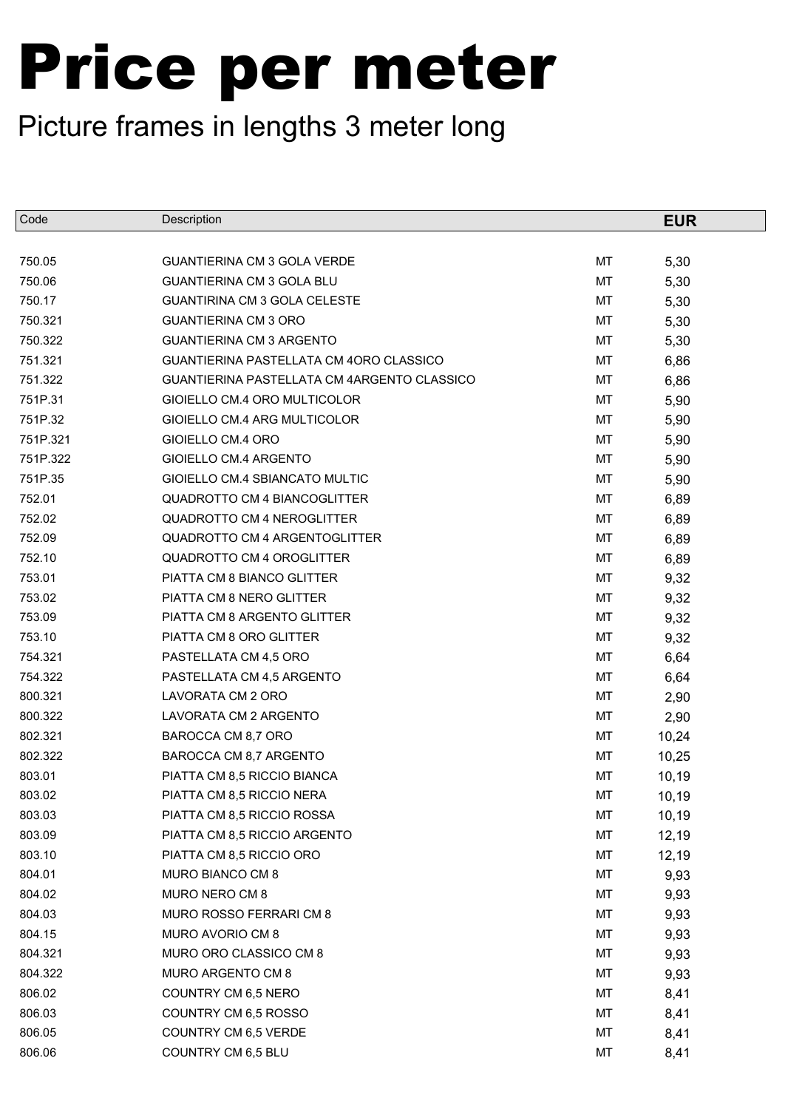| Code     | Description                                 |    | <b>EUR</b> |
|----------|---------------------------------------------|----|------------|
|          |                                             |    |            |
| 750.05   | <b>GUANTIERINA CM 3 GOLA VERDE</b>          | MT | 5,30       |
| 750.06   | <b>GUANTIERINA CM 3 GOLA BLU</b>            | MT | 5,30       |
| 750.17   | <b>GUANTIRINA CM 3 GOLA CELESTE</b>         | MT | 5,30       |
| 750.321  | <b>GUANTIERINA CM 3 ORO</b>                 | MT | 5,30       |
| 750.322  | <b>GUANTIERINA CM 3 ARGENTO</b>             | MT | 5,30       |
| 751.321  | GUANTIERINA PASTELLATA CM 4ORO CLASSICO     | MT | 6,86       |
| 751.322  | GUANTIERINA PASTELLATA CM 4ARGENTO CLASSICO | MT | 6,86       |
| 751P.31  | GIOIELLO CM.4 ORO MULTICOLOR                | MT | 5,90       |
| 751P.32  | GIOIELLO CM.4 ARG MULTICOLOR                | MT | 5,90       |
| 751P.321 | GIOIELLO CM.4 ORO                           | MT | 5,90       |
| 751P.322 | GIOIELLO CM.4 ARGENTO                       | MT | 5,90       |
| 751P.35  | GIOIELLO CM.4 SBIANCATO MULTIC              | MT | 5,90       |
| 752.01   | <b>QUADROTTO CM 4 BIANCOGLITTER</b>         | MT | 6,89       |
| 752.02   | <b>QUADROTTO CM 4 NEROGLITTER</b>           | MT | 6,89       |
| 752.09   | <b>QUADROTTO CM 4 ARGENTOGLITTER</b>        | MT | 6,89       |
| 752.10   | <b>QUADROTTO CM 4 OROGLITTER</b>            | MT | 6,89       |
| 753.01   | PIATTA CM 8 BIANCO GLITTER                  | MT | 9,32       |
| 753.02   | PIATTA CM 8 NERO GLITTER                    | MT | 9,32       |
| 753.09   | PIATTA CM 8 ARGENTO GLITTER                 | MT | 9,32       |
| 753.10   | PIATTA CM 8 ORO GLITTER                     | MT | 9,32       |
| 754.321  | PASTELLATA CM 4,5 ORO                       | MT | 6,64       |
| 754.322  | PASTELLATA CM 4,5 ARGENTO                   | MT | 6,64       |
| 800.321  | LAVORATA CM 2 ORO                           | MT | 2,90       |
| 800.322  | LAVORATA CM 2 ARGENTO                       | MT | 2,90       |
| 802.321  | BAROCCA CM 8,7 ORO                          | MT | 10,24      |
| 802.322  | BAROCCA CM 8,7 ARGENTO                      | MT | 10,25      |
| 803.01   | PIATTA CM 8,5 RICCIO BIANCA                 | MT | 10,19      |
| 803.02   | PIATTA CM 8,5 RICCIO NERA                   | MT | 10,19      |
| 803.03   | PIATTA CM 8,5 RICCIO ROSSA                  | МT | 10,19      |
| 803.09   | PIATTA CM 8,5 RICCIO ARGENTO                | MT | 12,19      |
| 803.10   | PIATTA CM 8,5 RICCIO ORO                    | МT | 12,19      |
| 804.01   | MURO BIANCO CM 8                            | MT | 9,93       |
| 804.02   | MURO NERO CM 8                              | МT | 9,93       |
| 804.03   | MURO ROSSO FERRARI CM 8                     | MT | 9,93       |
| 804.15   | MURO AVORIO CM 8                            | МT | 9,93       |
| 804.321  | MURO ORO CLASSICO CM 8                      | MT | 9,93       |
| 804.322  | MURO ARGENTO CM 8                           | МT | 9,93       |
| 806.02   | COUNTRY CM 6,5 NERO                         | MT | 8,41       |
| 806.03   | COUNTRY CM 6,5 ROSSO                        | МT | 8,41       |
| 806.05   | COUNTRY CM 6,5 VERDE                        | MT | 8,41       |
| 806.06   | COUNTRY CM 6,5 BLU                          | MT | 8,41       |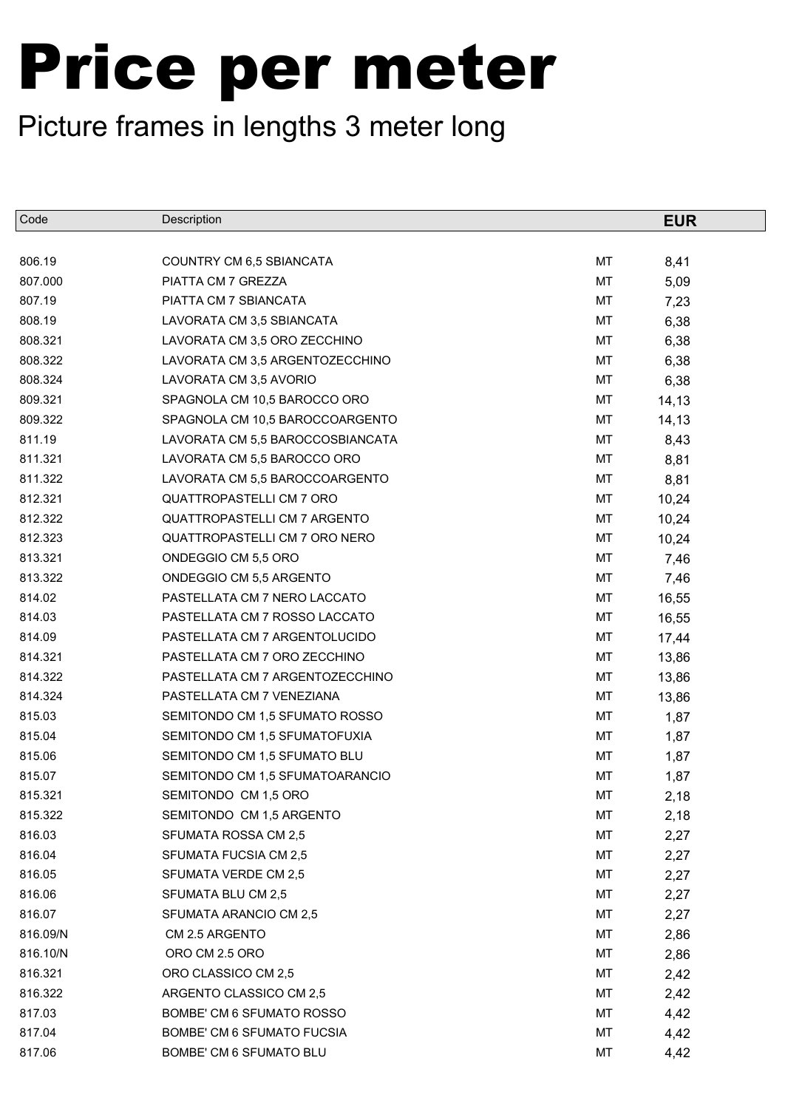| Code     | Description                      |    | <b>EUR</b> |
|----------|----------------------------------|----|------------|
|          |                                  |    |            |
| 806.19   | COUNTRY CM 6,5 SBIANCATA         | MT | 8,41       |
| 807.000  | PIATTA CM 7 GREZZA               | MT | 5,09       |
| 807.19   | PIATTA CM 7 SBIANCATA            | MT | 7,23       |
| 808.19   | LAVORATA CM 3,5 SBIANCATA        | MT | 6,38       |
| 808.321  | LAVORATA CM 3,5 ORO ZECCHINO     | MT | 6,38       |
| 808.322  | LAVORATA CM 3,5 ARGENTOZECCHINO  | MT | 6,38       |
| 808.324  | LAVORATA CM 3,5 AVORIO           | MT | 6,38       |
| 809.321  | SPAGNOLA CM 10,5 BAROCCO ORO     | MT | 14,13      |
| 809.322  | SPAGNOLA CM 10,5 BAROCCOARGENTO  | MT | 14,13      |
| 811.19   | LAVORATA CM 5,5 BAROCCOSBIANCATA | MT | 8,43       |
| 811.321  | LAVORATA CM 5,5 BAROCCO ORO      | MT | 8,81       |
| 811.322  | LAVORATA CM 5,5 BAROCCOARGENTO   | MT | 8,81       |
| 812.321  | <b>QUATTROPASTELLI CM 7 ORO</b>  | MT | 10,24      |
| 812.322  | QUATTROPASTELLI CM 7 ARGENTO     | MT | 10,24      |
| 812.323  | QUATTROPASTELLI CM 7 ORO NERO    | MT | 10,24      |
| 813.321  | ONDEGGIO CM 5,5 ORO              | MT | 7,46       |
| 813.322  | ONDEGGIO CM 5,5 ARGENTO          | MT | 7,46       |
| 814.02   | PASTELLATA CM 7 NERO LACCATO     | MT | 16,55      |
| 814.03   | PASTELLATA CM 7 ROSSO LACCATO    | MT | 16,55      |
| 814.09   | PASTELLATA CM 7 ARGENTOLUCIDO    | MT | 17,44      |
| 814.321  | PASTELLATA CM 7 ORO ZECCHINO     | MT | 13,86      |
| 814.322  | PASTELLATA CM 7 ARGENTOZECCHINO  | MT | 13,86      |
| 814.324  | PASTELLATA CM 7 VENEZIANA        | MT | 13,86      |
| 815.03   | SEMITONDO CM 1,5 SFUMATO ROSSO   | MT | 1,87       |
| 815.04   | SEMITONDO CM 1,5 SFUMATOFUXIA    | MT | 1,87       |
| 815.06   | SEMITONDO CM 1,5 SFUMATO BLU     | MT | 1,87       |
| 815.07   | SEMITONDO CM 1,5 SFUMATOARANCIO  | MT | 1,87       |
| 815.321  | SEMITONDO CM 1,5 ORO             | MT | 2,18       |
| 815.322  | SEMITONDO CM 1,5 ARGENTO         | МT | 2,18       |
| 816.03   | SFUMATA ROSSA CM 2,5             | МT | 2,27       |
| 816.04   | SFUMATA FUCSIA CM 2,5            | МT | 2,27       |
| 816.05   | SFUMATA VERDE CM 2,5             | МT | 2,27       |
| 816.06   | SFUMATA BLU CM 2,5               | МT | 2,27       |
| 816.07   | SFUMATA ARANCIO CM 2,5           | МT | 2,27       |
| 816.09/N | CM 2.5 ARGENTO                   | МT | 2,86       |
| 816.10/N | ORO CM 2.5 ORO                   | МT | 2,86       |
| 816.321  | ORO CLASSICO CM 2,5              | МT | 2,42       |
| 816.322  | ARGENTO CLASSICO CM 2,5          | МT | 2,42       |
| 817.03   | BOMBE' CM 6 SFUMATO ROSSO        | МT | 4,42       |
| 817.04   | BOMBE' CM 6 SFUMATO FUCSIA       | МT | 4,42       |
| 817.06   | BOMBE' CM 6 SFUMATO BLU          | МT | 4,42       |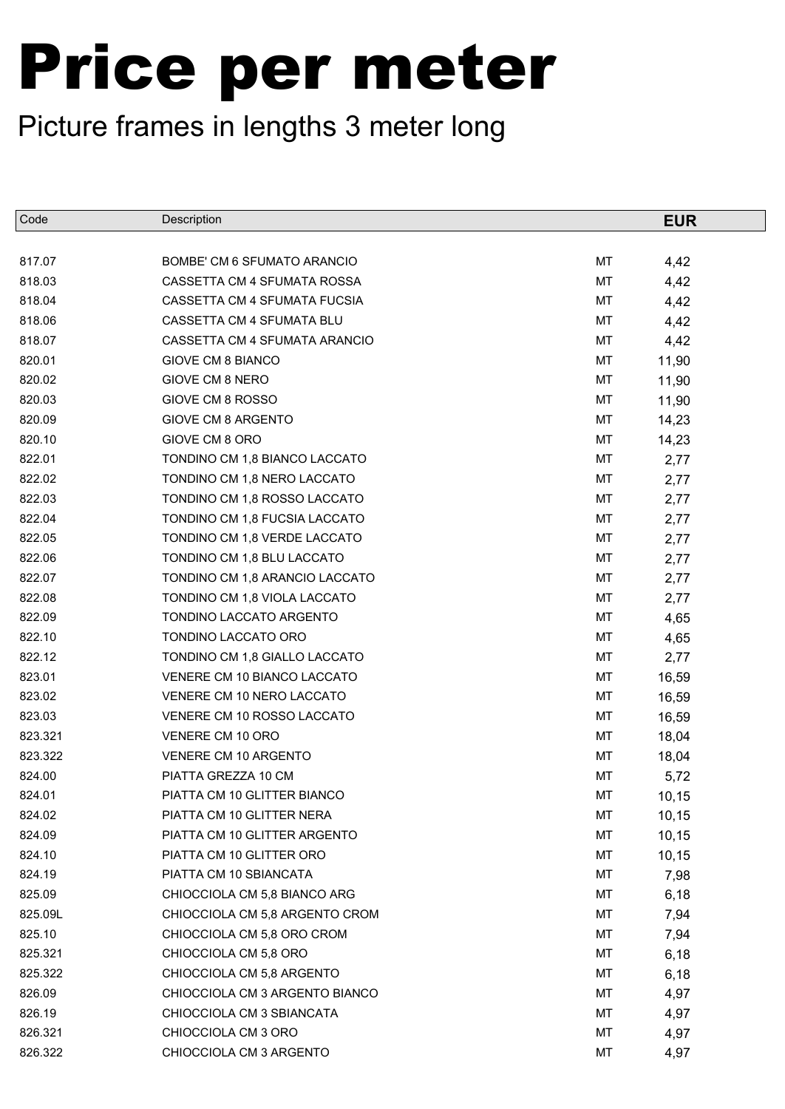| Code    | Description                    |    | <b>EUR</b> |
|---------|--------------------------------|----|------------|
|         |                                |    |            |
| 817.07  | BOMBE' CM 6 SFUMATO ARANCIO    | MT | 4,42       |
| 818.03  | CASSETTA CM 4 SFUMATA ROSSA    | МT | 4,42       |
| 818.04  | CASSETTA CM 4 SFUMATA FUCSIA   | МT | 4,42       |
| 818.06  | CASSETTA CM 4 SFUMATA BLU      | MT | 4,42       |
| 818.07  | CASSETTA CM 4 SFUMATA ARANCIO  | MT | 4,42       |
| 820.01  | <b>GIOVE CM 8 BIANCO</b>       | MT | 11,90      |
| 820.02  | GIOVE CM 8 NERO                | MT | 11,90      |
| 820.03  | GIOVE CM 8 ROSSO               | МT | 11,90      |
| 820.09  | GIOVE CM 8 ARGENTO             | MT | 14,23      |
| 820.10  | GIOVE CM 8 ORO                 | MT | 14,23      |
| 822.01  | TONDINO CM 1,8 BIANCO LACCATO  | MT | 2,77       |
| 822.02  | TONDINO CM 1,8 NERO LACCATO    | MT | 2,77       |
| 822.03  | TONDINO CM 1,8 ROSSO LACCATO   | MT | 2,77       |
| 822.04  | TONDINO CM 1,8 FUCSIA LACCATO  | MT | 2,77       |
| 822.05  | TONDINO CM 1,8 VERDE LACCATO   | MT | 2,77       |
| 822.06  | TONDINO CM 1,8 BLU LACCATO     | MT | 2,77       |
| 822.07  | TONDINO CM 1,8 ARANCIO LACCATO | MT | 2,77       |
| 822.08  | TONDINO CM 1,8 VIOLA LACCATO   | МT | 2,77       |
| 822.09  | TONDINO LACCATO ARGENTO        | MT | 4,65       |
| 822.10  | TONDINO LACCATO ORO            | МT | 4,65       |
| 822.12  | TONDINO CM 1,8 GIALLO LACCATO  | MT | 2,77       |
| 823.01  | VENERE CM 10 BIANCO LACCATO    | MT | 16,59      |
| 823.02  | VENERE CM 10 NERO LACCATO      | MT | 16,59      |
| 823.03  | VENERE CM 10 ROSSO LACCATO     | MT | 16,59      |
| 823.321 | VENERE CM 10 ORO               | MT | 18,04      |
| 823.322 | VENERE CM 10 ARGENTO           | MT | 18,04      |
| 824.00  | PIATTA GREZZA 10 CM            | MT | 5,72       |
| 824.01  | PIATTA CM 10 GLITTER BIANCO    | MT | 10,15      |
| 824.02  | PIATTA CM 10 GLITTER NERA      | МT | 10,15      |
| 824.09  | PIATTA CM 10 GLITTER ARGENTO   | МT | 10,15      |
| 824.10  | PIATTA CM 10 GLITTER ORO       | МT | 10,15      |
| 824.19  | PIATTA CM 10 SBIANCATA         | МT | 7,98       |
| 825.09  | CHIOCCIOLA CM 5,8 BIANCO ARG   | МT | 6,18       |
| 825.09L | CHIOCCIOLA CM 5,8 ARGENTO CROM | МT | 7,94       |
| 825.10  | CHIOCCIOLA CM 5,8 ORO CROM     | МT | 7,94       |
| 825.321 | CHIOCCIOLA CM 5,8 ORO          | МT | 6,18       |
| 825.322 | CHIOCCIOLA CM 5,8 ARGENTO      | МT | 6,18       |
| 826.09  | CHIOCCIOLA CM 3 ARGENTO BIANCO | МT | 4,97       |
| 826.19  | CHIOCCIOLA CM 3 SBIANCATA      | МT | 4,97       |
| 826.321 | CHIOCCIOLA CM 3 ORO            | МT | 4,97       |
| 826.322 | CHIOCCIOLA CM 3 ARGENTO        | МT | 4,97       |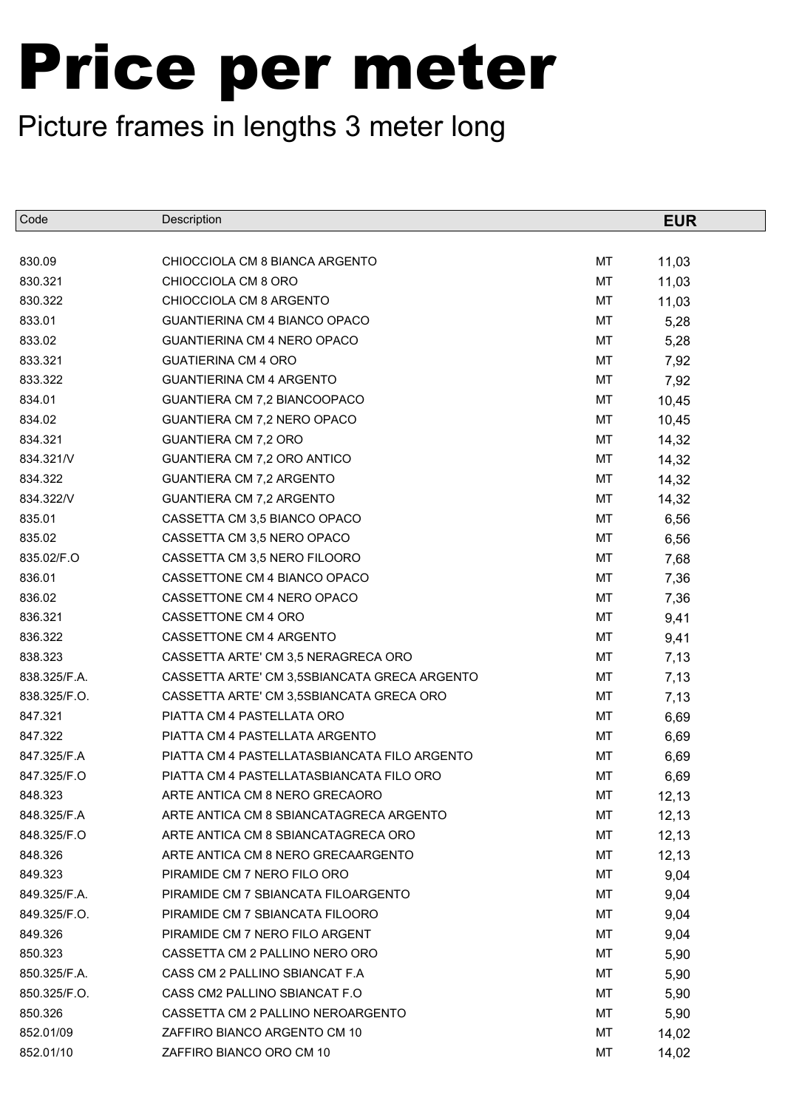| Code         | Description                                  |    | <b>EUR</b> |
|--------------|----------------------------------------------|----|------------|
|              |                                              |    |            |
| 830.09       | CHIOCCIOLA CM 8 BIANCA ARGENTO               | MT | 11,03      |
| 830.321      | CHIOCCIOLA CM 8 ORO                          | MT | 11,03      |
| 830.322      | CHIOCCIOLA CM 8 ARGENTO                      | МT | 11,03      |
| 833.01       | GUANTIERINA CM 4 BIANCO OPACO                | MT | 5,28       |
| 833.02       | <b>GUANTIERINA CM 4 NERO OPACO</b>           | MT | 5,28       |
| 833.321      | <b>GUATIERINA CM 4 ORO</b>                   | MT | 7,92       |
| 833.322      | <b>GUANTIERINA CM 4 ARGENTO</b>              | MT | 7,92       |
| 834.01       | GUANTIERA CM 7,2 BIANCOOPACO                 | MT | 10,45      |
| 834.02       | GUANTIERA CM 7,2 NERO OPACO                  | MT | 10,45      |
| 834.321      | GUANTIERA CM 7,2 ORO                         | MT | 14,32      |
| 834.321/V    | GUANTIERA CM 7,2 ORO ANTICO                  | MT | 14,32      |
| 834.322      | GUANTIERA CM 7,2 ARGENTO                     | MT | 14,32      |
| 834.322/V    | GUANTIERA CM 7,2 ARGENTO                     | МT | 14,32      |
| 835.01       | CASSETTA CM 3,5 BIANCO OPACO                 | MT | 6,56       |
| 835.02       | CASSETTA CM 3,5 NERO OPACO                   | MT | 6,56       |
| 835.02/F.O   | CASSETTA CM 3,5 NERO FILOORO                 | MT | 7,68       |
| 836.01       | CASSETTONE CM 4 BIANCO OPACO                 | MT | 7,36       |
| 836.02       | CASSETTONE CM 4 NERO OPACO                   | MT | 7,36       |
| 836.321      | CASSETTONE CM 4 ORO                          | MT | 9,41       |
| 836.322      | CASSETTONE CM 4 ARGENTO                      | MT | 9,41       |
| 838.323      | CASSETTA ARTE' CM 3,5 NERAGRECA ORO          | MT | 7,13       |
| 838.325/F.A. | CASSETTA ARTE' CM 3,5SBIANCATA GRECA ARGENTO | MT | 7,13       |
| 838.325/F.O. | CASSETTA ARTE' CM 3,5SBIANCATA GRECA ORO     | MT | 7,13       |
| 847.321      | PIATTA CM 4 PASTELLATA ORO                   | MT | 6,69       |
| 847.322      | PIATTA CM 4 PASTELLATA ARGENTO               | MT | 6,69       |
| 847.325/F.A  | PIATTA CM 4 PASTELLATASBIANCATA FILO ARGENTO | MT | 6,69       |
| 847.325/F.O  | PIATTA CM 4 PASTELLATASBIANCATA FILO ORO     | MT | 6,69       |
| 848.323      | ARTE ANTICA CM 8 NERO GRECAORO               | MT | 12, 13     |
| 848.325/F.A  | ARTE ANTICA CM 8 SBIANCATAGRECA ARGENTO      | МT | 12,13      |
| 848.325/F.O  | ARTE ANTICA CM 8 SBIANCATAGRECA ORO          | MT | 12, 13     |
| 848.326      | ARTE ANTICA CM 8 NERO GRECAARGENTO           | МT | 12, 13     |
| 849.323      | PIRAMIDE CM 7 NERO FILO ORO                  | МT | 9,04       |
| 849.325/F.A. | PIRAMIDE CM 7 SBIANCATA FILOARGENTO          | МT | 9,04       |
| 849.325/F.O. | PIRAMIDE CM 7 SBIANCATA FILOORO              | МT | 9,04       |
| 849.326      | PIRAMIDE CM 7 NERO FILO ARGENT               | МT | 9,04       |
| 850.323      | CASSETTA CM 2 PALLINO NERO ORO               | МT | 5,90       |
| 850.325/F.A. | CASS CM 2 PALLINO SBIANCAT F.A.              | МT | 5,90       |
| 850.325/F.O. | CASS CM2 PALLINO SBIANCAT F.O.               | MT | 5,90       |
| 850.326      | CASSETTA CM 2 PALLINO NEROARGENTO            | МT | 5,90       |
| 852.01/09    | ZAFFIRO BIANCO ARGENTO CM 10                 | MT | 14,02      |
| 852.01/10    | ZAFFIRO BIANCO ORO CM 10                     | МT | 14,02      |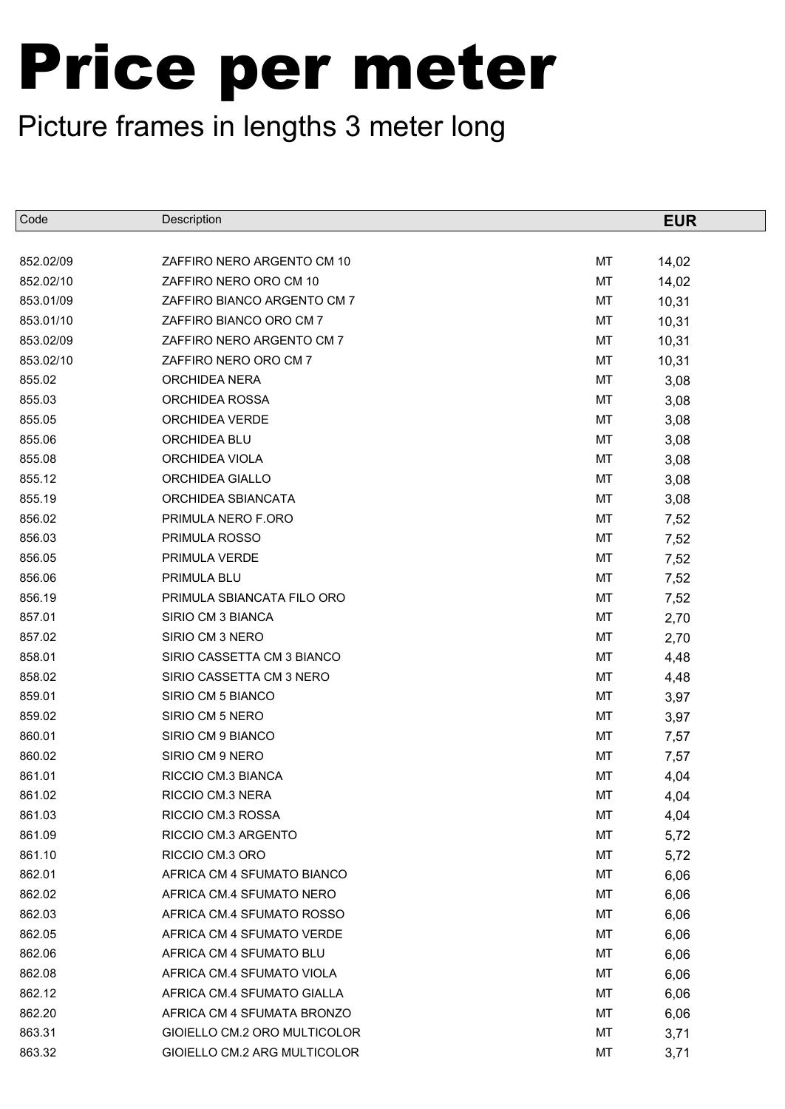| Code      | Description                  |    | <b>EUR</b> |
|-----------|------------------------------|----|------------|
|           |                              |    |            |
| 852.02/09 | ZAFFIRO NERO ARGENTO CM 10   | MT | 14,02      |
| 852.02/10 | ZAFFIRO NERO ORO CM 10       | MT | 14,02      |
| 853.01/09 | ZAFFIRO BIANCO ARGENTO CM 7  | MT | 10,31      |
| 853.01/10 | ZAFFIRO BIANCO ORO CM 7      | MT | 10,31      |
| 853.02/09 | ZAFFIRO NERO ARGENTO CM 7    | MT | 10,31      |
| 853.02/10 | ZAFFIRO NERO ORO CM 7        | MT | 10,31      |
| 855.02    | ORCHIDEA NERA                | MT | 3,08       |
| 855.03    | ORCHIDEA ROSSA               | МT | 3,08       |
| 855.05    | <b>ORCHIDEA VERDE</b>        | MT | 3,08       |
| 855.06    | ORCHIDEA BLU                 | МT | 3,08       |
| 855.08    | ORCHIDEA VIOLA               | MT | 3,08       |
| 855.12    | ORCHIDEA GIALLO              | МT | 3,08       |
| 855.19    | ORCHIDEA SBIANCATA           | MT | 3,08       |
| 856.02    | PRIMULA NERO F.ORO           | MT | 7,52       |
| 856.03    | PRIMULA ROSSO                | MT | 7,52       |
| 856.05    | PRIMULA VERDE                | MT | 7,52       |
| 856.06    | PRIMULA BLU                  | MT | 7,52       |
| 856.19    | PRIMULA SBIANCATA FILO ORO   | MT | 7,52       |
| 857.01    | SIRIO CM 3 BIANCA            | MT | 2,70       |
| 857.02    | SIRIO CM 3 NERO              | МT | 2,70       |
| 858.01    | SIRIO CASSETTA CM 3 BIANCO   | MT | 4,48       |
| 858.02    | SIRIO CASSETTA CM 3 NERO     | MT | 4,48       |
| 859.01    | SIRIO CM 5 BIANCO            | MT | 3,97       |
| 859.02    | SIRIO CM 5 NERO              | MT | 3,97       |
| 860.01    | SIRIO CM 9 BIANCO            | MT | 7,57       |
| 860.02    | SIRIO CM 9 NERO              | MT | 7,57       |
| 861.01    | RICCIO CM.3 BIANCA           | MT | 4,04       |
| 861.02    | RICCIO CM.3 NERA             | MT | 4,04       |
| 861.03    | RICCIO CM.3 ROSSA            | МT | 4,04       |
| 861.09    | RICCIO CM.3 ARGENTO          | МT | 5,72       |
| 861.10    | RICCIO CM.3 ORO              | МT | 5,72       |
| 862.01    | AFRICA CM 4 SFUMATO BIANCO   | МT | 6,06       |
| 862.02    | AFRICA CM.4 SFUMATO NERO     | МT | 6,06       |
| 862.03    | AFRICA CM.4 SFUMATO ROSSO    | МT | 6,06       |
| 862.05    | AFRICA CM 4 SFUMATO VERDE    | МT | 6,06       |
| 862.06    | AFRICA CM 4 SFUMATO BLU      | МT | 6,06       |
| 862.08    | AFRICA CM.4 SFUMATO VIOLA    | МT | 6,06       |
| 862.12    | AFRICA CM.4 SFUMATO GIALLA   | МT | 6,06       |
| 862.20    | AFRICA CM 4 SFUMATA BRONZO   | МT | 6,06       |
| 863.31    | GIOIELLO CM.2 ORO MULTICOLOR | МT | 3,71       |
| 863.32    | GIOIELLO CM.2 ARG MULTICOLOR | МT | 3,71       |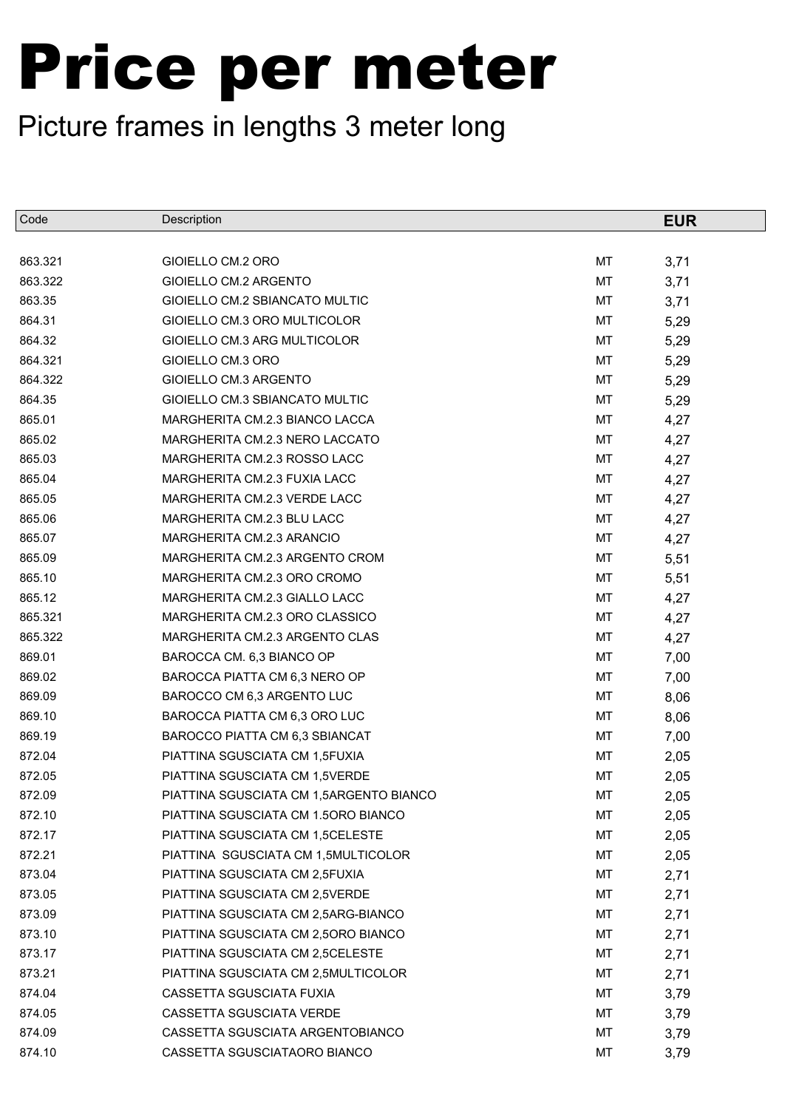| Code    | Description                             |    | <b>EUR</b> |
|---------|-----------------------------------------|----|------------|
|         |                                         |    |            |
| 863.321 | GIOIELLO CM.2 ORO                       | MT | 3,71       |
| 863.322 | GIOIELLO CM.2 ARGENTO                   | MT | 3,71       |
| 863.35  | GIOIELLO CM.2 SBIANCATO MULTIC          | MT | 3,71       |
| 864.31  | GIOIELLO CM.3 ORO MULTICOLOR            | MT | 5,29       |
| 864.32  | GIOIELLO CM.3 ARG MULTICOLOR            | MT | 5,29       |
| 864.321 | GIOIELLO CM.3 ORO                       | MT | 5,29       |
| 864.322 | GIOIELLO CM.3 ARGENTO                   | MT | 5,29       |
| 864.35  | GIOIELLO CM.3 SBIANCATO MULTIC          | MT | 5,29       |
| 865.01  | MARGHERITA CM.2.3 BIANCO LACCA          | MT | 4,27       |
| 865.02  | MARGHERITA CM.2.3 NERO LACCATO          | MT | 4,27       |
| 865.03  | MARGHERITA CM.2.3 ROSSO LACC            | MT | 4,27       |
| 865.04  | MARGHERITA CM.2.3 FUXIA LACC            | MT | 4,27       |
| 865.05  | MARGHERITA CM.2.3 VERDE LACC            | MT | 4,27       |
| 865.06  | MARGHERITA CM.2.3 BLU LACC              | MT | 4,27       |
| 865.07  | MARGHERITA CM.2.3 ARANCIO               | MT | 4,27       |
| 865.09  | MARGHERITA CM.2.3 ARGENTO CROM          | MT | 5,51       |
| 865.10  | MARGHERITA CM.2.3 ORO CROMO             | MT | 5,51       |
| 865.12  | MARGHERITA CM.2.3 GIALLO LACC           | MT | 4,27       |
| 865.321 | MARGHERITA CM.2.3 ORO CLASSICO          | MT | 4,27       |
| 865.322 | MARGHERITA CM.2.3 ARGENTO CLAS          | MT | 4,27       |
| 869.01  | BAROCCA CM. 6,3 BIANCO OP               | MT | 7,00       |
| 869.02  | BAROCCA PIATTA CM 6,3 NERO OP           | MT | 7,00       |
| 869.09  | BAROCCO CM 6,3 ARGENTO LUC              | MT | 8,06       |
| 869.10  | BAROCCA PIATTA CM 6,3 ORO LUC           | MT | 8,06       |
| 869.19  | BAROCCO PIATTA CM 6,3 SBIANCAT          | MT | 7,00       |
| 872.04  | PIATTINA SGUSCIATA CM 1,5FUXIA          | MT | 2,05       |
| 872.05  | PIATTINA SGUSCIATA CM 1,5VERDE          | MT | 2,05       |
| 872.09  | PIATTINA SGUSCIATA CM 1,5ARGENTO BIANCO | MT | 2,05       |
| 872.10  | PIATTINA SGUSCIATA CM 1.50RO BIANCO     | МT | 2,05       |
| 872.17  | PIATTINA SGUSCIATA CM 1,5CELESTE        | MT | 2,05       |
| 872.21  | PIATTINA SGUSCIATA CM 1,5MULTICOLOR     | MT | 2,05       |
| 873.04  | PIATTINA SGUSCIATA CM 2,5FUXIA          | MT | 2,71       |
| 873.05  | PIATTINA SGUSCIATA CM 2,5VERDE          | MT | 2,71       |
| 873.09  | PIATTINA SGUSCIATA CM 2,5ARG-BIANCO     | MT | 2,71       |
| 873.10  | PIATTINA SGUSCIATA CM 2,5ORO BIANCO     | MT | 2,71       |
| 873.17  | PIATTINA SGUSCIATA CM 2,5CELESTE        | MT | 2,71       |
| 873.21  | PIATTINA SGUSCIATA CM 2,5MULTICOLOR     | MT | 2,71       |
| 874.04  | CASSETTA SGUSCIATA FUXIA                | MT | 3,79       |
| 874.05  | CASSETTA SGUSCIATA VERDE                | MT | 3,79       |
| 874.09  | CASSETTA SGUSCIATA ARGENTOBIANCO        | MT | 3,79       |
| 874.10  | CASSETTA SGUSCIATAORO BIANCO            | MT | 3,79       |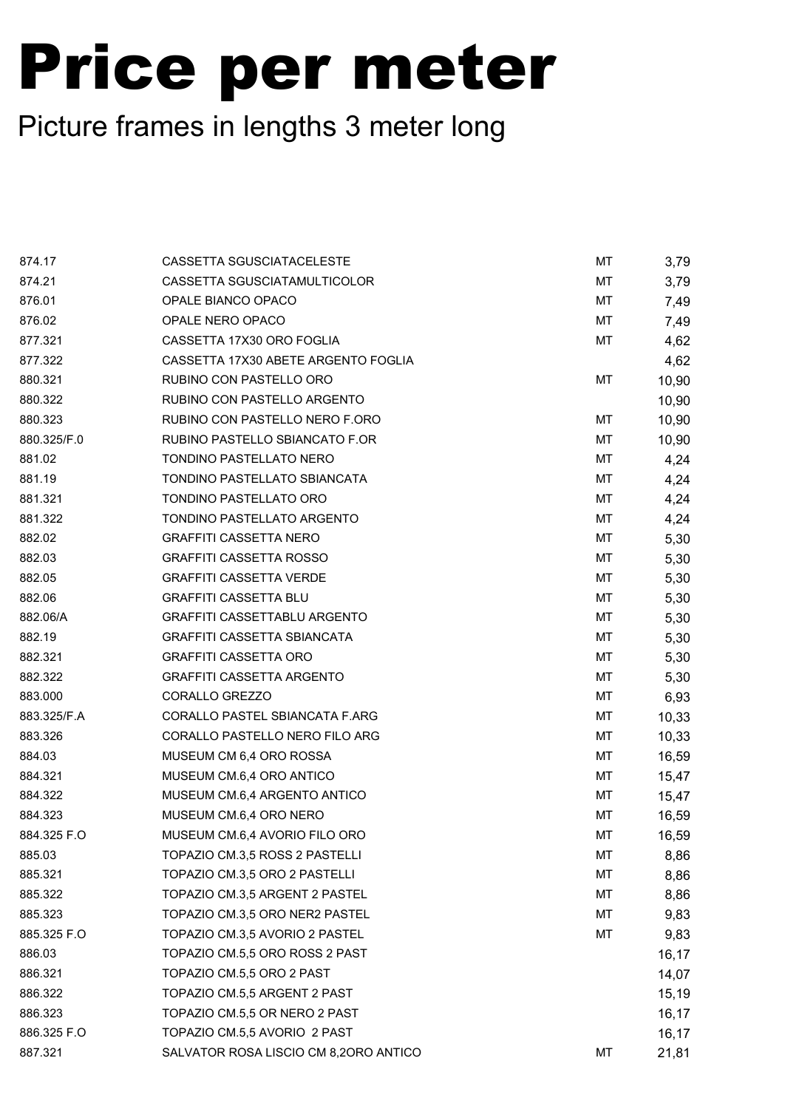| 874.17      | CASSETTA SGUSCIATACELESTE             | MT | 3,79  |
|-------------|---------------------------------------|----|-------|
| 874.21      | CASSETTA SGUSCIATAMULTICOLOR          | MT | 3,79  |
| 876.01      | OPALE BIANCO OPACO                    | МT | 7,49  |
| 876.02      | OPALE NERO OPACO                      | МT | 7,49  |
| 877.321     | CASSETTA 17X30 ORO FOGLIA             | МT | 4,62  |
| 877.322     | CASSETTA 17X30 ABETE ARGENTO FOGLIA   |    | 4,62  |
| 880.321     | RUBINO CON PASTELLO ORO               | MT | 10,90 |
| 880.322     | RUBINO CON PASTELLO ARGENTO           |    | 10,90 |
| 880.323     | RUBINO CON PASTELLO NERO F.ORO        | МT | 10,90 |
| 880.325/F.0 | RUBINO PASTELLO SBIANCATO F.OR        | МT | 10,90 |
| 881.02      | TONDINO PASTELLATO NERO               | МT | 4,24  |
| 881.19      | TONDINO PASTELLATO SBIANCATA          | МT | 4,24  |
| 881.321     | TONDINO PASTELLATO ORO                | МT | 4,24  |
| 881.322     | TONDINO PASTELLATO ARGENTO            | МT | 4,24  |
| 882.02      | <b>GRAFFITI CASSETTA NERO</b>         | МT | 5,30  |
| 882.03      | <b>GRAFFITI CASSETTA ROSSO</b>        | МT | 5,30  |
| 882.05      | <b>GRAFFITI CASSETTA VERDE</b>        | МT | 5,30  |
| 882.06      | <b>GRAFFITI CASSETTA BLU</b>          | МT | 5,30  |
| 882.06/A    | GRAFFITI CASSETTABLU ARGENTO          | МT | 5,30  |
| 882.19      | <b>GRAFFITI CASSETTA SBIANCATA</b>    | МT | 5,30  |
| 882.321     | <b>GRAFFITI CASSETTA ORO</b>          | МT | 5,30  |
| 882.322     | <b>GRAFFITI CASSETTA ARGENTO</b>      | МT | 5,30  |
| 883.000     | CORALLO GREZZO                        | МT | 6,93  |
| 883.325/F.A | CORALLO PASTEL SBIANCATA F.ARG        | МT | 10,33 |
| 883.326     | CORALLO PASTELLO NERO FILO ARG        | МT | 10,33 |
| 884.03      | MUSEUM CM 6,4 ORO ROSSA               | МT | 16,59 |
| 884.321     | MUSEUM CM.6,4 ORO ANTICO              | МT | 15,47 |
| 884.322     | MUSEUM CM.6,4 ARGENTO ANTICO          | МT | 15,47 |
| 884.323     | MUSEUM CM.6,4 ORO NERO                | MT | 16,59 |
| 884.325 F.O | MUSEUM CM.6,4 AVORIO FILO ORO         | МT | 16,59 |
| 885.03      | TOPAZIO CM.3,5 ROSS 2 PASTELLI        | МT | 8,86  |
| 885.321     | TOPAZIO CM.3,5 ORO 2 PASTELLI         | MT | 8,86  |
| 885.322     | TOPAZIO CM.3,5 ARGENT 2 PASTEL        | МT | 8,86  |
| 885.323     | TOPAZIO CM.3,5 ORO NER2 PASTEL        | МT | 9,83  |
| 885.325 F.O | TOPAZIO CM.3,5 AVORIO 2 PASTEL        | МT | 9,83  |
| 886.03      | TOPAZIO CM.5,5 ORO ROSS 2 PAST        |    | 16,17 |
| 886.321     | TOPAZIO CM.5,5 ORO 2 PAST             |    | 14,07 |
| 886.322     | TOPAZIO CM.5,5 ARGENT 2 PAST          |    | 15,19 |
| 886.323     | TOPAZIO CM.5,5 OR NERO 2 PAST         |    | 16,17 |
| 886.325 F.O | TOPAZIO CM.5,5 AVORIO 2 PAST          |    | 16,17 |
| 887.321     | SALVATOR ROSA LISCIO CM 8,20RO ANTICO | МT | 21,81 |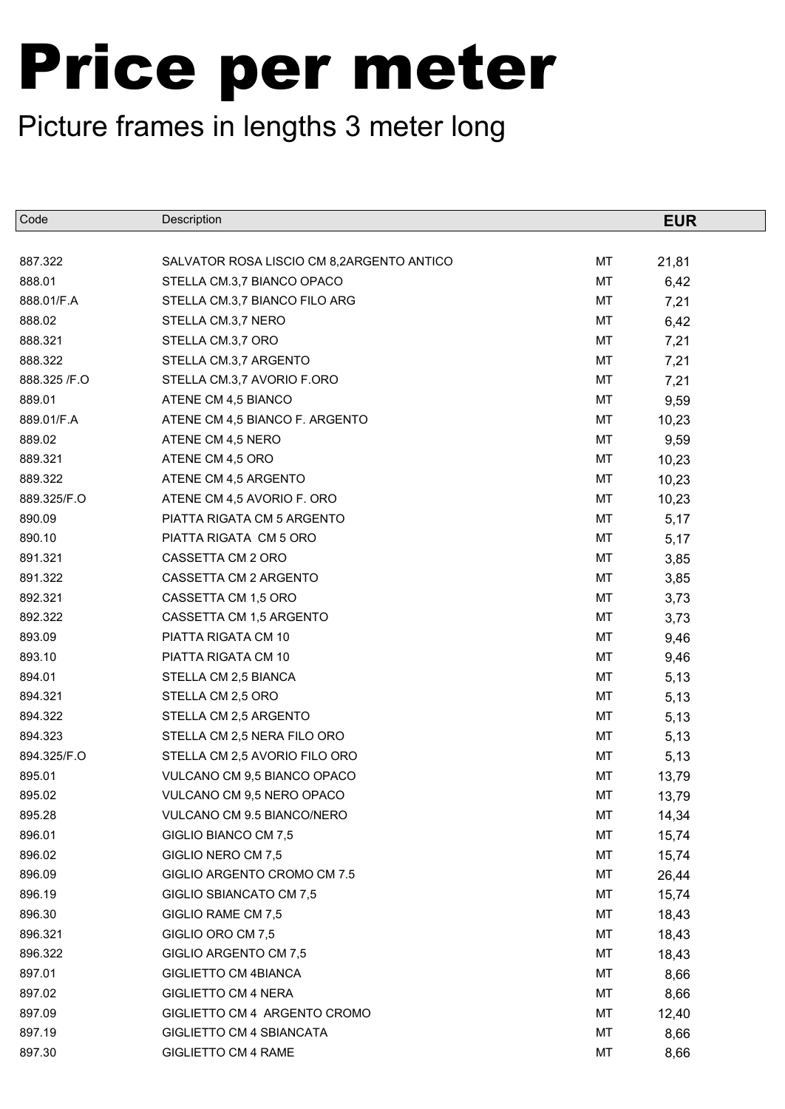| Code          | Description                               |    | <b>EUR</b> |
|---------------|-------------------------------------------|----|------------|
|               |                                           |    |            |
| 887.322       | SALVATOR ROSA LISCIO CM 8,2ARGENTO ANTICO | МT | 21,81      |
| 888.01        | STELLA CM.3,7 BIANCO OPACO                | MT | 6,42       |
| 888.01/F.A    | STELLA CM.3,7 BIANCO FILO ARG             | МT | 7,21       |
| 888.02        | STELLA CM.3,7 NERO                        | MT | 6,42       |
| 888.321       | STELLA CM.3,7 ORO                         | МT | 7,21       |
| 888.322       | STELLA CM.3,7 ARGENTO                     | МT | 7,21       |
| 888.325 / F.O | STELLA CM.3,7 AVORIO F.ORO                | МT | 7,21       |
| 889.01        | ATENE CM 4,5 BIANCO                       | MT | 9,59       |
| 889.01/F.A    | ATENE CM 4,5 BIANCO F. ARGENTO            | МT | 10,23      |
| 889.02        | ATENE CM 4,5 NERO                         | MT | 9,59       |
| 889.321       | ATENE CM 4,5 ORO                          | МT | 10,23      |
| 889.322       | ATENE CM 4,5 ARGENTO                      | MT | 10,23      |
| 889.325/F.O   | ATENE CM 4,5 AVORIO F. ORO                | МT | 10,23      |
| 890.09        | PIATTA RIGATA CM 5 ARGENTO                | MT | 5,17       |
| 890.10        | PIATTA RIGATA CM 5 ORO                    | MT | 5,17       |
| 891.321       | CASSETTA CM 2 ORO                         | MT | 3,85       |
| 891.322       | CASSETTA CM 2 ARGENTO                     | МT | 3,85       |
| 892.321       | CASSETTA CM 1,5 ORO                       | MT | 3,73       |
| 892.322       | CASSETTA CM 1,5 ARGENTO                   | МT | 3,73       |
| 893.09        | PIATTA RIGATA CM 10                       | МT | 9,46       |
| 893.10        | PIATTA RIGATA CM 10                       | МT | 9,46       |
| 894.01        | STELLA CM 2,5 BIANCA                      | MT | 5,13       |
| 894.321       | STELLA CM 2,5 ORO                         | MT | 5,13       |
| 894.322       | STELLA CM 2,5 ARGENTO                     | МT | 5,13       |
| 894.323       | STELLA CM 2,5 NERA FILO ORO               | МT | 5,13       |
| 894.325/F.O   | STELLA CM 2,5 AVORIO FILO ORO             | MT | 5,13       |
| 895.01        | VULCANO CM 9,5 BIANCO OPACO               | MT | 13,79      |
| 895.02        | VULCANO CM 9,5 NERO OPACO                 | MT | 13,79      |
| 895.28        | VULCANO CM 9.5 BIANCO/NERO                | МT | 14,34      |
| 896.01        | GIGLIO BIANCO CM 7,5                      | MT | 15,74      |
| 896.02        | GIGLIO NERO CM 7,5                        | МT | 15,74      |
| 896.09        | GIGLIO ARGENTO CROMO CM 7.5               | МT | 26,44      |
| 896.19        | GIGLIO SBIANCATO CM 7,5                   | МT | 15,74      |
| 896.30        | GIGLIO RAME CM 7,5                        | МT | 18,43      |
| 896.321       | GIGLIO ORO CM 7,5                         | МT | 18,43      |
| 896.322       | GIGLIO ARGENTO CM 7,5                     | МT | 18,43      |
| 897.01        | GIGLIETTO CM 4BIANCA                      | МT | 8,66       |
| 897.02        | <b>GIGLIETTO CM 4 NERA</b>                | МT | 8,66       |
| 897.09        | GIGLIETTO CM 4 ARGENTO CROMO              | МT | 12,40      |
| 897.19        | GIGLIETTO CM 4 SBIANCATA                  | МT | 8,66       |
| 897.30        | <b>GIGLIETTO CM 4 RAME</b>                | МT | 8,66       |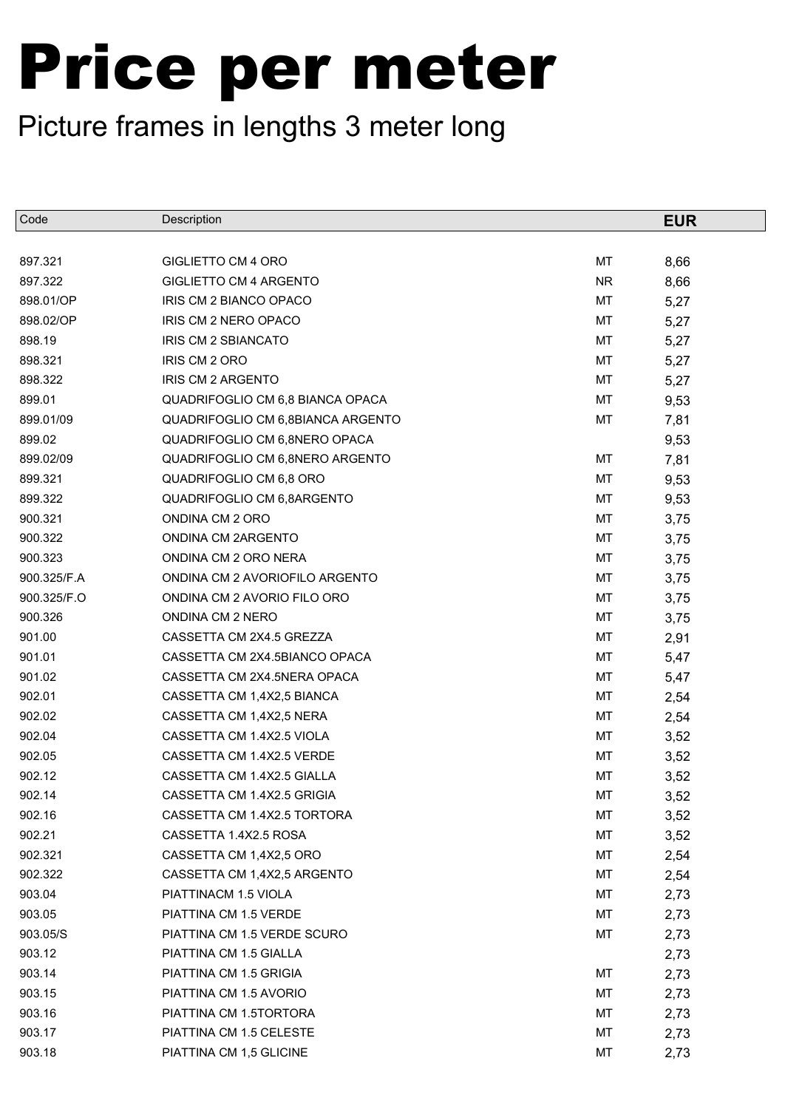| Code        | Description                       |           | <b>EUR</b> |
|-------------|-----------------------------------|-----------|------------|
|             |                                   |           |            |
| 897.321     | <b>GIGLIETTO CM 4 ORO</b>         | MT        | 8,66       |
| 897.322     | GIGLIETTO CM 4 ARGENTO            | <b>NR</b> | 8,66       |
| 898.01/OP   | IRIS CM 2 BIANCO OPACO            | МT        | 5,27       |
| 898.02/OP   | IRIS CM 2 NERO OPACO              | MT        | 5,27       |
| 898.19      | IRIS CM 2 SBIANCATO               | МT        | 5,27       |
| 898.321     | IRIS CM 2 ORO                     | МT        | 5,27       |
| 898.322     | <b>IRIS CM 2 ARGENTO</b>          | МT        | 5,27       |
| 899.01      | QUADRIFOGLIO CM 6,8 BIANCA OPACA  | MT        | 9,53       |
| 899.01/09   | QUADRIFOGLIO CM 6,8BIANCA ARGENTO | МT        | 7,81       |
| 899.02      | QUADRIFOGLIO CM 6,8NERO OPACA     |           | 9,53       |
| 899.02/09   | QUADRIFOGLIO CM 6,8NERO ARGENTO   | МT        | 7,81       |
| 899.321     | QUADRIFOGLIO CM 6,8 ORO           | МT        | 9,53       |
| 899.322     | QUADRIFOGLIO CM 6,8ARGENTO        | МT        | 9,53       |
| 900.321     | ONDINA CM 2 ORO                   | MT        | 3,75       |
| 900.322     | ONDINA CM 2ARGENTO                | МT        | 3,75       |
| 900.323     | ONDINA CM 2 ORO NERA              | MT        | 3,75       |
| 900.325/F.A | ONDINA CM 2 AVORIOFILO ARGENTO    | МT        | 3,75       |
| 900.325/F.O | ONDINA CM 2 AVORIO FILO ORO       | МT        | 3,75       |
| 900.326     | ONDINA CM 2 NERO                  | МT        | 3,75       |
| 901.00      | CASSETTA CM 2X4.5 GREZZA          | МT        | 2,91       |
| 901.01      | CASSETTA CM 2X4.5BIANCO OPACA     | МT        | 5,47       |
| 901.02      | CASSETTA CM 2X4.5NERA OPACA       | МT        | 5,47       |
| 902.01      | CASSETTA CM 1,4X2,5 BIANCA        | МT        | 2,54       |
| 902.02      | CASSETTA CM 1,4X2,5 NERA          | МT        | 2,54       |
| 902.04      | CASSETTA CM 1.4X2.5 VIOLA         | МT        | 3,52       |
| 902.05      | CASSETTA CM 1.4X2.5 VERDE         | МT        | 3,52       |
| 902.12      | CASSETTA CM 1.4X2.5 GIALLA        | MT        | 3,52       |
| 902.14      | CASSETTA CM 1.4X2.5 GRIGIA        | MT        | 3,52       |
| 902.16      | CASSETTA CM 1.4X2.5 TORTORA       | МT        | 3,52       |
| 902.21      | CASSETTA 1.4X2.5 ROSA             | МT        | 3,52       |
| 902.321     | CASSETTA CM 1,4X2,5 ORO           | МT        | 2,54       |
| 902.322     | CASSETTA CM 1,4X2,5 ARGENTO       | МT        | 2,54       |
| 903.04      | PIATTINACM 1.5 VIOLA              | МT        | 2,73       |
| 903.05      | PIATTINA CM 1.5 VERDE             | МT        | 2,73       |
| 903.05/S    | PIATTINA CM 1.5 VERDE SCURO       | МT        | 2,73       |
| 903.12      | PIATTINA CM 1.5 GIALLA            |           | 2,73       |
| 903.14      | PIATTINA CM 1.5 GRIGIA            | МT        | 2,73       |
| 903.15      | PIATTINA CM 1.5 AVORIO            | МT        | 2,73       |
| 903.16      | PIATTINA CM 1.5TORTORA            | МT        | 2,73       |
| 903.17      | PIATTINA CM 1.5 CELESTE           | МT        | 2,73       |
| 903.18      | PIATTINA CM 1,5 GLICINE           | МT        | 2,73       |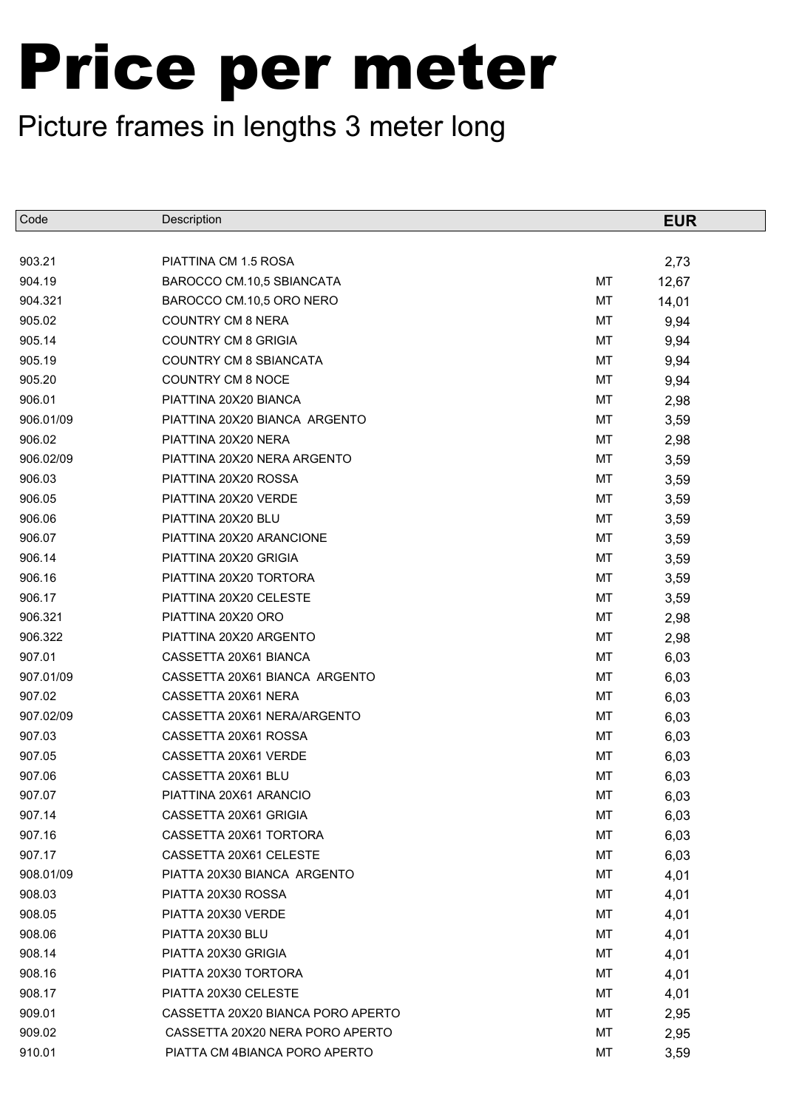| Code      | Description                       |    | <b>EUR</b> |
|-----------|-----------------------------------|----|------------|
|           |                                   |    |            |
| 903.21    | PIATTINA CM 1.5 ROSA              |    | 2,73       |
| 904.19    | BAROCCO CM.10,5 SBIANCATA         | MT | 12,67      |
| 904.321   | BAROCCO CM.10,5 ORO NERO          | МT | 14,01      |
| 905.02    | <b>COUNTRY CM 8 NERA</b>          | MT | 9,94       |
| 905.14    | <b>COUNTRY CM 8 GRIGIA</b>        | MT | 9,94       |
| 905.19    | <b>COUNTRY CM 8 SBIANCATA</b>     | MT | 9,94       |
| 905.20    | <b>COUNTRY CM 8 NOCE</b>          | МT | 9,94       |
| 906.01    | PIATTINA 20X20 BIANCA             | MT | 2,98       |
| 906.01/09 | PIATTINA 20X20 BIANCA ARGENTO     | MT | 3,59       |
| 906.02    | PIATTINA 20X20 NERA               | MT | 2,98       |
| 906.02/09 | PIATTINA 20X20 NERA ARGENTO       | МT | 3,59       |
| 906.03    | PIATTINA 20X20 ROSSA              | MT | 3,59       |
| 906.05    | PIATTINA 20X20 VERDE              | МT | 3,59       |
| 906.06    | PIATTINA 20X20 BLU                | MT | 3,59       |
| 906.07    | PIATTINA 20X20 ARANCIONE          | MT | 3,59       |
| 906.14    | PIATTINA 20X20 GRIGIA             | MT | 3,59       |
| 906.16    | PIATTINA 20X20 TORTORA            | MT | 3,59       |
| 906.17    | PIATTINA 20X20 CELESTE            | MT | 3,59       |
| 906.321   | PIATTINA 20X20 ORO                | MT | 2,98       |
| 906.322   | PIATTINA 20X20 ARGENTO            | MT | 2,98       |
| 907.01    | CASSETTA 20X61 BIANCA             | MT | 6,03       |
| 907.01/09 | CASSETTA 20X61 BIANCA ARGENTO     | MT | 6,03       |
| 907.02    | CASSETTA 20X61 NERA               | MT | 6,03       |
| 907.02/09 | CASSETTA 20X61 NERA/ARGENTO       | MT | 6,03       |
| 907.03    | CASSETTA 20X61 ROSSA              | MT | 6,03       |
| 907.05    | CASSETTA 20X61 VERDE              | MT | 6,03       |
| 907.06    | CASSETTA 20X61 BLU                | MT | 6,03       |
| 907.07    | PIATTINA 20X61 ARANCIO            | MT | 6,03       |
| 907.14    | CASSETTA 20X61 GRIGIA             | МT | 6,03       |
| 907.16    | CASSETTA 20X61 TORTORA            | MT | 6,03       |
| 907.17    | CASSETTA 20X61 CELESTE            | МT | 6,03       |
| 908.01/09 | PIATTA 20X30 BIANCA ARGENTO       | МT | 4,01       |
| 908.03    | PIATTA 20X30 ROSSA                | МT | 4,01       |
| 908.05    | PIATTA 20X30 VERDE                | МT | 4,01       |
| 908.06    | PIATTA 20X30 BLU                  | МT | 4,01       |
| 908.14    | PIATTA 20X30 GRIGIA               | МT | 4,01       |
| 908.16    | PIATTA 20X30 TORTORA              | МT | 4,01       |
| 908.17    | PIATTA 20X30 CELESTE              | МT | 4,01       |
| 909.01    | CASSETTA 20X20 BIANCA PORO APERTO | МT | 2,95       |
| 909.02    | CASSETTA 20X20 NERA PORO APERTO   | МT | 2,95       |
| 910.01    | PIATTA CM 4BIANCA PORO APERTO     | МT | 3,59       |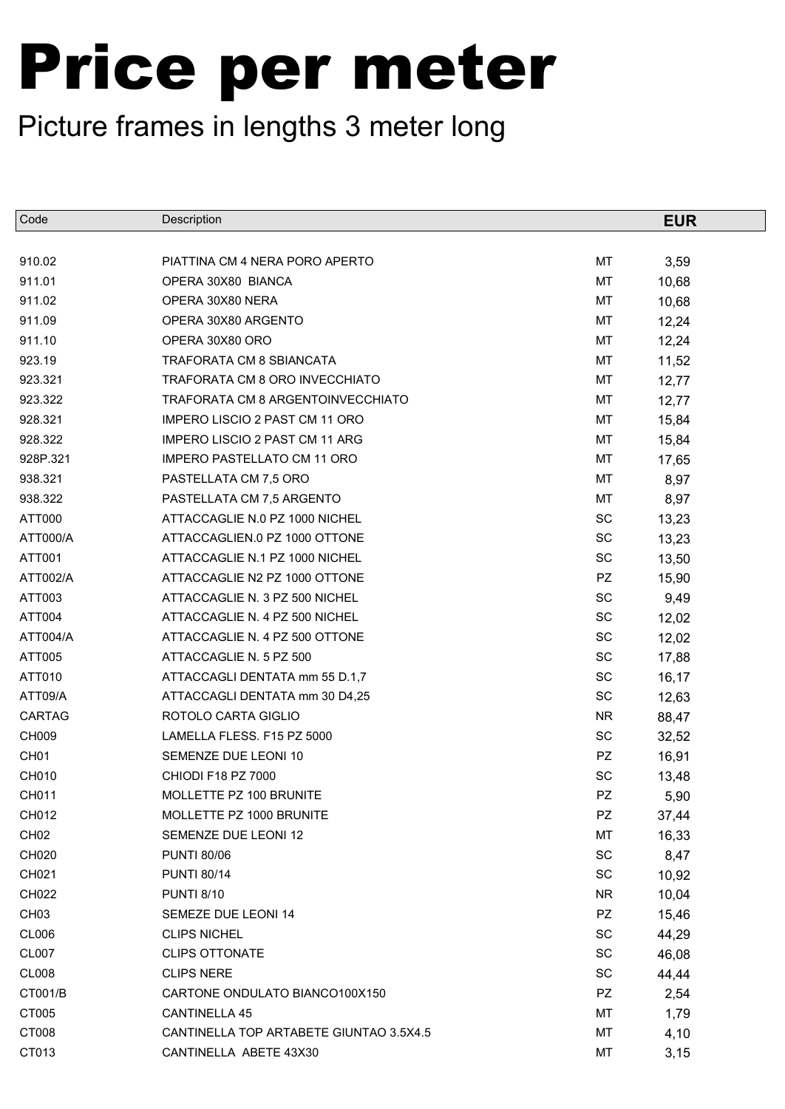| Code             | Description                             |           | <b>EUR</b> |
|------------------|-----------------------------------------|-----------|------------|
|                  |                                         |           |            |
| 910.02           | PIATTINA CM 4 NERA PORO APERTO          | MT        | 3,59       |
| 911.01           | OPERA 30X80 BIANCA                      | MT        | 10,68      |
| 911.02           | OPERA 30X80 NERA                        | MT        | 10,68      |
| 911.09           | OPERA 30X80 ARGENTO                     | MT        | 12,24      |
| 911.10           | OPERA 30X80 ORO                         | MT        | 12,24      |
| 923.19           | TRAFORATA CM 8 SBIANCATA                | MT        | 11,52      |
| 923.321          | TRAFORATA CM 8 ORO INVECCHIATO          | MT        | 12,77      |
| 923.322          | TRAFORATA CM 8 ARGENTOINVECCHIATO       | MT        | 12,77      |
| 928.321          | <b>IMPERO LISCIO 2 PAST CM 11 ORO</b>   | МT        | 15,84      |
| 928.322          | <b>IMPERO LISCIO 2 PAST CM 11 ARG</b>   | MT        | 15,84      |
| 928P.321         | <b>IMPERO PASTELLATO CM 11 ORO</b>      | MT        | 17,65      |
| 938.321          | PASTELLATA CM 7,5 ORO                   | MT        | 8,97       |
| 938.322          | PASTELLATA CM 7,5 ARGENTO               | MT        | 8,97       |
| ATT000           | ATTACCAGLIE N.0 PZ 1000 NICHEL          | SC        | 13,23      |
| ATT000/A         | ATTACCAGLIEN.0 PZ 1000 OTTONE           | SC        | 13,23      |
| ATT001           | ATTACCAGLIE N.1 PZ 1000 NICHEL          | SC        | 13,50      |
| ATT002/A         | ATTACCAGLIE N2 PZ 1000 OTTONE           | <b>PZ</b> | 15,90      |
| ATT003           | ATTACCAGLIE N. 3 PZ 500 NICHEL          | SC        | 9,49       |
| ATT004           | ATTACCAGLIE N. 4 PZ 500 NICHEL          | SC        | 12,02      |
| ATT004/A         | ATTACCAGLIE N. 4 PZ 500 OTTONE          | SC        | 12,02      |
| ATT005           | ATTACCAGLIE N. 5 PZ 500                 | SC        | 17,88      |
| ATT010           | ATTACCAGLI DENTATA mm 55 D.1,7          | SC        | 16,17      |
| ATT09/A          | ATTACCAGLI DENTATA mm 30 D4,25          | SC        | 12,63      |
| <b>CARTAG</b>    | ROTOLO CARTA GIGLIO                     | <b>NR</b> | 88,47      |
| CH009            | LAMELLA FLESS. F15 PZ 5000              | SC        | 32,52      |
| CH <sub>01</sub> | SEMENZE DUE LEONI 10                    | <b>PZ</b> | 16,91      |
| CH010            | CHIODI F18 PZ 7000                      | SC        | 13,48      |
| CH011            | MOLLETTE PZ 100 BRUNITE                 | PZ        | 5,90       |
| CH012            | MOLLETTE PZ 1000 BRUNITE                | PZ        | 37,44      |
| CH <sub>02</sub> | SEMENZE DUE LEONI 12                    | MT        | 16,33      |
| CH020            | <b>PUNTI 80/06</b>                      | SC        | 8,47       |
| CH021            | <b>PUNTI 80/14</b>                      | SC        | 10,92      |
| CH022            | <b>PUNTI 8/10</b>                       | <b>NR</b> | 10,04      |
| CH <sub>03</sub> | SEMEZE DUE LEONI 14                     | PZ        | 15,46      |
| CL006            | <b>CLIPS NICHEL</b>                     | SC        | 44,29      |
| <b>CL007</b>     | <b>CLIPS OTTONATE</b>                   | SC        | 46,08      |
| <b>CL008</b>     | <b>CLIPS NERE</b>                       | SC        | 44,44      |
| CT001/B          | CARTONE ONDULATO BIANCO100X150          | <b>PZ</b> | 2,54       |
| CT005            | CANTINELLA 45                           | МT        | 1,79       |
| CT008            | CANTINELLA TOP ARTABETE GIUNTAO 3.5X4.5 | MT        | 4,10       |
| CT013            | CANTINELLA ABETE 43X30                  | MT        | 3,15       |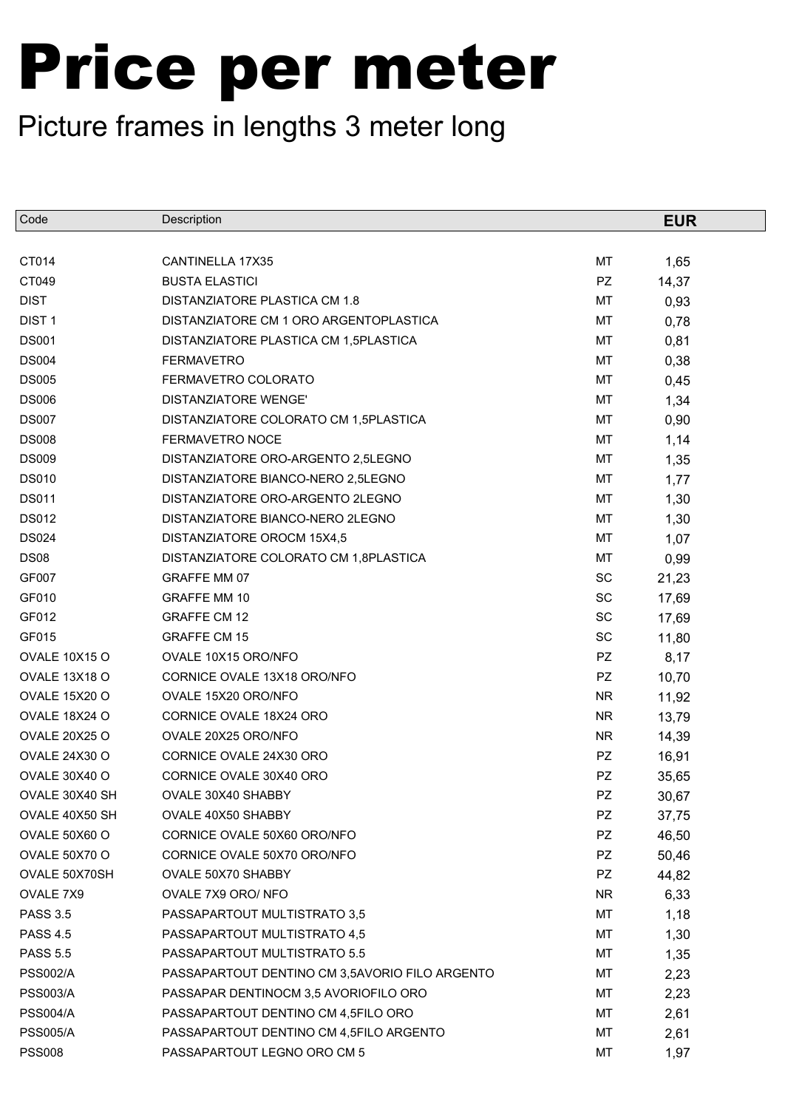| Code                 | Description                                    |           | <b>EUR</b> |
|----------------------|------------------------------------------------|-----------|------------|
|                      |                                                |           |            |
| CT014                | CANTINELLA 17X35                               | MT        | 1,65       |
| CT049                | <b>BUSTA ELASTICI</b>                          | PZ        | 14,37      |
| <b>DIST</b>          | DISTANZIATORE PLASTICA CM 1.8                  | MT        | 0,93       |
| DIST <sub>1</sub>    | DISTANZIATORE CM 1 ORO ARGENTOPLASTICA         | MT        | 0,78       |
| <b>DS001</b>         | DISTANZIATORE PLASTICA CM 1,5PLASTICA          | MT        | 0,81       |
| <b>DS004</b>         | <b>FERMAVETRO</b>                              | MT        | 0,38       |
| <b>DS005</b>         | FERMAVETRO COLORATO                            | MT        | 0,45       |
| <b>DS006</b>         | <b>DISTANZIATORE WENGE'</b>                    | MT        | 1,34       |
| <b>DS007</b>         | DISTANZIATORE COLORATO CM 1,5PLASTICA          | MT        | 0,90       |
| <b>DS008</b>         | FERMAVETRO NOCE                                | MT        | 1,14       |
| <b>DS009</b>         | DISTANZIATORE ORO-ARGENTO 2,5LEGNO             | MT        | 1,35       |
| <b>DS010</b>         | DISTANZIATORE BIANCO-NERO 2,5LEGNO             | MT        | 1,77       |
| <b>DS011</b>         | DISTANZIATORE ORO-ARGENTO 2LEGNO               | MT        | 1,30       |
| <b>DS012</b>         | DISTANZIATORE BIANCO-NERO 2LEGNO               | MT        | 1,30       |
| <b>DS024</b>         | DISTANZIATORE OROCM 15X4,5                     | MT        | 1,07       |
| <b>DS08</b>          | DISTANZIATORE COLORATO CM 1,8PLASTICA          | MT        | 0,99       |
| GF007                | GRAFFE MM 07                                   | SC        | 21,23      |
| GF010                | <b>GRAFFE MM 10</b>                            | SC        | 17,69      |
| GF012                | <b>GRAFFE CM 12</b>                            | SC        | 17,69      |
| GF015                | <b>GRAFFE CM 15</b>                            | SC        | 11,80      |
| <b>OVALE 10X15 O</b> | OVALE 10X15 ORO/NFO                            | PZ        | 8,17       |
| <b>OVALE 13X18 O</b> | CORNICE OVALE 13X18 ORO/NFO                    | PZ        | 10,70      |
| <b>OVALE 15X20 O</b> | OVALE 15X20 ORO/NFO                            | <b>NR</b> | 11,92      |
| OVALE 18X24 O        | CORNICE OVALE 18X24 ORO                        | <b>NR</b> | 13,79      |
| <b>OVALE 20X25 O</b> | OVALE 20X25 ORO/NFO                            | <b>NR</b> | 14,39      |
| OVALE 24X30 O        | CORNICE OVALE 24X30 ORO                        | PZ        | 16,91      |
| OVALE 30X40 O        | CORNICE OVALE 30X40 ORO                        | PZ        | 35,65      |
| OVALE 30X40 SH       | OVALE 30X40 SHABBY                             | PZ        | 30,67      |
| OVALE 40X50 SH       | OVALE 40X50 SHABBY                             | PZ        | 37,75      |
| OVALE 50X60 O        | CORNICE OVALE 50X60 ORO/NFO                    | PZ        | 46,50      |
| OVALE 50X70 O        | CORNICE OVALE 50X70 ORO/NFO                    | <b>PZ</b> | 50,46      |
| OVALE 50X70SH        | OVALE 50X70 SHABBY                             | PZ        | 44,82      |
| OVALE 7X9            | OVALE 7X9 ORO/ NFO                             | <b>NR</b> | 6,33       |
| <b>PASS 3.5</b>      | PASSAPARTOUT MULTISTRATO 3,5                   | MT        | 1,18       |
| <b>PASS 4.5</b>      | PASSAPARTOUT MULTISTRATO 4,5                   | МT        | 1,30       |
| <b>PASS 5.5</b>      | PASSAPARTOUT MULTISTRATO 5.5                   | МT        | 1,35       |
| <b>PSS002/A</b>      | PASSAPARTOUT DENTINO CM 3,5AVORIO FILO ARGENTO | МT        | 2,23       |
| <b>PSS003/A</b>      | PASSAPAR DENTINOCM 3,5 AVORIOFILO ORO          | МT        | 2,23       |
| <b>PSS004/A</b>      | PASSAPARTOUT DENTINO CM 4,5FILO ORO            | МT        | 2,61       |
| <b>PSS005/A</b>      | PASSAPARTOUT DENTINO CM 4,5FILO ARGENTO        | МT        | 2,61       |
| <b>PSS008</b>        | PASSAPARTOUT LEGNO ORO CM 5                    | МT        | 1,97       |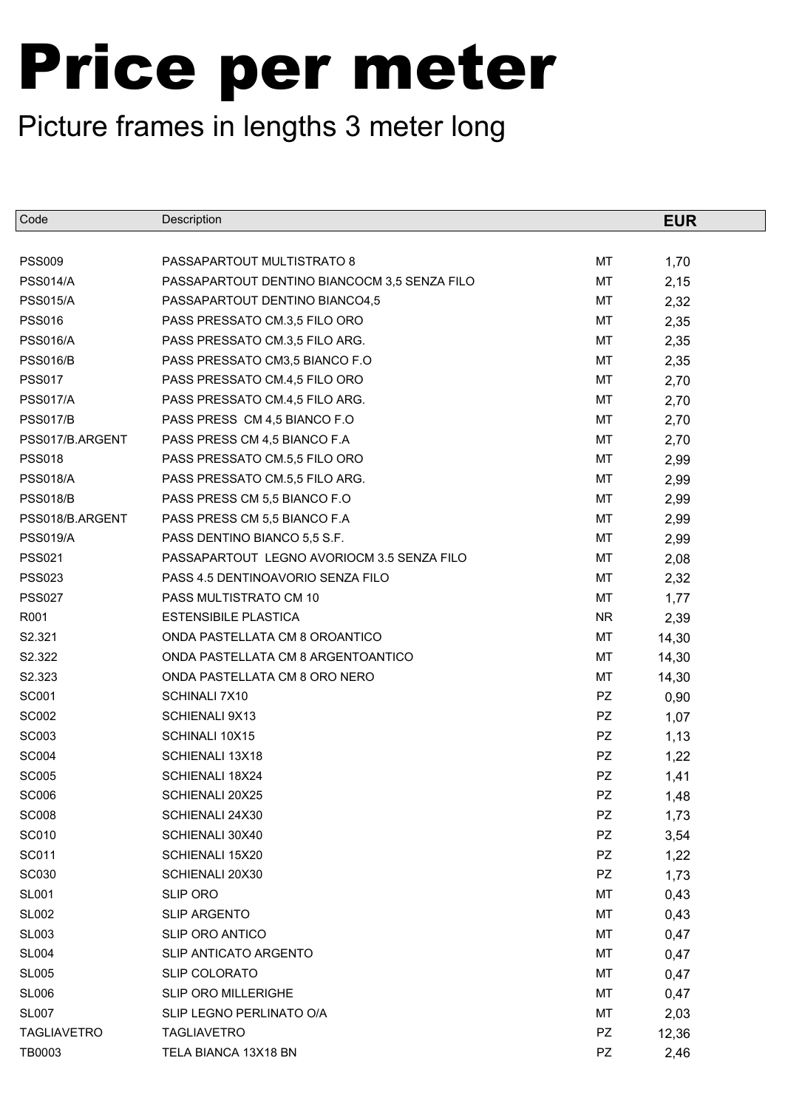| Code               | Description                                  |           | <b>EUR</b> |
|--------------------|----------------------------------------------|-----------|------------|
|                    |                                              |           |            |
| <b>PSS009</b>      | PASSAPARTOUT MULTISTRATO 8                   | MT        | 1,70       |
| <b>PSS014/A</b>    | PASSAPARTOUT DENTINO BIANCOCM 3,5 SENZA FILO | MT        | 2,15       |
| <b>PSS015/A</b>    | PASSAPARTOUT DENTINO BIANCO4,5               | МT        | 2,32       |
| <b>PSS016</b>      | PASS PRESSATO CM.3,5 FILO ORO                | MT        | 2,35       |
| <b>PSS016/A</b>    | PASS PRESSATO CM.3,5 FILO ARG.               | MT        | 2,35       |
| <b>PSS016/B</b>    | PASS PRESSATO CM3,5 BIANCO F.O.              | MT        | 2,35       |
| <b>PSS017</b>      | PASS PRESSATO CM.4,5 FILO ORO                | МT        | 2,70       |
| <b>PSS017/A</b>    | PASS PRESSATO CM.4,5 FILO ARG.               | MT        | 2,70       |
| <b>PSS017/B</b>    | PASS PRESS CM 4,5 BIANCO F.O.                | MT        | 2,70       |
| PSS017/B.ARGENT    | PASS PRESS CM 4,5 BIANCO F.A                 | MT        | 2,70       |
| <b>PSS018</b>      | PASS PRESSATO CM.5,5 FILO ORO                | МT        | 2,99       |
| <b>PSS018/A</b>    | PASS PRESSATO CM.5,5 FILO ARG.               | MT        | 2,99       |
| <b>PSS018/B</b>    | PASS PRESS CM 5,5 BIANCO F.O.                | MT        | 2,99       |
| PSS018/B.ARGENT    | PASS PRESS CM 5,5 BIANCO F.A                 | MT        | 2,99       |
| <b>PSS019/A</b>    | PASS DENTINO BIANCO 5,5 S.F.                 | MT        | 2,99       |
| <b>PSS021</b>      | PASSAPARTOUT LEGNO AVORIOCM 3.5 SENZA FILO   | MT        | 2,08       |
| <b>PSS023</b>      | PASS 4.5 DENTINOAVORIO SENZA FILO            | MT        | 2,32       |
| <b>PSS027</b>      | PASS MULTISTRATO CM 10                       | MT        | 1,77       |
| R001               | <b>ESTENSIBILE PLASTICA</b>                  | <b>NR</b> | 2,39       |
| S2.321             | ONDA PASTELLATA CM 8 OROANTICO               | MT        | 14,30      |
| S2.322             | ONDA PASTELLATA CM 8 ARGENTOANTICO           | MT        | 14,30      |
| S2.323             | ONDA PASTELLATA CM 8 ORO NERO                | MT        | 14,30      |
| <b>SC001</b>       | SCHINALI 7X10                                | PZ        | 0,90       |
| <b>SC002</b>       | <b>SCHIENALI 9X13</b>                        | <b>PZ</b> | 1,07       |
| <b>SC003</b>       | SCHINALI 10X15                               | PZ        | 1,13       |
| <b>SC004</b>       | SCHIENALI 13X18                              | PZ        | 1,22       |
| <b>SC005</b>       | SCHIENALI 18X24                              | PZ        | 1,41       |
| <b>SC006</b>       | SCHIENALI 20X25                              | PZ        | 1,48       |
| <b>SC008</b>       | SCHIENALI 24X30                              | PZ        | 1,73       |
| <b>SC010</b>       | SCHIENALI 30X40                              | PZ        | 3,54       |
| SC011              | SCHIENALI 15X20                              | PZ        | 1,22       |
| <b>SC030</b>       | SCHIENALI 20X30                              | PZ        | 1,73       |
| <b>SL001</b>       | <b>SLIP ORO</b>                              | МT        | 0,43       |
| <b>SL002</b>       | <b>SLIP ARGENTO</b>                          | MT        | 0,43       |
| <b>SL003</b>       | <b>SLIP ORO ANTICO</b>                       | MT        | 0,47       |
| <b>SL004</b>       | SLIP ANTICATO ARGENTO                        | МT        | 0,47       |
| <b>SL005</b>       | SLIP COLORATO                                | МT        | 0,47       |
| <b>SL006</b>       | <b>SLIP ORO MILLERIGHE</b>                   | МT        | 0,47       |
| <b>SL007</b>       | SLIP LEGNO PERLINATO O/A                     | MT        | 2,03       |
| <b>TAGLIAVETRO</b> | <b>TAGLIAVETRO</b>                           | PZ        | 12,36      |
| TB0003             | TELA BIANCA 13X18 BN                         | PZ        | 2,46       |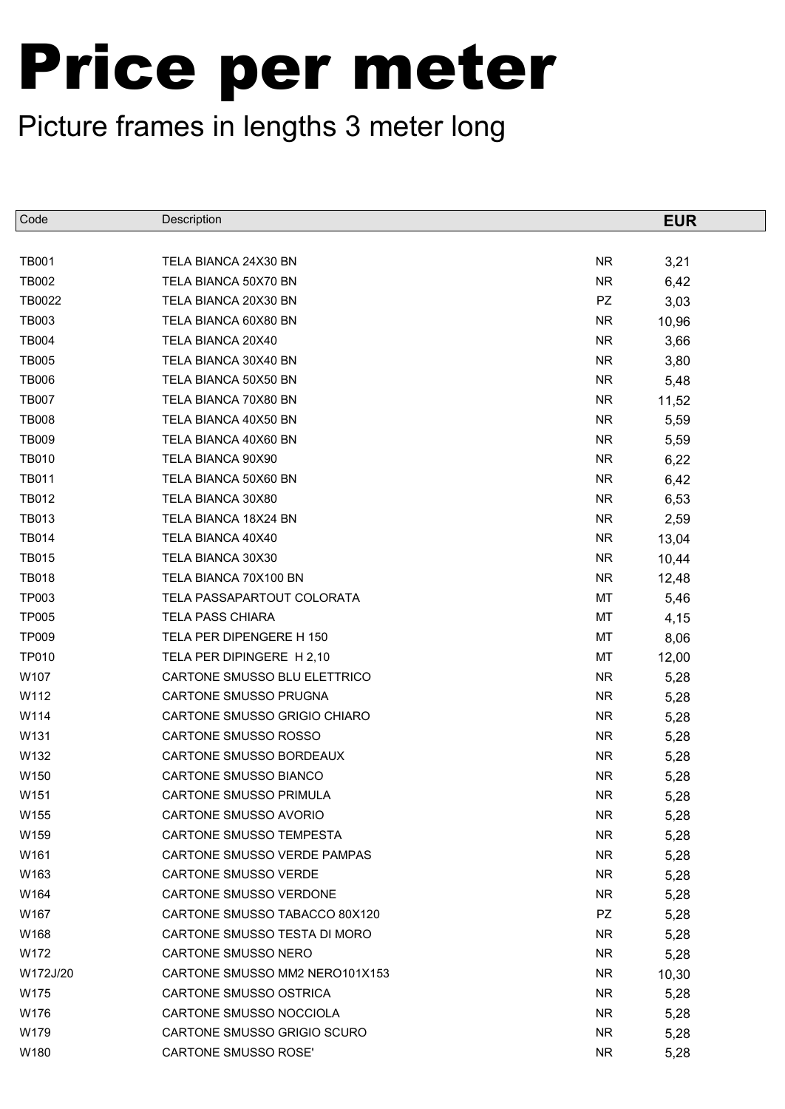| Code             | Description                    |           | <b>EUR</b> |
|------------------|--------------------------------|-----------|------------|
|                  |                                |           |            |
| <b>TB001</b>     | TELA BIANCA 24X30 BN           | <b>NR</b> | 3,21       |
| <b>TB002</b>     | TELA BIANCA 50X70 BN           | <b>NR</b> | 6,42       |
| TB0022           | TELA BIANCA 20X30 BN           | PZ        | 3,03       |
| <b>TB003</b>     | TELA BIANCA 60X80 BN           | <b>NR</b> | 10,96      |
| <b>TB004</b>     | TELA BIANCA 20X40              | <b>NR</b> | 3,66       |
| <b>TB005</b>     | TELA BIANCA 30X40 BN           | NR.       | 3,80       |
| <b>TB006</b>     | TELA BIANCA 50X50 BN           | NR.       | 5,48       |
| <b>TB007</b>     | TELA BIANCA 70X80 BN           | <b>NR</b> | 11,52      |
| <b>TB008</b>     | TELA BIANCA 40X50 BN           | NR.       | 5,59       |
| <b>TB009</b>     | TELA BIANCA 40X60 BN           | NR.       | 5,59       |
| <b>TB010</b>     | TELA BIANCA 90X90              | NR.       | 6,22       |
| <b>TB011</b>     | TELA BIANCA 50X60 BN           | <b>NR</b> | 6,42       |
| <b>TB012</b>     | TELA BIANCA 30X80              | NR.       | 6,53       |
| <b>TB013</b>     | TELA BIANCA 18X24 BN           | NR.       | 2,59       |
| <b>TB014</b>     | TELA BIANCA 40X40              | NR.       | 13,04      |
| <b>TB015</b>     | TELA BIANCA 30X30              | <b>NR</b> | 10,44      |
| <b>TB018</b>     | TELA BIANCA 70X100 BN          | NR.       | 12,48      |
| <b>TP003</b>     | TELA PASSAPARTOUT COLORATA     | MT        | 5,46       |
| <b>TP005</b>     | <b>TELA PASS CHIARA</b>        | МT        | 4,15       |
| <b>TP009</b>     | TELA PER DIPENGERE H 150       | MT        | 8,06       |
| <b>TP010</b>     | TELA PER DIPINGERE H 2,10      | МT        | 12,00      |
| W107             | CARTONE SMUSSO BLU ELETTRICO   | NR.       | 5,28       |
| W112             | CARTONE SMUSSO PRUGNA          | NR.       | 5,28       |
| W114             | CARTONE SMUSSO GRIGIO CHIARO   | NR.       | 5,28       |
| W131             | CARTONE SMUSSO ROSSO           | NR.       | 5,28       |
| W132             | CARTONE SMUSSO BORDEAUX        | NR.       | 5,28       |
| W150             | CARTONE SMUSSO BIANCO          | <b>NR</b> | 5,28       |
| W <sub>151</sub> | <b>CARTONE SMUSSO PRIMULA</b>  | <b>NR</b> | 5,28       |
| W155             | <b>CARTONE SMUSSO AVORIO</b>   | NR.       | 5,28       |
| W159             | CARTONE SMUSSO TEMPESTA        | NR.       | 5,28       |
| W161             | CARTONE SMUSSO VERDE PAMPAS    | NR.       | 5,28       |
| W163             | <b>CARTONE SMUSSO VERDE</b>    | NR.       | 5,28       |
| W164             | CARTONE SMUSSO VERDONE         | NR.       | 5,28       |
| W167             | CARTONE SMUSSO TABACCO 80X120  | PZ        | 5,28       |
| W168             | CARTONE SMUSSO TESTA DI MORO   | NR.       | 5,28       |
| W172             | CARTONE SMUSSO NERO            | NR.       | 5,28       |
| W172J/20         | CARTONE SMUSSO MM2 NERO101X153 | NR        | 10,30      |
| W175             | CARTONE SMUSSO OSTRICA         | NR.       | 5,28       |
| W176             | CARTONE SMUSSO NOCCIOLA        | NR.       | 5,28       |
| W179             | CARTONE SMUSSO GRIGIO SCURO    | NR.       | 5,28       |
| W180             | CARTONE SMUSSO ROSE'           | NR.       | 5,28       |